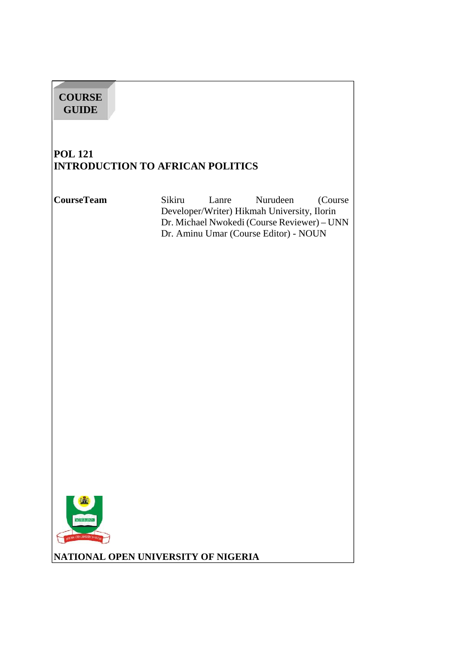| <b>COURSE</b><br><b>GUIDE</b>        |                                                                                                                                                                               |
|--------------------------------------|-------------------------------------------------------------------------------------------------------------------------------------------------------------------------------|
| <b>POL 121</b>                       | <b>INTRODUCTION TO AFRICAN POLITICS</b>                                                                                                                                       |
| <b>CourseTeam</b>                    | Sikiru<br>Nurudeen<br>Lanre<br>(Course<br>Developer/Writer) Hikmah University, Ilorin<br>Dr. Michael Nwokedi (Course Reviewer) - UNN<br>Dr. Aminu Umar (Course Editor) - NOUN |
| WORK & LEAR<br>OFEN LAINEFATH OF MAX | NATIONAL OPEN UNIVERSITY OF NIGERIA                                                                                                                                           |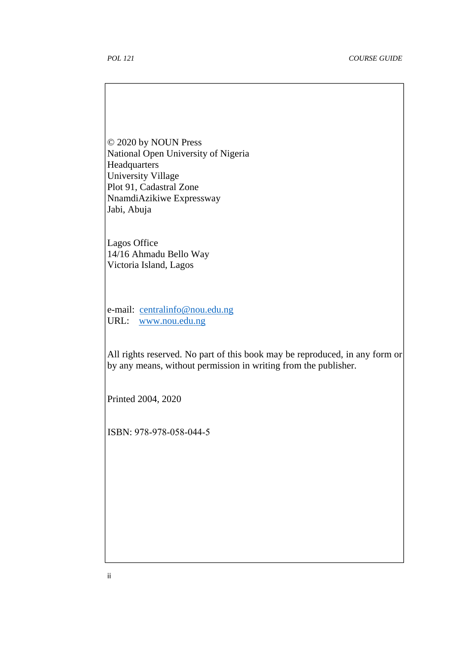© 2020 by NOUN Press National Open University of Nigeria **Headquarters** University Village Plot 91, Cadastral Zone NnamdiAzikiwe Expressway Jabi, Abuja

Lagos Office 14/16 Ahmadu Bello Way Victoria Island, Lagos

e-mail: centralinfo@nou.edu.ng URL: www.nou.edu.ng

All rights reserved. No part of this book may be reproduced, in any form or by any means, without permission in writing from the publisher.

Printed 2004, 2020

ISBN: 978-978-058-044-5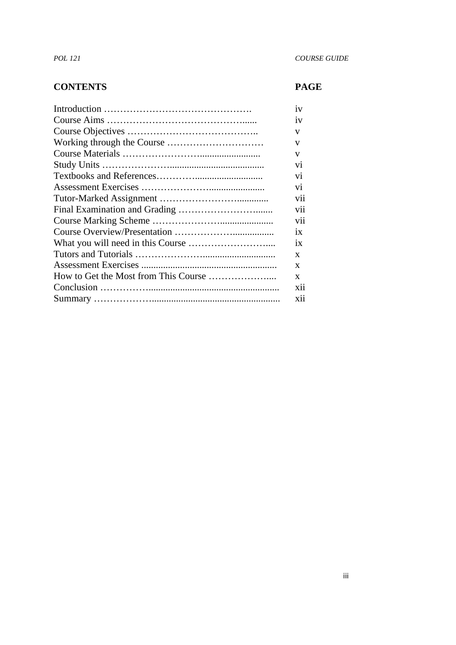#### **CONTENTS PAGE**

| 1V              |
|-----------------|
| 1V              |
| V               |
| V               |
| V               |
| V <sub>1</sub>  |
| V <sub>1</sub>  |
|                 |
| V <sub>1</sub>  |
| vii             |
| vii             |
| vii             |
| $\overline{1}X$ |
| $\overline{1}X$ |
| X               |
| X               |
| X               |
| X11             |
| <b>X11</b>      |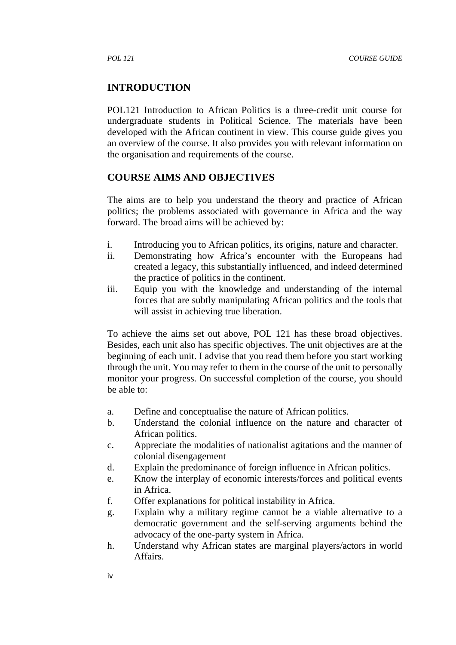#### **INTRODUCTION**

POL121 Introduction to African Politics is a three-credit unit course for undergraduate students in Political Science. The materials have been developed with the African continent in view. This course guide gives you an overview of the course. It also provides you with relevant information on the organisation and requirements of the course.

#### **COURSE AIMS AND OBJECTIVES**

The aims are to help you understand the theory and practice of African politics; the problems associated with governance in Africa and the way forward. The broad aims will be achieved by:

- i. Introducing you to African politics, its origins, nature and character.
- ii. Demonstrating how Africa's encounter with the Europeans had created a legacy, this substantially influenced, and indeed determined the practice of politics in the continent.
- iii. Equip you with the knowledge and understanding of the internal forces that are subtly manipulating African politics and the tools that will assist in achieving true liberation.

To achieve the aims set out above, POL 121 has these broad objectives. Besides, each unit also has specific objectives. The unit objectives are at the beginning of each unit. I advise that you read them before you start working through the unit. You may refer to them in the course of the unit to personally monitor your progress. On successful completion of the course, you should be able to:

- a. Define and conceptualise the nature of African politics.
- b. Understand the colonial influence on the nature and character of African politics.
- c. Appreciate the modalities of nationalist agitations and the manner of colonial disengagement
- d. Explain the predominance of foreign influence in African politics.
- e. Know the interplay of economic interests/forces and political events in Africa.
- f. Offer explanations for political instability in Africa.
- g. Explain why a military regime cannot be a viable alternative to a democratic government and the self-serving arguments behind the advocacy of the one-party system in Africa.
- h. Understand why African states are marginal players/actors in world Affairs.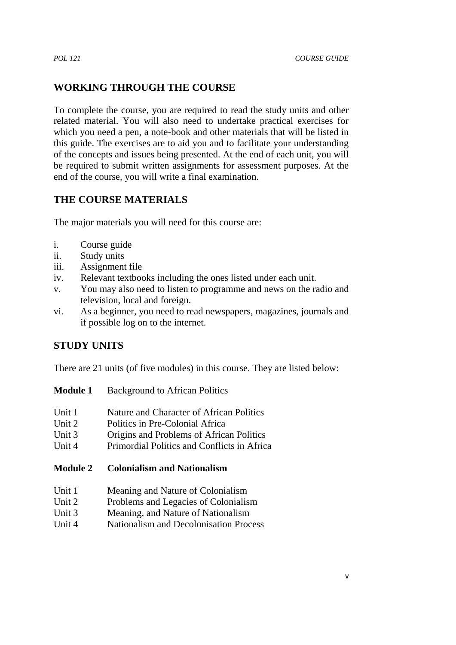## **WORKING THROUGH THE COURSE**

To complete the course, you are required to read the study units and other related material. You will also need to undertake practical exercises for which you need a pen, a note-book and other materials that will be listed in this guide. The exercises are to aid you and to facilitate your understanding of the concepts and issues being presented. At the end of each unit, you will be required to submit written assignments for assessment purposes. At the end of the course, you will write a final examination.

## **THE COURSE MATERIALS**

The major materials you will need for this course are:

- i. Course guide
- ii. Study units
- iii. Assignment file
- iv. Relevant textbooks including the ones listed under each unit.
- v. You may also need to listen to programme and news on the radio and television, local and foreign.
- vi. As a beginner, you need to read newspapers, magazines, journals and if possible log on to the internet.

#### **STUDY UNITS**

There are 21 units (of five modules) in this course. They are listed below:

| <b>Module 1</b> | <b>Background to African Politics</b> |  |
|-----------------|---------------------------------------|--|
|                 |                                       |  |

- Unit 1 Nature and Character of African Politics
- Unit 2 Politics in Pre-Colonial Africa
- Unit 3 Origins and Problems of African Politics
- Unit 4 Primordial Politics and Conflicts in Africa

#### **Module 2 Colonialism and Nationalism**

- Unit 1 Meaning and Nature of Colonialism
- Unit 2 Problems and Legacies of Colonialism
- Unit 3 Meaning, and Nature of Nationalism
- Unit 4 Nationalism and Decolonisation Process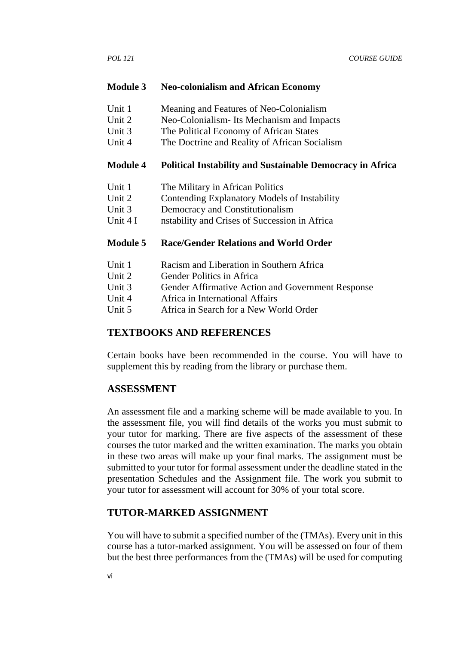#### **Module 3 Neo-colonialism and African Economy**

- Unit 1 Meaning and Features of Neo-Colonialism
- Unit 2 Neo-Colonialism- Its Mechanism and Impacts
- Unit 3 The Political Economy of African States
- Unit 4 The Doctrine and Reality of African Socialism

#### **Module 4 Political Instability and Sustainable Democracy in Africa**

- Unit 1 The Military in African Politics
- Unit 2 Contending Explanatory Models of Instability
- Unit 3 Democracy and Constitutionalism
- Unit 4 I nstability and Crises of Succession in Africa

#### **Module 5 Race/Gender Relations and World Order**

- Unit 1 Racism and Liberation in Southern Africa
- Unit 2 Gender Politics in Africa
- Unit 3 Gender Affirmative Action and Government Response
- Unit 4 Africa in International Affairs
- Unit 5 Africa in Search for a New World Order

#### **TEXTBOOKS AND REFERENCES**

Certain books have been recommended in the course. You will have to supplement this by reading from the library or purchase them.

#### **ASSESSMENT**

An assessment file and a marking scheme will be made available to you. In the assessment file, you will find details of the works you must submit to your tutor for marking. There are five aspects of the assessment of these courses the tutor marked and the written examination. The marks you obtain in these two areas will make up your final marks. The assignment must be submitted to your tutor for formal assessment under the deadline stated in the presentation Schedules and the Assignment file. The work you submit to your tutor for assessment will account for 30% of your total score.

#### **TUTOR-MARKED ASSIGNMENT**

You will have to submit a specified number of the (TMAs). Every unit in this course has a tutor-marked assignment. You will be assessed on four of them but the best three performances from the (TMAs) will be used for computing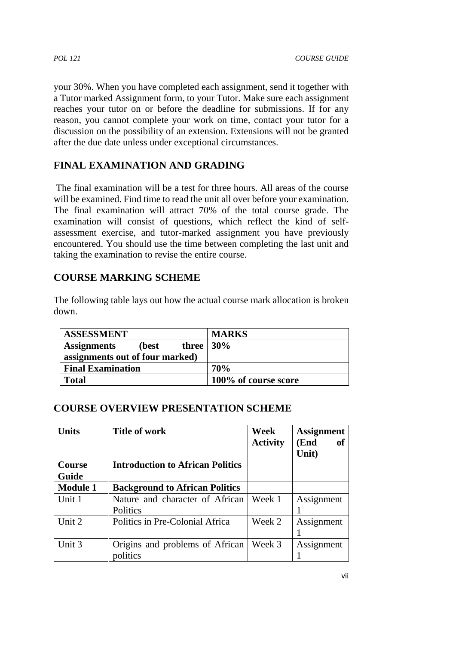your 30%. When you have completed each assignment, send it together with a Tutor marked Assignment form, to your Tutor. Make sure each assignment reaches your tutor on or before the deadline for submissions. If for any reason, you cannot complete your work on time, contact your tutor for a discussion on the possibility of an extension. Extensions will not be granted after the due date unless under exceptional circumstances.

# **FINAL EXAMINATION AND GRADING**

The final examination will be a test for three hours. All areas of the course will be examined. Find time to read the unit all over before your examination. The final examination will attract 70% of the total course grade. The examination will consist of questions, which reflect the kind of self assessment exercise, and tutor-marked assignment you have previously encountered. You should use the time between completing the last unit and taking the examination to revise the entire course.

## **COURSE MARKING SCHEME**

The following table lays out how the actual course mark allocation is broken down.

| <b>ASSESSMENT</b>                                       | <b>MARKS</b>         |
|---------------------------------------------------------|----------------------|
| three $\vert 30\% \vert$<br><b>Assignments</b><br>(best |                      |
| assignments out of four marked)                         |                      |
| <b>Final Examination</b>                                | 70%                  |
| <b>Total</b>                                            | 100% of course score |

#### **COURSE OVERVIEW PRESENTATION SCHEME**

| <b>Units</b>           | <b>Title of work</b>                        | Week<br><b>Activity</b> | <b>Assignment</b><br>(End<br>of<br>Unit) |
|------------------------|---------------------------------------------|-------------------------|------------------------------------------|
| <b>Course</b><br>Guide | <b>Introduction to African Politics</b>     |                         |                                          |
| <b>Module 1</b>        | <b>Background to African Politics</b>       |                         |                                          |
| Unit 1                 | Nature and character of African<br>Politics | Week 1                  | Assignment                               |
| Unit 2                 | Politics in Pre-Colonial Africa             | Week 2                  | Assignment                               |
| Unit 3                 | Origins and problems of African<br>politics | Week 3                  | Assignment                               |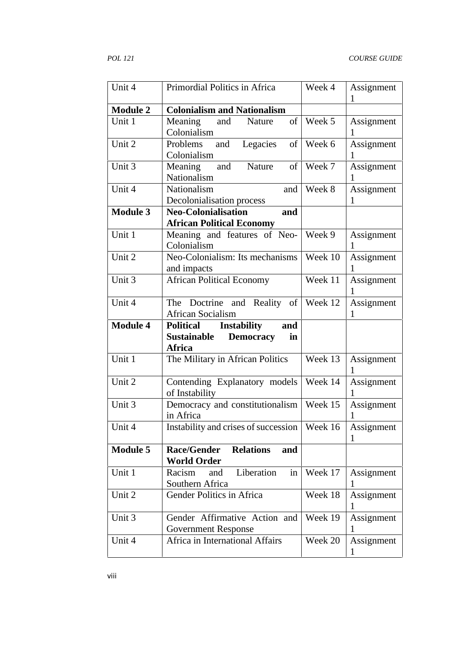| Unit 4          | Primordial Politics in Africa                                                                 | Week 4  | Assignment<br>1            |
|-----------------|-----------------------------------------------------------------------------------------------|---------|----------------------------|
| <b>Module 2</b> | <b>Colonialism and Nationalism</b>                                                            |         |                            |
| Unit 1          | Meaning<br>and<br>Nature<br>of<br>Colonialism                                                 | Week 5  | Assignment<br>1            |
| Unit 2          | Problems<br>Legacies<br>and<br>of<br>Colonialism                                              | Week 6  | Assignment<br>1            |
| Unit 3          | of<br>Meaning<br>and<br>Nature<br>Nationalism                                                 | Week 7  | Assignment<br>1            |
| Unit 4          | Nationalism<br>and<br>Decolonialisation process                                               | Week 8  | Assignment<br>1            |
| <b>Module 3</b> | <b>Neo-Colonialisation</b><br>and<br><b>African Political Economy</b>                         |         |                            |
| Unit 1          | Meaning and features of Neo-<br>Colonialism                                                   | Week 9  | Assignment<br>1            |
| Unit 2          | Neo-Colonialism: Its mechanisms<br>and impacts                                                | Week 10 | Assignment<br>1            |
| Unit 3          | <b>African Political Economy</b>                                                              | Week 11 | Assignment<br>1            |
| Unit 4          | The Doctrine and Reality of<br><b>African Socialism</b>                                       | Week 12 | Assignment<br>1            |
|                 |                                                                                               |         |                            |
| <b>Module 4</b> | <b>Political</b><br><b>Instability</b><br>and<br><b>Sustainable</b><br><b>Democracy</b><br>in |         |                            |
| Unit 1          | <b>Africa</b><br>The Military in African Politics                                             | Week 13 | Assignment<br>1            |
| Unit 2          | Contending Explanatory models<br>of Instability                                               | Week 14 | Assignment<br>1            |
| Unit 3          | Democracy and constitutionalism<br>in Africa                                                  | Week 15 | Assignment<br>$\mathbf{1}$ |
| Unit 4          | Instability and crises of succession                                                          | Week 16 | Assignment<br>1            |
| <b>Module 5</b> | <b>Race/Gender</b><br><b>Relations</b><br>and<br><b>World Order</b>                           |         |                            |
| Unit 1          | Racism<br>Liberation<br>and<br>in<br>Southern Africa                                          | Week 17 | Assignment                 |
| Unit 2          | Gender Politics in Africa                                                                     | Week 18 | Assignment<br>1            |
| Unit 3          | Gender Affirmative Action and<br><b>Government Response</b>                                   | Week 19 | Assignment                 |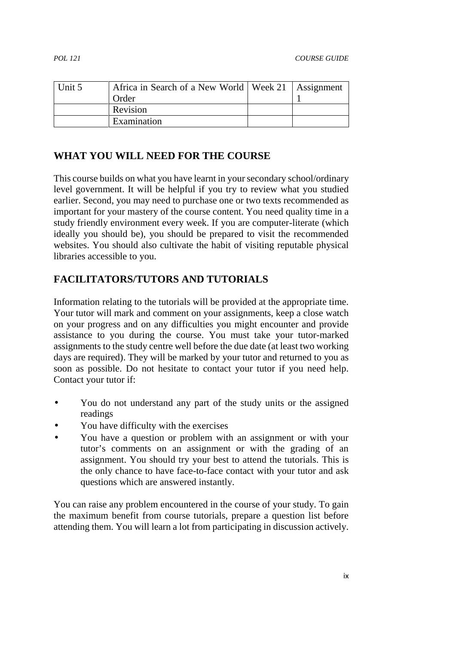| Unit 5 | Africa in Search of a New World   Week 21   Assignment |  |
|--------|--------------------------------------------------------|--|
|        | Order                                                  |  |
|        | Revision                                               |  |
|        | Examination                                            |  |

#### **WHAT YOU WILL NEED FOR THE COURSE**

This course builds on what you have learnt in your secondary school/ordinary level government. It will be helpful if you try to review what you studied earlier. Second, you may need to purchase one or two texts recommended as important for your mastery of the course content. You need quality time in a study friendly environment every week. If you are computer-literate (which ideally you should be), you should be prepared to visit the recommended websites. You should also cultivate the habit of visiting reputable physical libraries accessible to you.

#### **FACILITATORS/TUTORS AND TUTORIALS**

Information relating to the tutorials will be provided at the appropriate time. Your tutor will mark and comment on your assignments, keep a close watch on your progress and on any difficulties you might encounter and provide assistance to you during the course. You must take your tutor-marked assignments to the study centre well before the due date (at least two working days are required). They will be marked by your tutor and returned to you as soon as possible. Do not hesitate to contact your tutor if you need help. Contact your tutor if:

- You do not understand any part of the study units or the assigned readings
- You have difficulty with the exercises
- You have a question or problem with an assignment or with your tutor's comments on an assignment or with the grading of an assignment. You should try your best to attend the tutorials. This is the only chance to have face-to-face contact with your tutor and ask questions which are answered instantly.

You can raise any problem encountered in the course of your study. To gain the maximum benefit from course tutorials, prepare a question list before attending them. You will learn a lot from participating in discussion actively.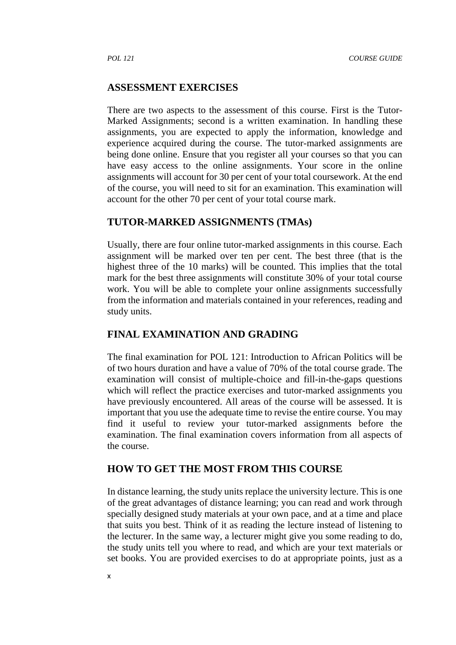#### **ASSESSMENT EXERCISES**

There are two aspects to the assessment of this course. First is the Tutor- Marked Assignments; second is a written examination. In handling these assignments, you are expected to apply the information, knowledge and experience acquired during the course. The tutor-marked assignments are being done online. Ensure that you register all your courses so that you can have easy access to the online assignments. Your score in the online assignments will account for 30 per cent of your total coursework. At the end of the course, you will need to sit for an examination. This examination will account for the other 70 per cent of your total course mark.

#### **TUTOR-MARKED ASSIGNMENTS (TMAs)**

Usually, there are four online tutor-marked assignments in this course. Each assignment will be marked over ten per cent. The best three (that is the highest three of the 10 marks) will be counted. This implies that the total mark for the best three assignments will constitute 30% of your total course work. You will be able to complete your online assignments successfully from the information and materials contained in your references, reading and study units.

#### **FINAL EXAMINATION AND GRADING**

The final examination for POL 121: Introduction to African Politics will be of two hours duration and have a value of 70% of the total course grade. The examination will consist of multiple-choice and fill-in-the-gaps questions which will reflect the practice exercises and tutor-marked assignments you have previously encountered. All areas of the course will be assessed. It is important that you use the adequate time to revise the entire course. You may find it useful to review your tutor-marked assignments before the examination. The final examination covers information from all aspects of the course.

#### **HOW TO GET THE MOST FROM THIS COURSE**

In distance learning, the study units replace the university lecture. This is one of the great advantages of distance learning; you can read and work through specially designed study materials at your own pace, and at a time and place that suits you best. Think of it as reading the lecture instead of listening to the lecturer. In the same way, a lecturer might give you some reading to do, the study units tell you where to read, and which are your text materials or set books. You are provided exercises to do at appropriate points, just as a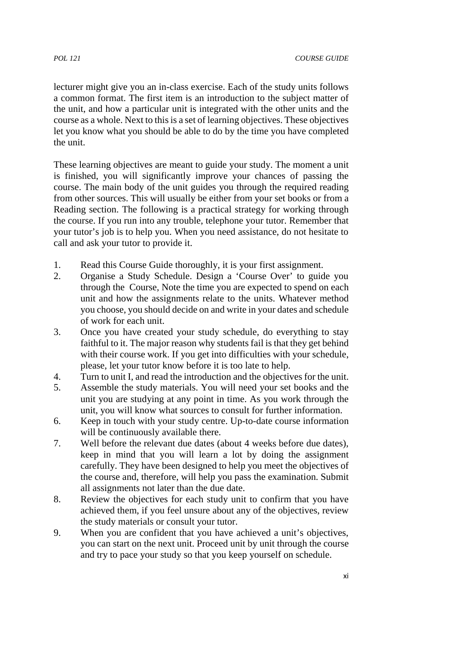lecturer might give you an in-class exercise. Each of the study units follows a common format. The first item is an introduction to the subject matter of the unit, and how a particular unit is integrated with the other units and the course as a whole. Next to this is a set of learning objectives. These objectives let you know what you should be able to do by the time you have completed the unit.

These learning objectives are meant to guide your study. The moment a unit is finished, you will significantly improve your chances of passing the course. The main body of the unit guides you through the required reading from other sources. This will usually be either from your set books or from a Reading section. The following is a practical strategy for working through the course. If you run into any trouble, telephone your tutor. Remember that your tutor's job is to help you. When you need assistance, do not hesitate to call and ask your tutor to provide it.

- 1. Read this Course Guide thoroughly, it is your first assignment.
- 2. Organise a Study Schedule. Design a 'Course Over' to guide you through the Course, Note the time you are expected to spend on each unit and how the assignments relate to the units. Whatever method you choose, you should decide on and write in your dates and schedule of work for each unit.
- 3. Once you have created your study schedule, do everything to stay faithful to it. The major reason why students fail is that they get behind with their course work. If you get into difficulties with your schedule, please, let your tutor know before it is too late to help.
- 4. Turn to unit I, and read the introduction and the objectives for the unit.
- 5. Assemble the study materials. You will need your set books and the unit you are studying at any point in time. As you work through the unit, you will know what sources to consult for further information.
- 6. Keep in touch with your study centre. Up-to-date course information will be continuously available there.
- 7. Well before the relevant due dates (about 4 weeks before due dates), keep in mind that you will learn a lot by doing the assignment carefully. They have been designed to help you meet the objectives of the course and, therefore, will help you pass the examination. Submit all assignments not later than the due date.
- 8. Review the objectives for each study unit to confirm that you have achieved them, if you feel unsure about any of the objectives, review the study materials or consult your tutor.
- 9. When you are confident that you have achieved a unit's objectives, you can start on the next unit. Proceed unit by unit through the course and try to pace your study so that you keep yourself on schedule.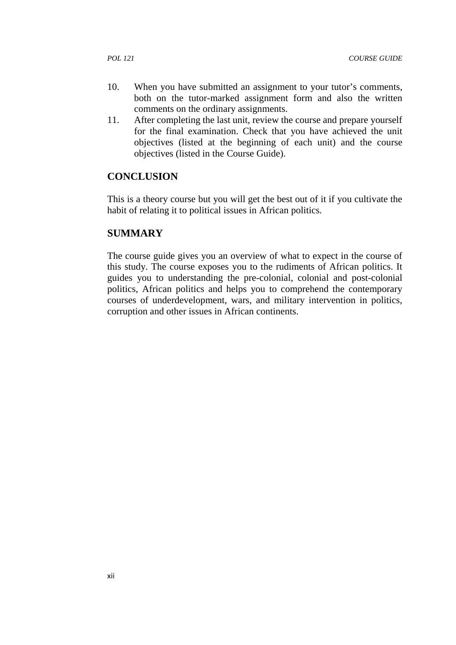- 10. When you have submitted an assignment to your tutor's comments, both on the tutor-marked assignment form and also the written comments on the ordinary assignments.
- 11. After completing the last unit, review the course and prepare yourself for the final examination. Check that you have achieved the unit objectives (listed at the beginning of each unit) and the course objectives (listed in the Course Guide).

#### **CONCLUSION**

This is a theory course but you will get the best out of it if you cultivate the habit of relating it to political issues in African politics.

#### **SUMMARY**

The course guide gives you an overview of what to expect in the course of this study. The course exposes you to the rudiments of African politics. It guides you to understanding the pre-colonial, colonial and post-colonial politics, African politics and helps you to comprehend the contemporary courses of underdevelopment, wars, and military intervention in politics, corruption and other issues in African continents.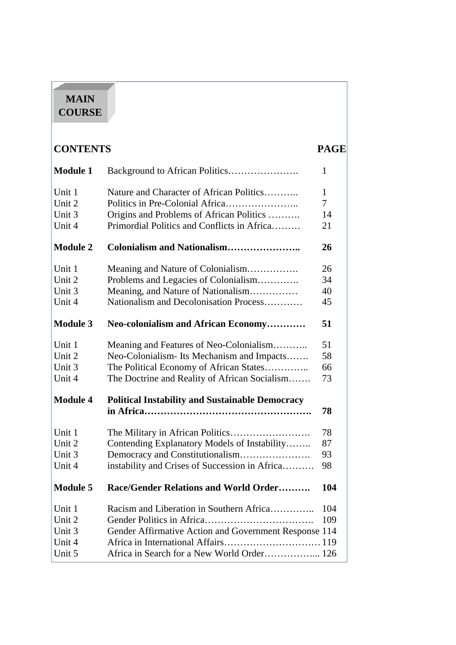# **MAIN COURSE**

| <b>CONTENTS</b> |                                                        | <b>PAGE</b> |
|-----------------|--------------------------------------------------------|-------------|
| <b>Module 1</b> |                                                        | 1           |
| Unit 1          | Nature and Character of African Politics               | 1           |
| Unit 2          |                                                        | $\tau$      |
| Unit 3          | Origins and Problems of African Politics               | 14          |
| Unit 4          | Primordial Politics and Conflicts in Africa            | 21          |
| <b>Module 2</b> | <b>Colonialism and Nationalism</b>                     | 26          |
| Unit 1          | Meaning and Nature of Colonialism                      | 26          |
| Unit 2          | Problems and Legacies of Colonialism                   | 34          |
| Unit 3          | Meaning, and Nature of Nationalism                     | 40          |
| Unit 4          | Nationalism and Decolonisation Process                 | 45          |
| <b>Module 3</b> | Neo-colonialism and African Economy                    | 51          |
| Unit 1          | Meaning and Features of Neo-Colonialism                | 51          |
| Unit 2          | Neo-Colonialism-Its Mechanism and Impacts              | 58          |
| Unit 3          | The Political Economy of African States                | 66          |
| Unit 4          | The Doctrine and Reality of African Socialism          | 73          |
| <b>Module 4</b> | <b>Political Instability and Sustainable Democracy</b> |             |
|                 |                                                        | 78          |
| Unit 1          |                                                        | 78          |
| Unit 2          | Contending Explanatory Models of Instability           | 87          |
| Unit 3          |                                                        | 93          |
| Unit 4          | instability and Crises of Succession in Africa         | 98          |
| <b>Module 5</b> | Race/Gender Relations and World Order                  | 104         |
| Unit 1          | Racism and Liberation in Southern Africa               | 104         |
| Unit 2          |                                                        | 109         |
| Unit 3          | Gender Affirmative Action and Government Response 114  |             |
| Unit 4          |                                                        |             |
| Unit 5          | Africa in Search for a New World Order 126             |             |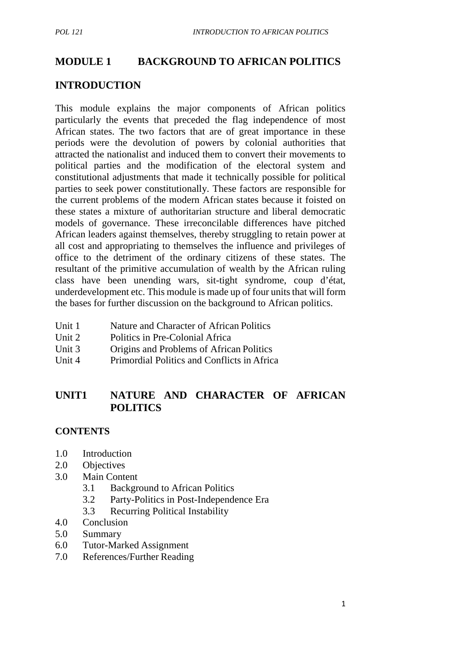#### **MODULE 1 BACKGROUND TO AFRICAN POLITICS**

# **INTRODUCTION**

This module explains the major components of African politics particularly the events that preceded the flag independence of most African states. The two factors that are of great importance in these periods were the devolution of powers by colonial authorities that attracted the nationalist and induced them to convert their movements to political parties and the modification of the electoral system and constitutional adjustments that made it technically possible for political parties to seek power constitutionally. These factors are responsible for the current problems of the modern African states because it foisted on these states a mixture of authoritarian structure and liberal democratic models of governance. These irreconcilable differences have pitched African leaders against themselves, thereby struggling to retain power at all cost and appropriating to themselves the influence and privileges of office to the detriment of the ordinary citizens of these states. The resultant of the primitive accumulation of wealth by the African ruling class have been unending wars, sit-tight syndrome, coup d'état, underdevelopment etc. This module is made up of four units that will form the bases for further discussion on the background to African politics.

- Unit 1 Nature and Character of African Politics
- Unit 2 Politics in Pre-Colonial Africa
- Unit 3 Origins and Problems of African Politics
- Unit 4 Primordial Politics and Conflicts in Africa

## **UNIT1 NATURE AND CHARACTER OF AFRICAN POLITICS**

#### **CONTENTS**

- 1.0 Introduction
- 2.0 Objectives
- 3.0 Main Content
	- 3.1 Background to African Politics
	- 3.2 Party-Politics in Post-Independence Era
	- 3.3 Recurring Political Instability
- 4.0 Conclusion
- 5.0 Summary
- 6.0 Tutor-Marked Assignment
- 7.0 References/Further Reading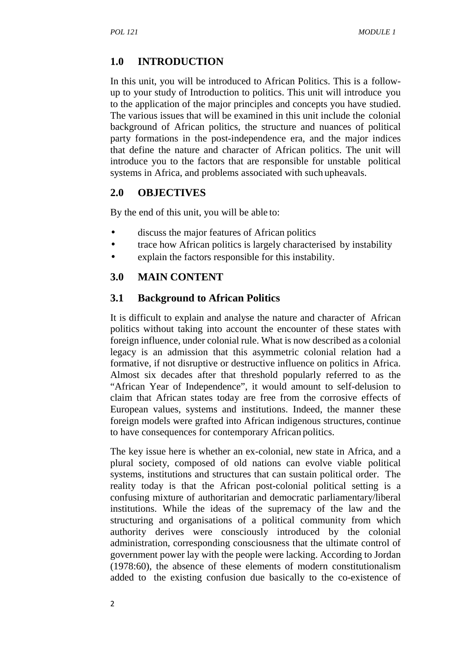# **1.0 INTRODUCTION**

In this unit, you will be introduced to African Politics. This is a follow up to your study of Introduction to politics. This unit will introduce you to the application of the major principles and concepts you have studied. The various issues that will be examined in this unit include the colonial background of African politics, the structure and nuances of political party formations in the post-independence era, and the major indices that define the nature and character of African politics. The unit will introduce you to the factors that are responsible for unstable political systems in Africa, and problems associated with such upheavals.

## **2.0 OBJECTIVES**

By the end of this unit, you will be able to:

- discuss the major features of African politics
- trace how African politics is largely characterised by instability
- explain the factors responsible for this instability.

# **3.0 MAIN CONTENT**

#### **3.1 Background to African Politics**

It is difficult to explain and analyse the nature and character of African politics without taking into account the encounter of these states with foreign influence, under colonial rule. What is now described as a colonial legacy is an admission that this asymmetric colonial relation had a formative, if not disruptive or destructive influence on politics in Africa. Almost six decades after that threshold popularly referred to as the "African Year of Independence", it would amount to self-delusion to claim that African states today are free from the corrosive effects of European values, systems and institutions. Indeed, the manner these foreign models were grafted into African indigenous structures, continue to have consequences for contemporary African politics.

The key issue here is whether an ex-colonial, new state in Africa, and a plural society, composed of old nations can evolve viable political systems, institutions and structures that can sustain political order. The reality today is that the African post-colonial political setting is a confusing mixture of authoritarian and democratic parliamentary/liberal institutions. While the ideas of the supremacy of the law and the structuring and organisations of a political community from which authority derives were consciously introduced by the colonial administration, corresponding consciousness that the ultimate control of government power lay with the people were lacking. According to Jordan (1978:60), the absence of these elements of modern constitutionalism added to the existing confusion due basically to the co-existence of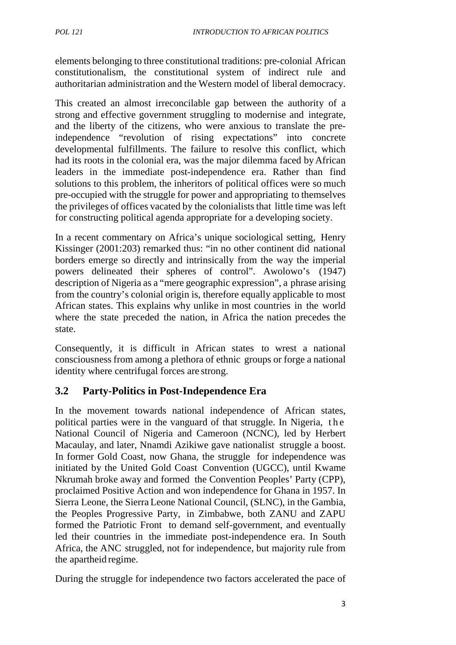elements belonging to three constitutional traditions: pre-colonial African constitutionalism, the constitutional system of indirect rule and authoritarian administration and the Western model of liberal democracy.

This created an almost irreconcilable gap between the authority of a strong and effective government struggling to modernise and integrate, and the liberty of the citizens, who were anxious to translate the preindependence "revolution of rising expectations" into concrete developmental fulfillments. The failure to resolve this conflict, which had its roots in the colonial era, was the major dilemma faced byAfrican leaders in the immediate post-independence era. Rather than find solutions to this problem, the inheritors of political offices were so much pre-occupied with the struggle for power and appropriating to themselves the privileges of offices vacated by the colonialists that little time was left for constructing political agenda appropriate for a developing society.

In a recent commentary on Africa's unique sociological setting, Henry Kissinger (2001:203) remarked thus: "in no other continent did national borders emerge so directly and intrinsically from the way the imperial powers delineated their spheres of control". Awolowo's (1947) description of Nigeria as a "mere geographic expression", a phrase arising from the country's colonial origin is, therefore equally applicable to most African states. This explains why unlike in most countries in the world where the state preceded the nation, in Africa the nation precedes the state.

Consequently, it is difficult in African states to wrest a national consciousness from among a plethora of ethnic groups or forge a national identity where centrifugal forces are strong.

# **3.2 Party-Politics in Post-Independence Era**

In the movement towards national independence of African states, political parties were in the vanguard of that struggle. In Nigeria, the Mational Council of Nigeria and Cameroon (NCNC), led by Herbert Macaulay, and later, Nnamdi Azikiwe gave nationalist struggle a boost. In former Gold Coast, now Ghana, the struggle for independence was initiated by the United Gold Coast Convention (UGCC), until Kwame Nkrumah broke away and formed the Convention Peoples' Party (CPP), proclaimed Positive Action and won independence for Ghana in 1957. In Sierra Leone, the Sierra Leone National Council, (SLNC), in the Gambia, the Peoples Progressive Party, in Zimbabwe, both ZANU and ZAPU formed the Patriotic Front to demand self-government, and eventually led their countries in the immediate post-independence era. In South Africa, the ANC struggled, not for independence, but majority rule from the apartheid regime.

During the struggle for independence two factors accelerated the pace of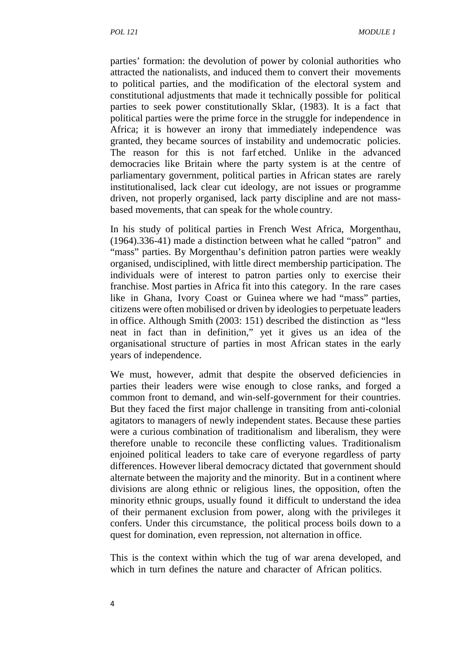parties' formation: the devolution of power by colonial authorities who attracted the nationalists, and induced them to convert their movements to political parties, and the modification of the electoral system and constitutional adjustments that made it technically possible for political parties to seek power constitutionally Sklar, (1983). It is a fact that political parties were the prime force in the struggle for independence in Africa; it is however an irony that immediately independence was granted, they became sources of instability and undemocratic policies. The reason for this is not farf etched. Unlike in the advanced democracies like Britain where the party system is at the centre of parliamentary government, political parties in African states are rarely institutionalised, lack clear cut ideology, are not issues or programme driven, not properly organised, lack party discipline and are not mass based movements, that can speak for the whole country.

In his study of political parties in French West Africa, Morgenthau, (1964).336-41) made a distinction between what he called "patron" and "mass" parties. By Morgenthau's definition patron parties were weakly organised, undisciplined, with little direct membership participation. The individuals were of interest to patron parties only to exercise their franchise. Most parties in Africa fit into this category. In the rare cases like in Ghana, Ivory Coast or Guinea where we had "mass" parties, citizens were often mobilised or driven by ideologies to perpetuate leaders in office. Although Smith (2003: 151) described the distinction as "less neat in fact than in definition," yet it gives us an idea of the organisational structure of parties in most African states in the early years of independence.

We must, however, admit that despite the observed deficiencies in parties their leaders were wise enough to close ranks, and forged a common front to demand, and win-self-government for their countries. But they faced the first major challenge in transiting from anti-colonial agitators to managers of newly independent states. Because these parties were a curious combination of traditionalism and liberalism, they were therefore unable to reconcile these conflicting values. Traditionalism enjoined political leaders to take care of everyone regardless of party differences. However liberal democracy dictated that government should alternate between the majority and the minority. But in a continent where divisions are along ethnic or religious lines, the opposition, often the minority ethnic groups, usually found it difficult to understand the idea of their permanent exclusion from power, along with the privileges it confers. Under this circumstance, the political process boils down to a quest for domination, even repression, not alternation in office.

This is the context within which the tug of war arena developed, and which in turn defines the nature and character of African politics.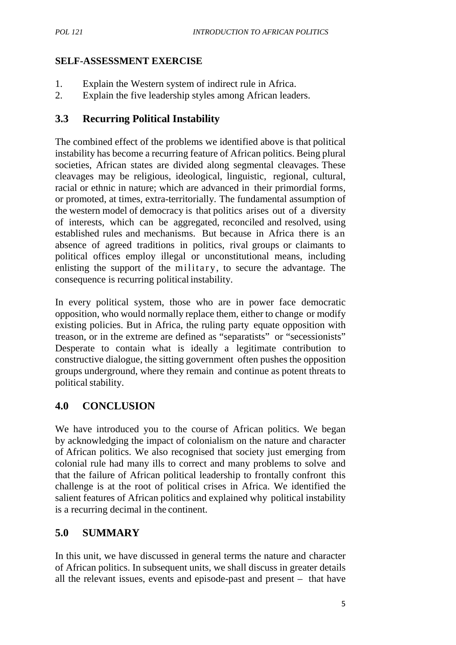#### **SELF-ASSESSMENT EXERCISE**

- 1. Explain the Western system of indirect rule in Africa.
- 2. Explain the five leadership styles among African leaders.

# **3.3 Recurring Political Instability**

The combined effect of the problems we identified above is that political instability has become a recurring feature of African politics. Being plural societies, African states are divided along segmental cleavages. These cleavages may be religious, ideological, linguistic, regional, cultural, racial or ethnic in nature; which are advanced in their primordial forms, or promoted, at times, extra-territorially. The fundamental assumption of the western model of democracy is that politics arises out of a diversity of interests, which can be aggregated, reconciled and resolved, using established rules and mechanisms. But because in Africa there is an absence of agreed traditions in politics, rival groups or claimants to political offices employ illegal or unconstitutional means, including the western model of democracy is that politics arises out of a diversity of interests, which can be aggregated, reconciled and resolved, using established rules and mechanisms. But because in Africa there is an absence of consequence is recurring political instability.

In every political system, those who are in power face democratic opposition, who would normally replace them, either to change or modify existing policies. But in Africa, the ruling party equate opposition with treason, or in the extreme are defined as "separatists" or "secessionists" Desperate to contain what is ideally a legitimate contribution to constructive dialogue, the sitting government often pushes the opposition groups underground, where they remain and continue as potent threats to political stability.

# **4.0 CONCLUSION**

We have introduced you to the course of African politics. We began by acknowledging the impact of colonialism on the nature and character of African politics. We also recognised that society just emerging from colonial rule had many ills to correct and many problems to solve and that the failure of African political leadership to frontally confront this challenge is at the root of political crises in Africa. We identified the salient features of African politics and explained why political instability is a recurring decimal in the continent.

# **5.0 SUMMARY**

In this unit, we have discussed in general terms the nature and character of African politics. In subsequent units, we shall discuss in greater details all the relevant issues, events and episode-past and present – that have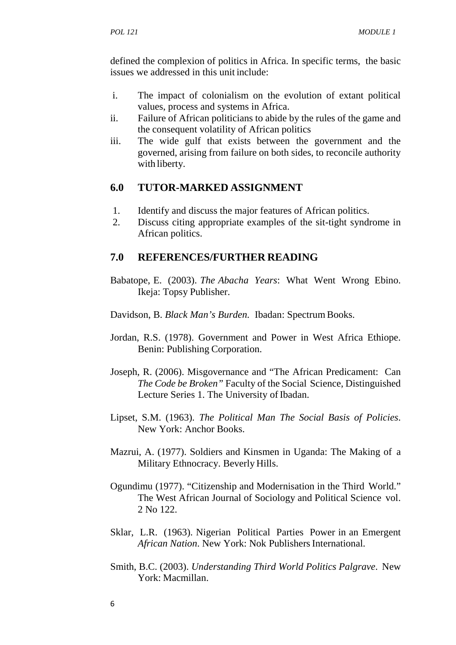defined the complexion of politics in Africa. In specific terms, the basic issues we addressed in this unit include:

- i. The impact of colonialism on the evolution of extant political values, process and systems in Africa.
- ii. Failure of African politicians to abide by the rules of the game and the consequent volatility of African politics
- iii. The wide gulf that exists between the government and the governed, arising from failure on both sides, to reconcile authority with liberty.

#### **6.0 TUTOR-MARKED ASSIGNMENT**

- 1. Identify and discuss the major features of African politics.
- 2. Discuss citing appropriate examples of the sit-tight syndrome in African politics.

#### **7.0 REFERENCES/FURTHER READING**

- Babatope, E. (2003). *The Abacha Years*: What Went Wrong Ebino. Ikeja: Topsy Publisher.
- Davidson, B. *Black Man's Burden.* Ibadan: Spectrum Books.
- Jordan, R.S. (1978). Government and Power in West Africa Ethiope. Benin: Publishing Corporation.
- Joseph, R. (2006). Misgovernance and "The African Predicament: Can *The Code be Broken"* Faculty of the Social Science, Distinguished Lecture Series 1. The University of Ibadan.
- Lipset, S.M. (1963). *The Political Man The Social Basis of Policies*. New York: Anchor Books.
- Mazrui, A. (1977). Soldiers and Kinsmen in Uganda: The Making of a Military Ethnocracy. Beverly Hills.
- Ogundimu (1977). "Citizenship and Modernisation in the Third World." The West African Journal of Sociology and Political Science vol. 2 No 122.
- Sklar, L.R. (1963). Nigerian Political Parties Power in an Emergent *African Nation*. New York: Nok Publishers International.
- Smith, B.C. (2003). *Understanding Third World Politics Palgrave*. New York: Macmillan.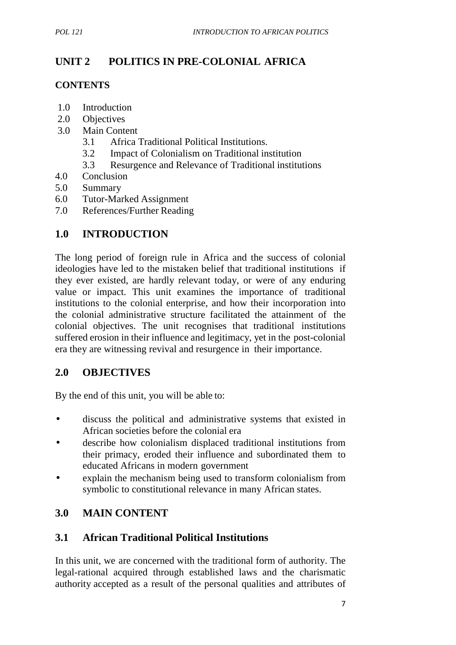# **UNIT 2 POLITICS IN PRE-COLONIAL AFRICA**

#### **CONTENTS**

- 1.0 Introduction
- 2.0 Objectives
- 3.0 Main Content
	- 3.1 Africa Traditional Political Institutions.
	- 3.2 Impact of Colonialism on Traditional institution
	- 3.3 Resurgence and Relevance of Traditional institutions
- 4.0 Conclusion
- 5.0 Summary
- 6.0 Tutor-Marked Assignment
- 7.0 References/Further Reading

## **1.0 INTRODUCTION**

The long period of foreign rule in Africa and the success of colonial ideologies have led to the mistaken belief that traditional institutions if they ever existed, are hardly relevant today, or were of any enduring value or impact. This unit examines the importance of traditional institutions to the colonial enterprise, and how their incorporation into the colonial administrative structure facilitated the attainment of the colonial objectives. The unit recognises that traditional institutions suffered erosion in their influence and legitimacy, yet in the post-colonial era they are witnessing revival and resurgence in their importance.

# **2.0 OBJECTIVES**

By the end of this unit, you will be able to:

- discuss the political and administrative systems that existed in African societies before the colonial era
- describe how colonialism displaced traditional institutions from their primacy, eroded their influence and subordinated them to educated Africans in modern government
- explain the mechanism being used to transform colonialism from symbolic to constitutional relevance in many African states.

# **3.0 MAIN CONTENT**

# **3.1 African Traditional Political Institutions**

In this unit, we are concerned with the traditional form of authority. The legal-rational acquired through established laws and the charismatic authority accepted as a result of the personal qualities and attributes of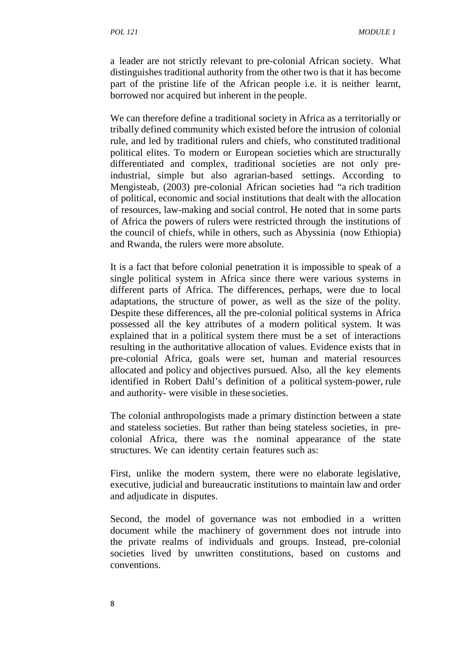a leader are not strictly relevant to pre-colonial African society. What distinguishes traditional authority from the other two is that it has become part of the pristine life of the African people i.e. it is neither learnt, borrowed nor acquired but inherent in the people.

We can therefore define a traditional society in Africa as a territorially or tribally defined community which existed before the intrusion of colonial rule, and led by traditional rulers and chiefs, who constituted traditional political elites. To modern or European societies which are structurally differentiated and complex, traditional societies are not only preindustrial, simple but also agrarian-based settings. According to Mengisteab, (2003) pre-colonial African societies had "a rich tradition of political, economic and social institutions that dealt with the allocation of resources, law-making and social control. He noted that in some parts of Africa the powers of rulers were restricted through the institutions of the council of chiefs, while in others, such as Abyssinia (now Ethiopia) and Rwanda, the rulers were more absolute.

It is a fact that before colonial penetration it is impossible to speak of a single political system in Africa since there were various systems in different parts of Africa. The differences, perhaps, were due to local adaptations, the structure of power, as well as the size of the polity. Despite these differences, all the pre-colonial political systems in Africa possessed all the key attributes of a modern political system. It was explained that in a political system there must be a set of interactions resulting in the authoritative allocation of values. Evidence exists that in pre-colonial Africa, goals were set, human and material resources allocated and policy and objectives pursued. Also, all the key elements identified in Robert Dahl's definition of a political system-power, rule and authority- were visible in these societies.

The colonial anthropologists made a primary distinction between a state and stateless societies. But rather than being stateless societies, in pre colonial Africa, there was the nominal appearance of the state structures. We can identity certain features such as:

First, unlike the modern system, there were no elaborate legislative, executive, judicial and bureaucratic institutions to maintain law and order and adjudicate in disputes.

Second, the model of governance was not embodied in a written document while the machinery of government does not intrude into the private realms of individuals and groups. Instead, pre-colonial societies lived by unwritten constitutions, based on customs and conventions.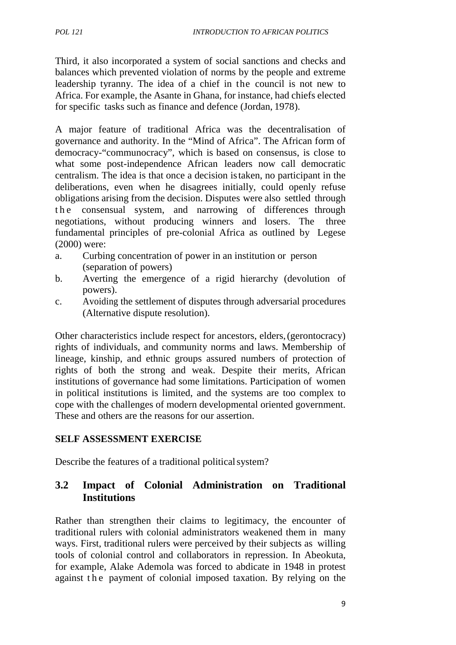Third, it also incorporated a system of social sanctions and checks and balances which prevented violation of norms by the people and extreme leadership tyranny. The idea of a chief in the council is not new to Africa. For example, the Asante in Ghana, for instance, had chiefs elected for specific tasks such as finance and defence (Jordan, 1978).

A major feature of traditional Africa was the decentralisation of governance and authority. In the "Mind of Africa". The African form of democracy-"communocracy", which is based on consensus, is close to what some post-independence African leaders now call democratic centralism. The idea is that once a decision istaken, no participant in the deliberations, even when he disagrees initially, could openly refuse obligations arising from the decision. Disputes were also settled through democracy-"communocracy", which is based on consensus, is close to<br>what some post-independence African leaders now call democratic<br>centralism. The idea is that once a decision is taken, no participant in the<br>deliberations, negotiations, without producing winners and losers. The three fundamental principles of pre-colonial Africa as outlined by Legese (2000) were:

- a. Curbing concentration of power in an institution or person (separation of powers)
- b. Averting the emergence of a rigid hierarchy (devolution of powers).
- c. Avoiding the settlement of disputes through adversarial procedures (Alternative dispute resolution).

Other characteristics include respect for ancestors, elders,(gerontocracy) rights of individuals, and community norms and laws. Membership of lineage, kinship, and ethnic groups assured numbers of protection of rights of both the strong and weak. Despite their merits, African institutions of governance had some limitations. Participation of women in political institutions is limited, and the systems are too complex to cope with the challenges of modern developmental oriented government. These and others are the reasons for our assertion.

#### **SELF ASSESSMENT EXERCISE**

Describe the features of a traditional political system?

## **3.2 Impact of Colonial Administration on Traditional Institutions**

Rather than strengthen their claims to legitimacy, the encounter of traditional rulers with colonial administrators weakened them in many ways. First, traditional rulers were perceived by their subjects as willing tools of colonial control and collaborators in repression. In Abeokuta, for example, Alake Ademola was forced to abdicate in 1948 in protest Rather than strengthen their claims to legitimacy, the encounter of traditional rulers with colonial administrators weakened them in many ways. First, traditional rulers were perceived by their subjects as willing tools of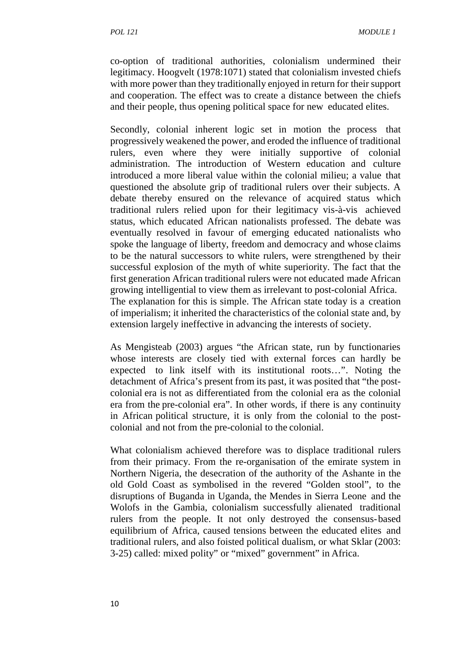co-option of traditional authorities, colonialism undermined their legitimacy. Hoogvelt (1978:1071) stated that colonialism invested chiefs with more power than they traditionally enjoyed in return for their support and cooperation. The effect was to create a distance between the chiefs and their people, thus opening political space for new educated elites.

Secondly, colonial inherent logic set in motion the process that progressively weakened the power, and eroded the influence of traditional rulers, even where they were initially supportive of colonial administration. The introduction of Western education and culture introduced a more liberal value within the colonial milieu; a value that questioned the absolute grip of traditional rulers over their subjects. A debate thereby ensured on the relevance of acquired status which traditional rulers relied upon for their legitimacy vis-à-vis achieved status, which educated African nationalists professed. The debate was eventually resolved in favour of emerging educated nationalists who spoke the language of liberty, freedom and democracy and whose claims to be the natural successors to white rulers, were strengthened by their successful explosion of the myth of white superiority. The fact that the first generation African traditional rulers were not educated made African growing intelligential to view them as irrelevant to post-colonial Africa. The explanation for this is simple. The African state today is a creation of imperialism; it inherited the characteristics of the colonial state and, by extension largely ineffective in advancing the interests of society.

As Mengisteab (2003) argues "the African state, run by functionaries whose interests are closely tied with external forces can hardly be expected to link itself with its institutional roots…". Noting the detachment of Africa's present from its past, it was posited that "the post colonial era is not as differentiated from the colonial era as the colonial era from the pre-colonial era". In other words, if there is any continuity in African political structure, it is only from the colonial to the post colonial and not from the pre-colonial to the colonial.

What colonialism achieved therefore was to displace traditional rulers from their primacy. From the re-organisation of the emirate system in Northern Nigeria, the desecration of the authority of the Ashante in the old Gold Coast as symbolised in the revered "Golden stool", to the disruptions of Buganda in Uganda, the Mendes in Sierra Leone and the Wolofs in the Gambia, colonialism successfully alienated traditional rulers from the people. It not only destroyed the consensus-based equilibrium of Africa, caused tensions between the educated elites and traditional rulers, and also foisted political dualism, or what Sklar (2003: 3-25) called: mixed polity" or "mixed" government" in Africa.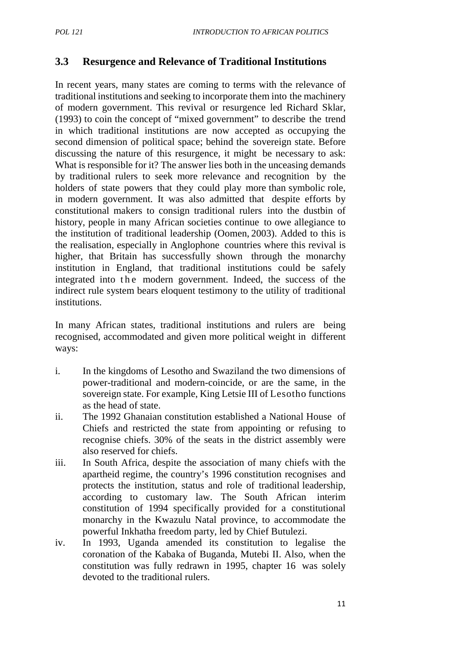#### **3.3 Resurgence and Relevance of Traditional Institutions**

In recent years, many states are coming to terms with the relevance of traditional institutions and seeking to incorporate them into the machinery of modern government. This revival or resurgence led Richard Sklar, (1993) to coin the concept of "mixed government" to describe the trend in which traditional institutions are now accepted as occupying the second dimension of political space; behind the sovereign state. Before discussing the nature of this resurgence, it might be necessary to ask: What is responsible for it? The answer lies both in the unceasing demands by traditional rulers to seek more relevance and recognition by the holders of state powers that they could play more than symbolic role, in modern government. It was also admitted that despite efforts by constitutional makers to consign traditional rulers into the dustbin of history, people in many African societies continue to owe allegiance to the institution of traditional leadership (Oomen, 2003). Added to this is the realisation, especially in Anglophone countries where this revival is higher, that Britain has successfully shown through the monarchy institution in England, that traditional institutions could be safely integrated into the modern government. Indeed, the success of the indirect rule system bears eloquent testimony to the utility of traditional institutions.

In many African states, traditional institutions and rulers are being recognised, accommodated and given more political weight in different ways:

- i. In the kingdoms of Lesotho and Swaziland the two dimensions of power-traditional and modern-coincide, or are the same, in the sovereign state. For example, King Letsie III of Lesotho functions as the head of state.
- ii. The 1992 Ghanaian constitution established a National House of Chiefs and restricted the state from appointing or refusing to recognise chiefs. 30% of the seats in the district assembly were also reserved for chiefs.
- iii. In South Africa, despite the association of many chiefs with the apartheid regime, the country's 1996 constitution recognises and protects the institution, status and role of traditional leadership, according to customary law. The South African interim constitution of 1994 specifically provided for a constitutional monarchy in the Kwazulu Natal province, to accommodate the powerful Inkhatha freedom party, led by Chief Butulezi.
- iv. In 1993, Uganda amended its constitution to legalise the coronation of the Kabaka of Buganda, Mutebi II. Also, when the constitution was fully redrawn in 1995, chapter 16 was solely devoted to the traditional rulers.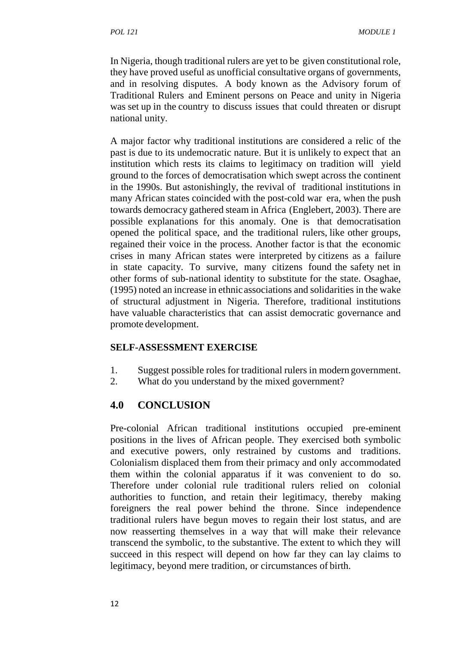In Nigeria, though traditional rulers are yet to be given constitutional role, they have proved useful as unofficial consultative organs of governments, and in resolving disputes. A body known as the Advisory forum of Traditional Rulers and Eminent persons on Peace and unity in Nigeria was set up in the country to discuss issues that could threaten or disrupt national unity.

A major factor why traditional institutions are considered a relic of the past is due to its undemocratic nature. But it is unlikely to expect that an institution which rests its claims to legitimacy on tradition will yield ground to the forces of democratisation which swept across the continent in the 1990s. But astonishingly, the revival of traditional institutions in many African states coincided with the post-cold war era, when the push towards democracy gathered steam in Africa (Englebert, 2003). There are possible explanations for this anomaly. One is that democratisation opened the political space, and the traditional rulers, like other groups, regained their voice in the process. Another factor is that the economic crises in many African states were interpreted by citizens as a failure in state capacity. To survive, many citizens found the safety net in other forms of sub-national identity to substitute for the state. Osaghae, (1995) noted an increase in ethnic associations and solidarities in the wake of structural adjustment in Nigeria. Therefore, traditional institutions have valuable characteristics that can assist democratic governance and promote development.

#### **SELF-ASSESSMENT EXERCISE**

- 1. Suggest possible roles for traditional rulers in modern government.
- 2. What do you understand by the mixed government?

#### **4.0 CONCLUSION**

Pre-colonial African traditional institutions occupied pre-eminent positions in the lives of African people. They exercised both symbolic and executive powers, only restrained by customs and traditions. Colonialism displaced them from their primacy and only accommodated them within the colonial apparatus if it was convenient to do so. Therefore under colonial rule traditional rulers relied on colonial authorities to function, and retain their legitimacy, thereby making foreigners the real power behind the throne. Since independence traditional rulers have begun moves to regain their lost status, and are now reasserting themselves in a way that will make their relevance transcend the symbolic, to the substantive. The extent to which they will succeed in this respect will depend on how far they can lay claims to legitimacy, beyond mere tradition, or circumstances of birth.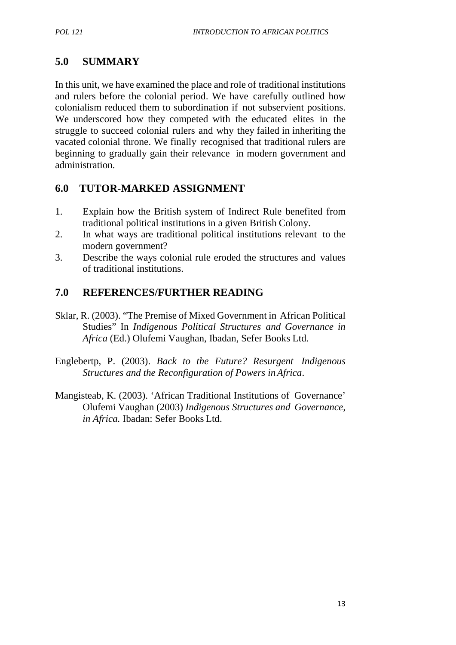# **5.0 SUMMARY**

In this unit, we have examined the place and role of traditional institutions and rulers before the colonial period. We have carefully outlined how colonialism reduced them to subordination if not subservient positions. We underscored how they competed with the educated elites in the struggle to succeed colonial rulers and why they failed in inheriting the vacated colonial throne. We finally recognised that traditional rulers are beginning to gradually gain their relevance in modern government and administration.

# **6.0 TUTOR-MARKED ASSIGNMENT**

- 1. Explain how the British system of Indirect Rule benefited from traditional political institutions in a given British Colony.
- 2. In what ways are traditional political institutions relevant to the modern government?
- 3. Describe the ways colonial rule eroded the structures and values of traditional institutions.

# **7.0 REFERENCES/FURTHER READING**

- Sklar, R. (2003). "The Premise of Mixed Government in African Political Studies" In *Indigenous Political Structures and Governance in Africa* (Ed.) Olufemi Vaughan, Ibadan, Sefer Books Ltd.
- Englebertp, P. (2003). *Back to the Future? Resurgent Indigenous Structures and the Reconfiguration of Powers inAfrica*.
- Mangisteab, K. (2003). 'African Traditional Institutions of Governance' Olufemi Vaughan (2003) *Indigenous Structures and Governance, in Africa.* Ibadan: Sefer Books Ltd.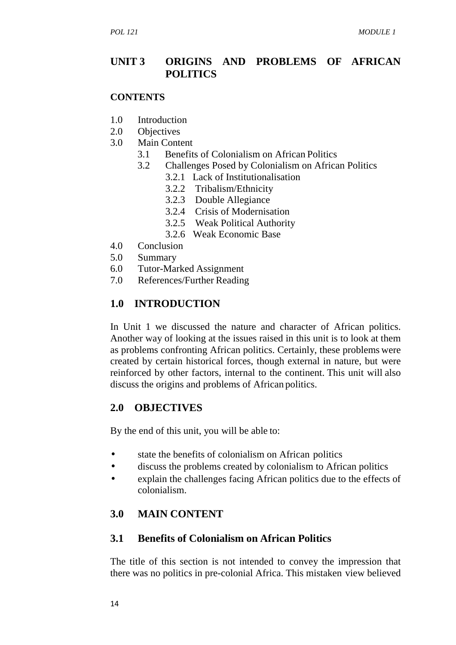#### **UNIT 3 ORIGINS AND PROBLEMS OF AFRICAN POLITICS**

#### **CONTENTS**

- 1.0 Introduction
- 2.0 Objectives
- 3.0 Main Content
	- 3.1 Benefits of Colonialism on African Politics
	- 3.2 Challenges Posed by Colonialism on African Politics
		- 3.2.1 Lack of Institutionalisation
		- 3.2.2 Tribalism/Ethnicity
		- 3.2.3 Double Allegiance
		- 3.2.4 Crisis of Modernisation
		- 3.2.5 Weak Political Authority
		- 3.2.6 Weak Economic Base
- 4.0 Conclusion
- 5.0 Summary
- 6.0 Tutor-Marked Assignment
- 7.0 References/Further Reading

# **1.0 INTRODUCTION**

In Unit 1 we discussed the nature and character of African politics. Another way of looking at the issues raised in this unit is to look at them as problems confronting African politics. Certainly, these problems were created by certain historical forces, though external in nature, but were reinforced by other factors, internal to the continent. This unit will also discuss the origins and problems of African politics.

#### **2.0 OBJECTIVES**

By the end of this unit, you will be able to:

- state the benefits of colonialism on African politics
- discuss the problems created by colonialism to African politics
- explain the challenges facing African politics due to the effects of colonialism.

# **3.0 MAIN CONTENT**

#### **3.1 Benefits of Colonialism on African Politics**

The title of this section is not intended to convey the impression that there was no politics in pre-colonial Africa. This mistaken view believed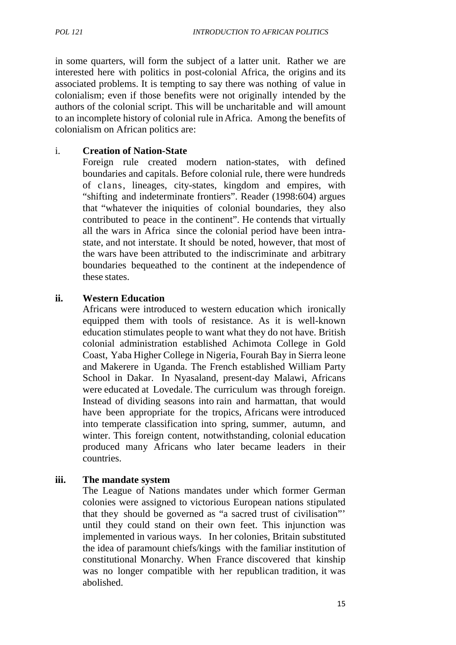in some quarters, will form the subject of a latter unit. Rather we are interested here with politics in post-colonial Africa, the origins and its associated problems. It is tempting to say there was nothing of value in colonialism; even if those benefits were not originally intended by the authors of the colonial script. This will be uncharitable and will amount to an incomplete history of colonial rule in Africa. Among the benefits of colonialism on African politics are:

#### i. **Creation of Nation-State**

Foreign rule created modern nation-states, with defined boundaries and capitals. Before colonial rule, there were hundreds of clans, lineages, city-states, kingdom and empires, with "shifting and indeterminate frontiers". Reader (1998:604) argues that "whatever the iniquities of colonial boundaries, they also contributed to peace in the continent". He contends that virtually all the wars in Africa since the colonial period have been intra state, and not interstate. It should be noted, however, that most of the wars have been attributed to the indiscriminate and arbitrary boundaries bequeathed to the continent at the independence of these states.

#### **ii. Western Education**

Africans were introduced to western education which ironically equipped them with tools of resistance. As it is well-known education stimulates people to want what they do not have. British colonial administration established Achimota College in Gold Coast, Yaba Higher College in Nigeria, Fourah Bay in Sierra leone and Makerere in Uganda. The French established William Party School in Dakar. In Nyasaland, present-day Malawi, Africans were educated at Lovedale. The curriculum was through foreign. Instead of dividing seasons into rain and harmattan, that would have been appropriate for the tropics, Africans were introduced into temperate classification into spring, summer, autumn, and winter. This foreign content, notwithstanding, colonial education produced many Africans who later became leaders in their countries.

#### **iii. The mandate system**

The League of Nations mandates under which former German colonies were assigned to victorious European nations stipulated that they should be governed as "a sacred trust of civilisation"' until they could stand on their own feet. This injunction was implemented in various ways. In her colonies, Britain substituted the idea of paramount chiefs/kings with the familiar institution of constitutional Monarchy. When France discovered that kinship was no longer compatible with her republican tradition, it was abolished.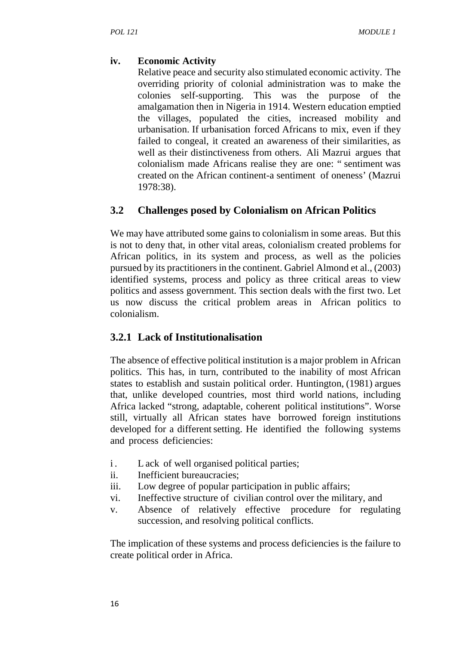#### **iv. Economic Activity**

Relative peace and security also stimulated economic activity. The overriding priority of colonial administration was to make the colonies self-supporting. This was the purpose of the amalgamation then in Nigeria in 1914. Western education emptied the villages, populated the cities, increased mobility and urbanisation. If urbanisation forced Africans to mix, even if they failed to congeal, it created an awareness of their similarities, as well as their distinctiveness from others. Ali Mazrui argues that colonialism made Africans realise they are one: " sentiment was created on the African continent-a sentiment of oneness' (Mazrui 1978:38).

#### **3.2 Challenges posed by Colonialism on African Politics**

We may have attributed some gains to colonialism in some areas. But this is not to deny that, in other vital areas, colonialism created problems for African politics, in its system and process, as well as the policies pursued by its practitioners in the continent. Gabriel Almond et al., (2003) identified systems, process and policy as three critical areas to view politics and assess government. This section deals with the first two. Let us now discuss the critical problem areas in African politics to colonialism.

#### **3.2.1 Lack of Institutionalisation**

The absence of effective political institution is a major problem in African politics. This has, in turn, contributed to the inability of most African states to establish and sustain political order. Huntington, (1981) argues that, unlike developed countries, most third world nations, including Africa lacked "strong, adaptable, coherent political institutions". Worse still, virtually all African states have borrowed foreign institutions developed for a different setting. He identified the following systems and process deficiencies: Africa lacked "strong, adaptable, coherent political<br>still, virtually all African states have borrowed<br>developed for a different setting. He identified the<br>and process deficiencies:<br>i. L ack of well organised political par

- 
- ii. Inefficient bureaucracies;
- iii. Low degree of popular participation in public affairs;
- vi. Ineffective structure of civilian control over the military, and
- v. Absence of relatively effective procedure for regulating succession, and resolving political conflicts.

The implication of these systems and process deficiencies is the failure to create political order in Africa.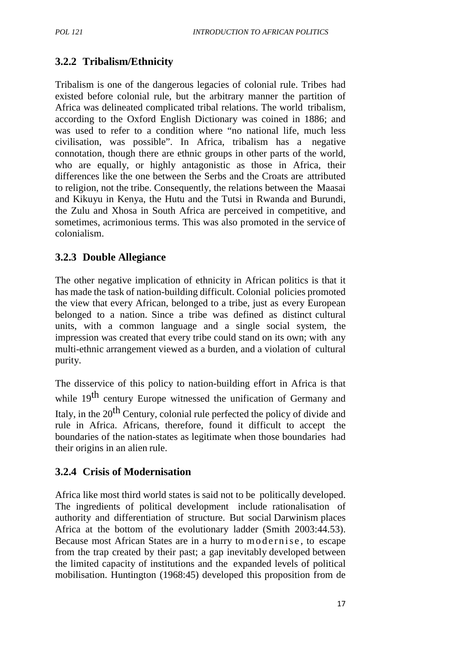# **3.2.2 Tribalism/Ethnicity**

Tribalism is one of the dangerous legacies of colonial rule. Tribes had existed before colonial rule, but the arbitrary manner the partition of Africa was delineated complicated tribal relations. The world tribalism, according to the Oxford English Dictionary was coined in 1886; and was used to refer to a condition where "no national life, much less civilisation, was possible". In Africa, tribalism has a negative connotation, though there are ethnic groups in other parts of the world, who are equally, or highly antagonistic as those in Africa, their differences like the one between the Serbs and the Croats are attributed to religion, not the tribe. Consequently, the relations between the Maasai and Kikuyu in Kenya, the Hutu and the Tutsi in Rwanda and Burundi, the Zulu and Xhosa in South Africa are perceived in competitive, and sometimes, acrimonious terms. This was also promoted in the service of colonialism.

## **3.2.3 Double Allegiance**

The other negative implication of ethnicity in African politics is that it has made the task of nation-building difficult. Colonial policies promoted the view that every African, belonged to a tribe, just as every European belonged to a nation. Since a tribe was defined as distinct cultural units, with a common language and a single social system, the impression was created that every tribe could stand on its own; with any multi-ethnic arrangement viewed as a burden, and a violation of cultural purity.

The disservice of this policy to nation-building effort in Africa is that while  $19<sup>th</sup>$  century Europe witnessed the unification of Germany and Italy, in the  $20<sup>th</sup>$  Century, colonial rule perfected the policy of divide and rule in Africa. Africans, therefore, found it difficult to accept the boundaries of the nation-states as legitimate when those boundaries had their origins in an alien rule.

# **3.2.4 Crisis of Modernisation**

Africa like most third world states is said not to be politically developed. The ingredients of political development include rationalisation of authority and differentiation of structure. But social Darwinism places Africa at the bottom of the evolutionary ladder (Smith 2003:44.53). Africa like most third world states is said not to be politically developed.<br>The ingredients of political development include rationalisation of authority and differentiation of structure. But social Darwinism places Afric the limited capacity of institutions and the expanded levels of political mobilisation. Huntington (1968:45) developed this proposition from de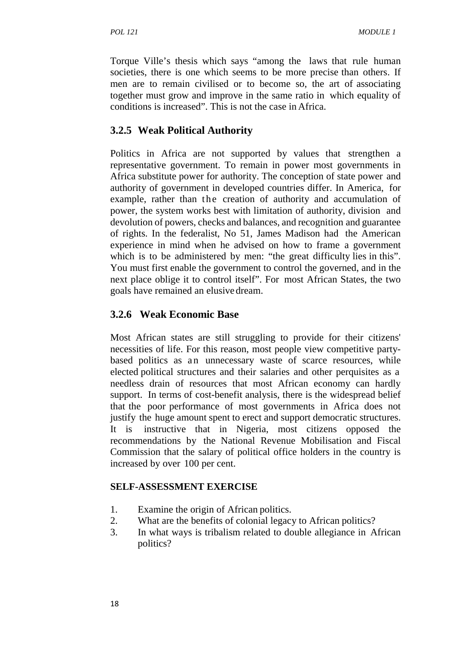Torque Ville's thesis which says "among the laws that rule human societies, there is one which seems to be more precise than others. If men are to remain civilised or to become so, the art of associating together must grow and improve in the same ratio in which equality of conditions is increased". This is not the case in Africa.

# **3.2.5 Weak Political Authority**

Politics in Africa are not supported by values that strengthen a representative government. To remain in power most governments in Africa substitute power for authority. The conception of state power and authority of government in developed countries differ. In America, for example, rather than the creation of authority and accumulation of power, the system works best with limitation of authority, division and devolution of powers, checks and balances, and recognition and guarantee of rights. In the federalist, No 51, James Madison had the American experience in mind when he advised on how to frame a government which is to be administered by men: "the great difficulty lies in this". You must first enable the government to control the governed, and in the next place oblige it to control itself". For most African States, the two goals have remained an elusivedream.

## **3.2.6 Weak Economic Base**

Most African states are still struggling to provide for their citizens' necessities of life. For this reason, most people view competitive party- **3.2.6 Weak Economic Base**<br>Most African states are still struggling to provide for their citizens'<br>necessities of life. For this reason, most people view competitive party-<br>based politics as an unnecessary waste of scarce elected political structures and their salaries and other perquisites as a needless drain of resources that most African economy can hardly support. In terms of cost-benefit analysis, there is the widespread belief that the poor performance of most governments in Africa does not justify the huge amount spent to erect and support democratic structures. It is instructive that in Nigeria, most citizens opposed the recommendations by the National Revenue Mobilisation and Fiscal Commission that the salary of political office holders in the country is increased by over 100 per cent.

#### **SELF-ASSESSMENT EXERCISE**

- 1. Examine the origin of African politics.
- 2. What are the benefits of colonial legacy to African politics?
- 3. In what ways is tribalism related to double allegiance in African politics?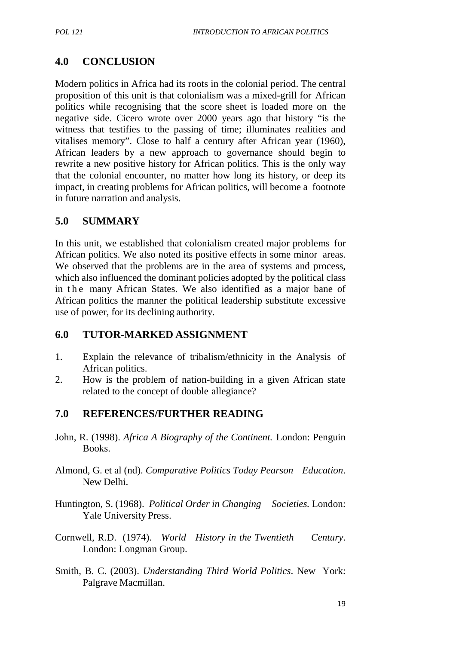# **4.0 CONCLUSION**

Modern politics in Africa had its roots in the colonial period. The central proposition of this unit is that colonialism was a mixed-grill for African politics while recognising that the score sheet is loaded more on the negative side. Cicero wrote over 2000 years ago that history "is the witness that testifies to the passing of time; illuminates realities and vitalises memory". Close to half a century after African year (1960), African leaders by a new approach to governance should begin to rewrite a new positive history for African politics. This is the only way that the colonial encounter, no matter how long its history, or deep its impact, in creating problems for African politics, will become a footnote in future narration and analysis.

#### **5.0 SUMMARY**

In this unit, we established that colonialism created major problems for African politics. We also noted its positive effects in some minor areas. We observed that the problems are in the area of systems and process, which also influenced the dominant policies adopted by the political class In this unit, we established that colonialism created major problems for African politics. We also noted its positive effects in some minor areas. We observed that the problems are in the area of systems and process, which African politics the manner the political leadership substitute excessive use of power, for its declining authority.

#### **6.0 TUTOR-MARKED ASSIGNMENT**

- 1. Explain the relevance of tribalism/ethnicity in the Analysis of African politics.
- 2. How is the problem of nation-building in a given African state related to the concept of double allegiance?

#### **7.0 REFERENCES/FURTHER READING**

- John, R. (1998). *Africa A Biography of the Continent.* London: Penguin Books.
- Almond, G. et al (nd). *Comparative Politics Today Pearson Education*. New Delhi.
- Huntington, S. (1968). *Political Order in Changing Societies.* London: Yale University Press.
- Cornwell, R.D. (1974). *World History in the Twentieth Century*. London: Longman Group.
- Smith, B. C. (2003). *Understanding Third World Politics*. New York: Palgrave Macmillan.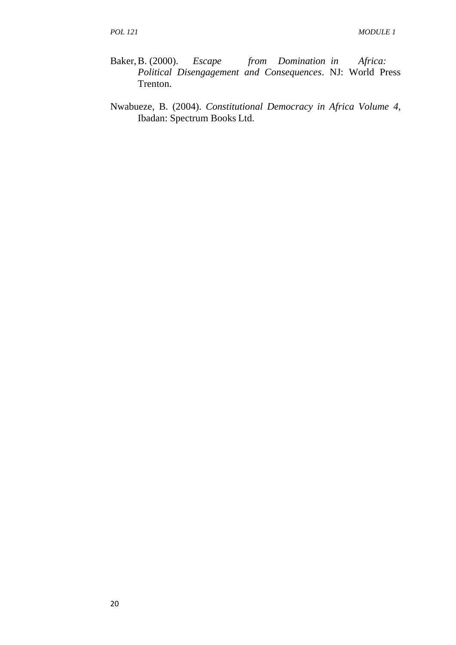- Baker,B. (2000). *Escape from Domination in Africa: Political Disengagement and Consequences*. NJ: World Press Trenton.
- Nwabueze, B. (2004). *Constitutional Democracy in Africa Volume 4*, Ibadan: Spectrum Books Ltd.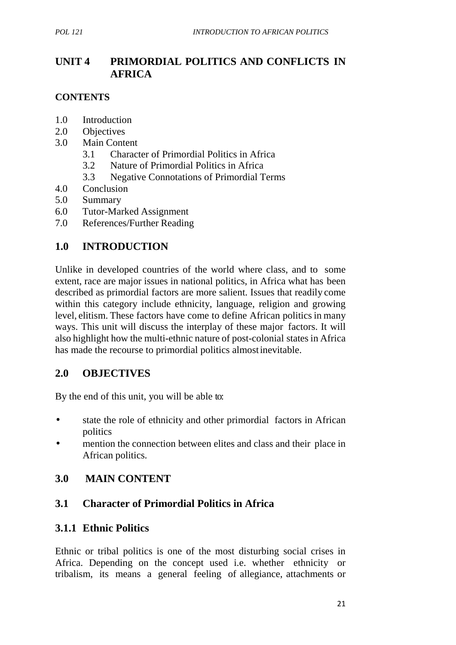# **UNIT 4 PRIMORDIAL POLITICS AND CONFLICTS IN AFRICA**

#### **CONTENTS**

- 1.0 Introduction
- 2.0 Objectives
- 3.0 Main Content
	- 3.1 Character of Primordial Politics in Africa
	- 3.2 Nature of Primordial Politics in Africa
	- 3.3 Negative Connotations of Primordial Terms
- 4.0 Conclusion
- 5.0 Summary
- 6.0 Tutor-Marked Assignment
- 7.0 References/Further Reading

# **1.0 INTRODUCTION**

Unlike in developed countries of the world where class, and to some extent, race are major issues in national politics, in Africa what has been described as primordial factors are more salient. Issues that readily come within this category include ethnicity, language, religion and growing level, elitism. These factors have come to define African politics in many ways. This unit will discuss the interplay of these major factors. It will also highlight how the multi-ethnic nature of post-colonial states in Africa has made the recourse to primordial politics almostinevitable.

#### **2.0 OBJECTIVES**

By the end of this unit, you will be able to:

- state the role of ethnicity and other primordial factors in African politics
- mention the connection between elites and class and their place in African politics.

# **3.0 MAIN CONTENT**

#### **3.1 Character of Primordial Politics in Africa**

#### **3.1.1 Ethnic Politics**

Ethnic or tribal politics is one of the most disturbing social crises in Africa. Depending on the concept used i.e. whether ethnicity or tribalism, its means a general feeling of allegiance, attachments or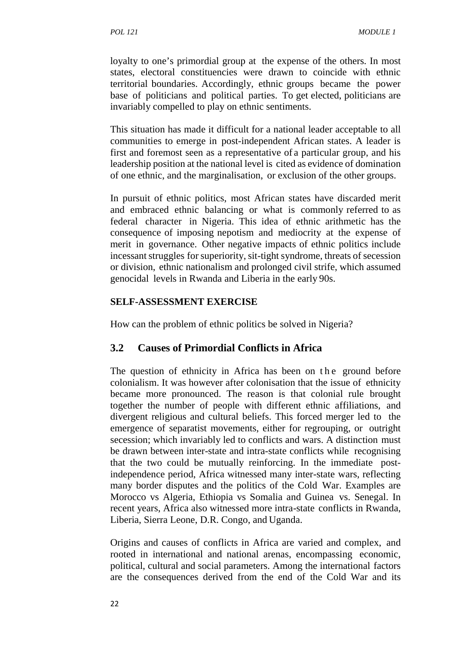loyalty to one's primordial group at the expense of the others. In most states, electoral constituencies were drawn to coincide with ethnic territorial boundaries. Accordingly, ethnic groups became the power base of politicians and political parties. To get elected, politicians are invariably compelled to play on ethnic sentiments.

This situation has made it difficult for a national leader acceptable to all communities to emerge in post-independent African states. A leader is first and foremost seen as a representative of a particular group, and his leadership position at the national level is cited as evidence of domination of one ethnic, and the marginalisation, or exclusion of the other groups.

In pursuit of ethnic politics, most African states have discarded merit and embraced ethnic balancing or what is commonly referred to as federal character in Nigeria. This idea of ethnic arithmetic has the consequence of imposing nepotism and mediocrity at the expense of merit in governance. Other negative impacts of ethnic politics include incessant struggles for superiority, sit-tight syndrome, threats of secession or division, ethnic nationalism and prolonged civil strife, which assumed genocidal levels in Rwanda and Liberia in the early 90s.

#### **SELF-ASSESSMENT EXERCISE**

How can the problem of ethnic politics be solved in Nigeria?

#### **3.2 Causes of Primordial Conflicts in Africa**

The question of ethnicity in Africa has been on the ground before<br>
The question of ethnicity in Africa has been on the ground before<br>
colonialism. It was however after colonisation that the issue of ethnicity colonialism. It was however after colonisation that the issue of ethnicity became more pronounced. The reason is that colonial rule brought together the number of people with different ethnic affiliations, and divergent religious and cultural beliefs. This forced merger led to the emergence of separatist movements, either for regrouping, or outright secession; which invariably led to conflicts and wars. A distinction must be drawn between inter-state and intra-state conflicts while recognising that the two could be mutually reinforcing. In the immediate postindependence period, Africa witnessed many inter-state wars, reflecting many border disputes and the politics of the Cold War. Examples are Morocco vs Algeria, Ethiopia vs Somalia and Guinea vs. Senegal. In recent years, Africa also witnessed more intra-state conflicts in Rwanda, Liberia, Sierra Leone, D.R. Congo, and Uganda.

Origins and causes of conflicts in Africa are varied and complex, and rooted in international and national arenas, encompassing economic, political, cultural and social parameters. Among the international factors are the consequences derived from the end of the Cold War and its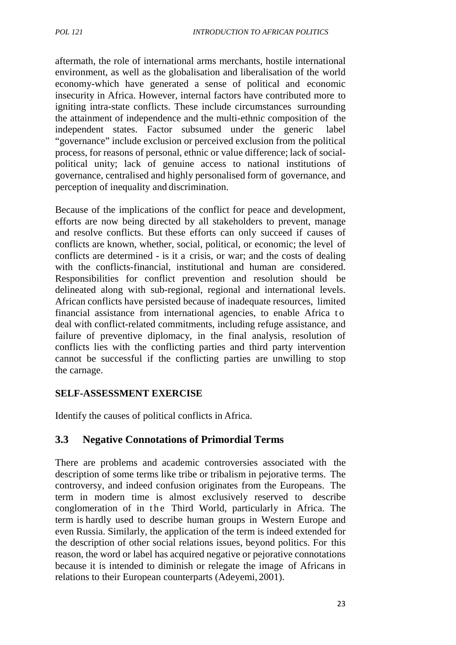aftermath, the role of international arms merchants, hostile international environment, as well as the globalisation and liberalisation of the world economy-which have generated a sense of political and economic insecurity in Africa. However, internal factors have contributed more to igniting intra-state conflicts. These include circumstances surrounding the attainment of independence and the multi-ethnic composition of the independent states. Factor subsumed under the generic label "governance" include exclusion or perceived exclusion from the political process, for reasons of personal, ethnic or value difference; lack of social political unity; lack of genuine access to national institutions of governance, centralised and highly personalised form of governance, and perception of inequality and discrimination.

Because of the implications of the conflict for peace and development, efforts are now being directed by all stakeholders to prevent, manage and resolve conflicts. But these efforts can only succeed if causes of conflicts are known, whether, social, political, or economic; the level of conflicts are determined - is it a crisis, or war; and the costs of dealing with the conflicts-financial, institutional and human are considered. Responsibilities for conflict prevention and resolution should be delineated along with sub-regional, regional and international levels. African conflicts have persisted because of inadequate resources, limited conflicts are determined - is it a crisis, or war; and the costs of dealing<br>with the conflicts-financial, institutional and human are considered.<br>Responsibilities for conflict prevention and resolution should be<br>delineated deal with conflict-related commitments, including refuge assistance, and failure of preventive diplomacy, in the final analysis, resolution of conflicts lies with the conflicting parties and third party intervention cannot be successful if the conflicting parties are unwilling to stop the carnage.

#### **SELF-ASSESSMENT EXERCISE**

Identify the causes of political conflicts in Africa.

# **3.3 Negative Connotations of Primordial Terms**

There are problems and academic controversies associated with the description of some terms like tribe or tribalism in pejorative terms. The controversy, and indeed confusion originates from the Europeans. The term in modern time is almost exclusively reserved to describe There are problems and academic controversies associated with the description of some terms like tribe or tribalism in pejorative terms. The controversy, and indeed confusion originates from the Europeans. The term in mode term is hardly used to describe human groups in Western Europe and even Russia. Similarly, the application of the term is indeed extended for the description of other social relations issues, beyond politics. For this reason, the word or label has acquired negative or pejorative connotations because it is intended to diminish or relegate the image of Africans in relations to their European counterparts (Adeyemi, 2001).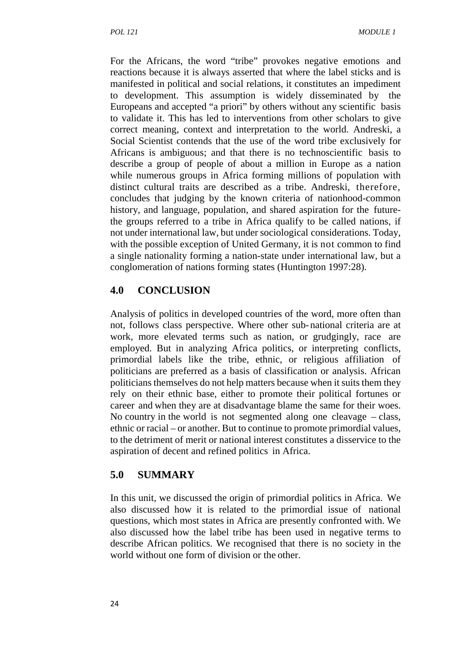For the Africans, the word "tribe" provokes negative emotions and reactions because it is always asserted that where the label sticks and is manifested in political and social relations, it constitutes an impediment to development. This assumption is widely disseminated by the Europeans and accepted "a priori" by others without any scientific basis to validate it. This has led to interventions from other scholars to give correct meaning, context and interpretation to the world. Andreski, a Social Scientist contends that the use of the word tribe exclusively for Africans is ambiguous; and that there is no technoscientific basis to describe a group of people of about a million in Europe as a nation while numerous groups in Africa forming millions of population with distinct cultural traits are described as a tribe. Andreski, therefore, concludes that judging by the known criteria of nationhood-common history, and language, population, and shared aspiration for the futurethe groups referred to a tribe in Africa qualify to be called nations, if not under international law, but under sociological considerations. Today, with the possible exception of United Germany, it is not common to find a single nationality forming a nation-state under international law, but a conglomeration of nations forming states (Huntington 1997:28).

### **4.0 CONCLUSION**

Analysis of politics in developed countries of the word, more often than not, follows class perspective. Where other sub-national criteria are at work, more elevated terms such as nation, or grudgingly, race are employed. But in analyzing Africa politics, or interpreting conflicts, primordial labels like the tribe, ethnic, or religious affiliation of politicians are preferred as a basis of classification or analysis. African politicians themselves do not help matters because when it suits them they rely on their ethnic base, either to promote their political fortunes or career and when they are at disadvantage blame the same for their woes. No country in the world is not segmented along one cleavage – class, ethnic or racial – or another. But to continue to promote primordial values, to the detriment of merit or national interest constitutes a disservice to the aspiration of decent and refined politics in Africa.

### **5.0 SUMMARY**

In this unit, we discussed the origin of primordial politics in Africa. We also discussed how it is related to the primordial issue of national questions, which most states in Africa are presently confronted with. We also discussed how the label tribe has been used in negative terms to describe African politics. We recognised that there is no society in the world without one form of division or the other.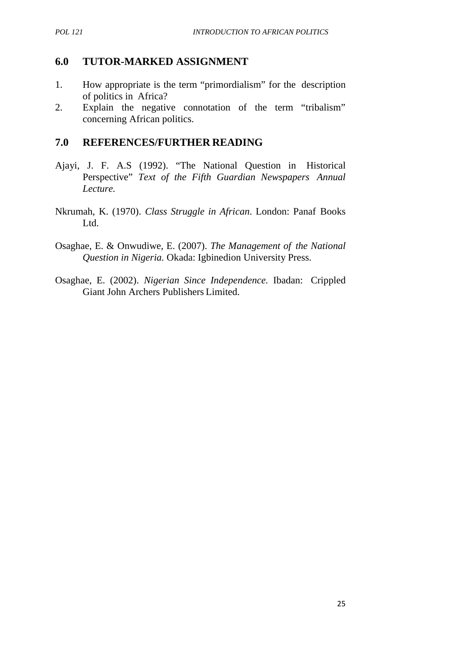## **6.0 TUTOR-MARKED ASSIGNMENT**

- 1. How appropriate is the term "primordialism" for the description of politics in Africa?
- 2. Explain the negative connotation of the term "tribalism" concerning African politics.

### **7.0 REFERENCES/FURTHER READING**

- Ajayi, J. F. A.S (1992). "The National Question in Historical Perspective" *Text of the Fifth Guardian Newspapers Annual Lecture.*
- Nkrumah, K. (1970). *Class Struggle in African*. London: Panaf Books Ltd.
- Osaghae, E. & Onwudiwe, E. (2007). *The Management of the National Question in Nigeria.* Okada: Igbinedion University Press.
- Osaghae, E. (2002). *Nigerian Since Independence.* Ibadan: Crippled Giant John Archers Publishers Limited.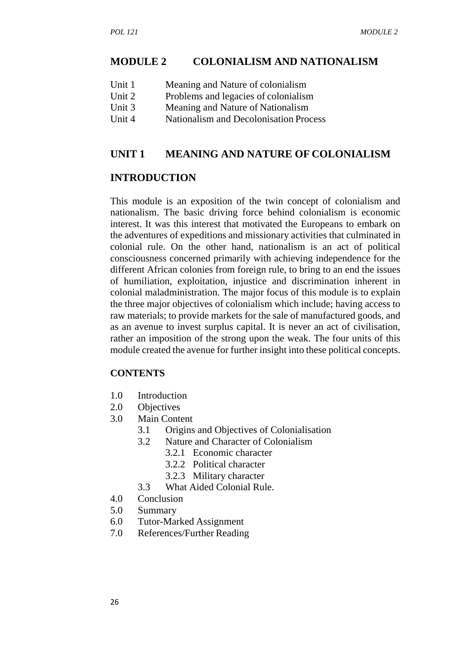#### **MODULE 2 COLONIALISM AND NATIONALISM**

| Unit 1 | Meaning and Nature of colonialism |  |
|--------|-----------------------------------|--|
|--------|-----------------------------------|--|

- Unit 2 Problems and legacies of colonialism
- Unit 3 Meaning and Nature of Nationalism
- Unit 4 Nationalism and Decolonisation Process

#### **UNIT 1 MEANING AND NATURE OF COLONIALISM**

#### **INTRODUCTION**

This module is an exposition of the twin concept of colonialism and nationalism. The basic driving force behind colonialism is economic interest. It was this interest that motivated the Europeans to embark on the adventures of expeditions and missionary activities that culminated in colonial rule. On the other hand, nationalism is an act of political consciousness concerned primarily with achieving independence for the different African colonies from foreign rule, to bring to an end the issues of humiliation, exploitation, injustice and discrimination inherent in colonial maladministration. The major focus of this module is to explain the three major objectives of colonialism which include; having access to raw materials; to provide markets for the sale of manufactured goods, and as an avenue to invest surplus capital. It is never an act of civilisation, rather an imposition of the strong upon the weak. The four units of this module created the avenue for further insight into these political concepts.

#### **CONTENTS**

- 1.0 Introduction
- 2.0 Objectives
- 3.0 Main Content
	- 3.1 Origins and Objectives of Colonialisation
	- 3.2 Nature and Character of Colonialism
		- 3.2.1 Economic character
			- 3.2.2 Political character
			- 3.2.3 Military character
	- 3.3 What Aided Colonial Rule.
- 4.0 Conclusion
- 5.0 Summary
- 6.0 Tutor-Marked Assignment
- 7.0 References/Further Reading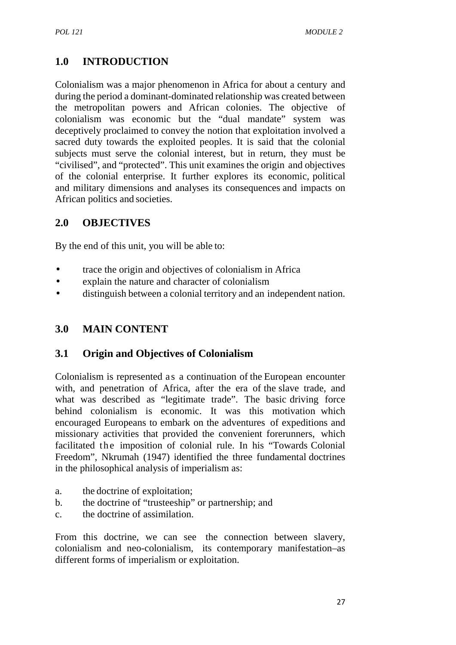# **1.0 INTRODUCTION**

Colonialism was a major phenomenon in Africa for about a century and during the period a dominant-dominated relationship was created between the metropolitan powers and African colonies. The objective of colonialism was economic but the "dual mandate" system was deceptively proclaimed to convey the notion that exploitation involved a sacred duty towards the exploited peoples. It is said that the colonial subjects must serve the colonial interest, but in return, they must be "civilised", and "protected". This unit examines the origin and objectives of the colonial enterprise. It further explores its economic, political and military dimensions and analyses its consequences and impacts on African politics and societies.

## **2.0 OBJECTIVES**

By the end of this unit, you will be able to:

- trace the origin and objectives of colonialism in Africa
- explain the nature and character of colonialism
- distinguish between a colonial territory and an independent nation.

## **3.0 MAIN CONTENT**

## **3.1 Origin and Objectives of Colonialism**

Colonialism is represented as a continuation of the European encounter with, and penetration of Africa, after the era of the slave trade, and what was described as "legitimate trade". The basic driving force behind colonialism is economic. It was this motivation which encouraged Europeans to embark on the adventures of expeditions and missionary activities that provided the convenient forerunners, which facilitated the imposition of colonial rule. In his "Towards Colonial Freedom", Nkrumah (1947) identified the three fundamental doctrines in the philosophical analysis of imperialism as:

- a. the doctrine of exploitation;
- b. the doctrine of "trusteeship" or partnership; and
- c. the doctrine of assimilation.

From this doctrine, we can see the connection between slavery, colonialism and neo-colonialism, its contemporary manifestation–as different forms of imperialism or exploitation.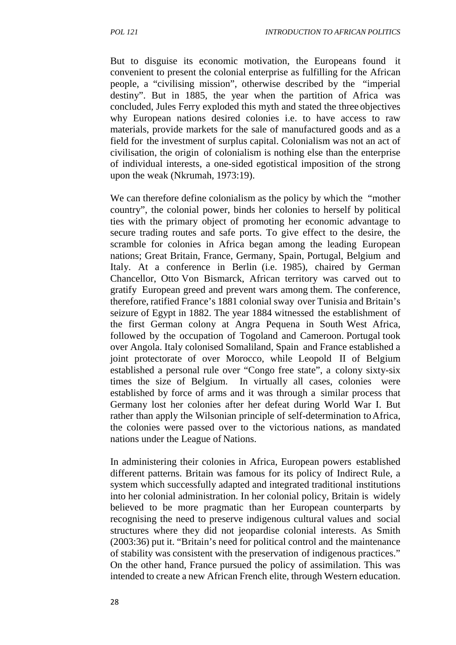But to disguise its economic motivation, the Europeans found it convenient to present the colonial enterprise as fulfilling for the African people, a "civilising mission", otherwise described by the "imperial destiny". But in 1885, the year when the partition of Africa was concluded, Jules Ferry exploded this myth and stated the three objectives why European nations desired colonies i.e. to have access to raw materials, provide markets for the sale of manufactured goods and as a field for the investment of surplus capital. Colonialism was not an act of civilisation, the origin of colonialism is nothing else than the enterprise of individual interests, a one-sided egotistical imposition of the strong upon the weak (Nkrumah, 1973:19).

We can therefore define colonialism as the policy by which the "mother country", the colonial power, binds her colonies to herself by political ties with the primary object of promoting her economic advantage to secure trading routes and safe ports. To give effect to the desire, the scramble for colonies in Africa began among the leading European nations; Great Britain, France, Germany, Spain, Portugal, Belgium and Italy. At a conference in Berlin (i.e. 1985), chaired by German Chancellor, Otto Von Bismarck, African territory was carved out to gratify European greed and prevent wars among them. The conference, therefore, ratified France's 1881 colonial sway over Tunisia and Britain's seizure of Egypt in 1882. The year 1884 witnessed the establishment of the first German colony at Angra Pequena in South West Africa, followed by the occupation of Togoland and Cameroon. Portugal took over Angola. Italy colonised Somaliland, Spain and France established a joint protectorate of over Morocco, while Leopold II of Belgium established a personal rule over "Congo free state", a colony sixty-six times the size of Belgium. In virtually all cases, colonies were established by force of arms and it was through a similar process that Germany lost her colonies after her defeat during World War I. But rather than apply the Wilsonian principle of self-determination to Africa, the colonies were passed over to the victorious nations, as mandated nations under the League of Nations.

In administering their colonies in Africa, European powers established different patterns. Britain was famous for its policy of Indirect Rule, a system which successfully adapted and integrated traditional institutions into her colonial administration. In her colonial policy, Britain is widely believed to be more pragmatic than her European counterparts by recognising the need to preserve indigenous cultural values and social structures where they did not jeopardise colonial interests. As Smith (2003:36) put it. "Britain's need for political control and the maintenance of stability was consistent with the preservation of indigenous practices." On the other hand, France pursued the policy of assimilation. This was intended to create a new African French elite, through Western education.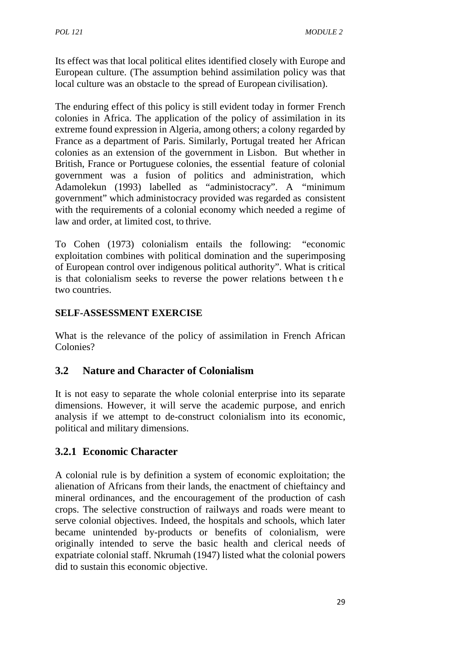Its effect was that local political elites identified closely with Europe and European culture. (The assumption behind assimilation policy was that local culture was an obstacle to the spread of European civilisation).

The enduring effect of this policy is still evident today in former French colonies in Africa. The application of the policy of assimilation in its extreme found expression in Algeria, among others; a colony regarded by France as a department of Paris. Similarly, Portugal treated her African colonies as an extension of the government in Lisbon. But whether in British, France or Portuguese colonies, the essential feature of colonial government was a fusion of politics and administration, which Adamolekun (1993) labelled as "administocracy". A "minimum government" which administocracy provided was regarded as consistent with the requirements of a colonial economy which needed a regime of law and order, at limited cost, to thrive.

To Cohen (1973) colonialism entails the following: "economic exploitation combines with political domination and the superimposing of European control over indigenous political authority". What is critical law and order, at limited cost, to thrive.<br>
To Cohen (1973) colonialism entails the following: "economic<br>
exploitation combines with political domination and the superimposing<br>
of European control over indigenous political two countries.

## **SELF-ASSESSMENT EXERCISE**

What is the relevance of the policy of assimilation in French African Colonies?

## **3.2 Nature and Character of Colonialism**

It is not easy to separate the whole colonial enterprise into its separate dimensions. However, it will serve the academic purpose, and enrich analysis if we attempt to de-construct colonialism into its economic, political and military dimensions.

## **3.2.1 Economic Character**

A colonial rule is by definition a system of economic exploitation; the alienation of Africans from their lands, the enactment of chieftaincy and mineral ordinances, and the encouragement of the production of cash crops. The selective construction of railways and roads were meant to serve colonial objectives. Indeed, the hospitals and schools, which later became unintended by-products or benefits of colonialism, were originally intended to serve the basic health and clerical needs of expatriate colonial staff. Nkrumah (1947) listed what the colonial powers did to sustain this economic objective.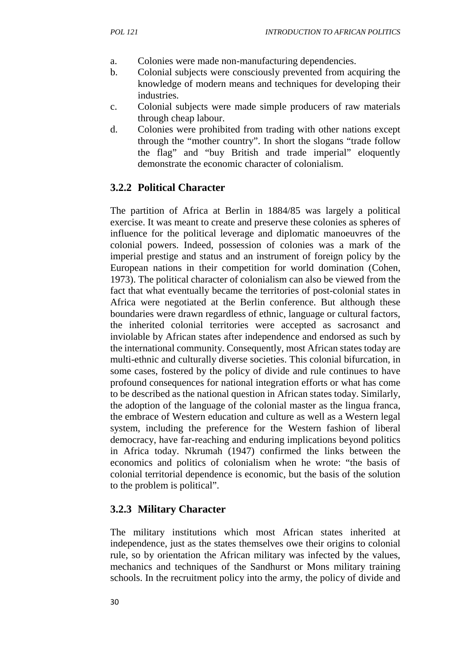- a. Colonies were made non-manufacturing dependencies.
- b. Colonial subjects were consciously prevented from acquiring the knowledge of modern means and techniques for developing their industries.
- c. Colonial subjects were made simple producers of raw materials through cheap labour.
- d. Colonies were prohibited from trading with other nations except through the "mother country". In short the slogans "trade follow the flag" and "buy British and trade imperial" eloquently demonstrate the economic character of colonialism.

## **3.2.2 Political Character**

The partition of Africa at Berlin in 1884/85 was largely a political exercise. It was meant to create and preserve these colonies as spheres of influence for the political leverage and diplomatic manoeuvres of the colonial powers. Indeed, possession of colonies was a mark of the imperial prestige and status and an instrument of foreign policy by the European nations in their competition for world domination (Cohen, 1973). The political character of colonialism can also be viewed from the fact that what eventually became the territories of post-colonial states in Africa were negotiated at the Berlin conference. But although these boundaries were drawn regardless of ethnic, language or cultural factors, the inherited colonial territories were accepted as sacrosanct and inviolable by African states after independence and endorsed as such by the international community. Consequently, most African states today are multi-ethnic and culturally diverse societies. This colonial bifurcation, in some cases, fostered by the policy of divide and rule continues to have profound consequences for national integration efforts or what has come to be described as the national question in African states today. Similarly, the adoption of the language of the colonial master as the lingua franca, the embrace of Western education and culture as well as a Western legal system, including the preference for the Western fashion of liberal democracy, have far-reaching and enduring implications beyond politics in Africa today. Nkrumah (1947) confirmed the links between the economics and politics of colonialism when he wrote: "the basis of colonial territorial dependence is economic, but the basis of the solution to the problem is political".

## **3.2.3 Military Character**

The military institutions which most African states inherited at independence, just as the states themselves owe their origins to colonial rule, so by orientation the African military was infected by the values, mechanics and techniques of the Sandhurst or Mons military training schools. In the recruitment policy into the army, the policy of divide and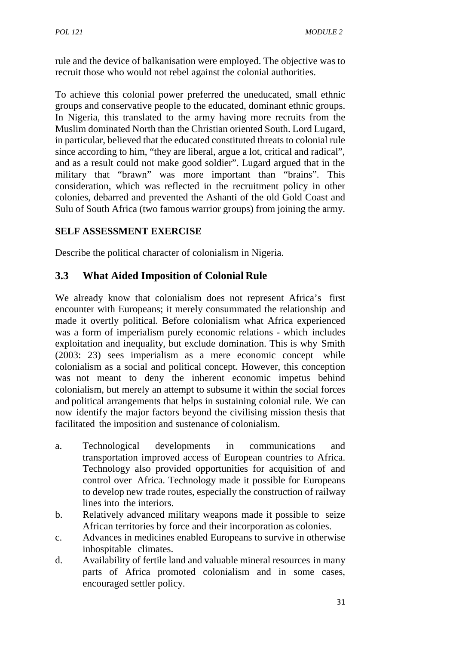rule and the device of balkanisation were employed. The objective was to recruit those who would not rebel against the colonial authorities.

To achieve this colonial power preferred the uneducated, small ethnic groups and conservative people to the educated, dominant ethnic groups. In Nigeria, this translated to the army having more recruits from the Muslim dominated North than the Christian oriented South. Lord Lugard, in particular, believed that the educated constituted threats to colonial rule since according to him, "they are liberal, argue a lot, critical and radical", and as a result could not make good soldier". Lugard argued that in the military that "brawn" was more important than "brains". This consideration, which was reflected in the recruitment policy in other colonies, debarred and prevented the Ashanti of the old Gold Coast and Sulu of South Africa (two famous warrior groups) from joining the army.

### **SELF ASSESSMENT EXERCISE**

Describe the political character of colonialism in Nigeria.

## **3.3 What Aided Imposition of Colonial Rule**

We already know that colonialism does not represent Africa's first encounter with Europeans; it merely consummated the relationship and made it overtly political. Before colonialism what Africa experienced was a form of imperialism purely economic relations - which includes exploitation and inequality, but exclude domination. This is why Smith (2003: 23) sees imperialism as a mere economic concept while colonialism as a social and political concept. However, this conception was not meant to deny the inherent economic impetus behind colonialism, but merely an attempt to subsume it within the social forces and political arrangements that helps in sustaining colonial rule. We can now identify the major factors beyond the civilising mission thesis that facilitated the imposition and sustenance of colonialism.

- a. Technological developments in communications and transportation improved access of European countries to Africa. Technology also provided opportunities for acquisition of and control over Africa. Technology made it possible for Europeans to develop new trade routes, especially the construction of railway lines into the interiors.
- b. Relatively advanced military weapons made it possible to seize African territories by force and their incorporation as colonies.
- c. Advances in medicines enabled Europeans to survive in otherwise inhospitable climates.
- d. Availability of fertile land and valuable mineral resources in many parts of Africa promoted colonialism and in some cases, encouraged settler policy.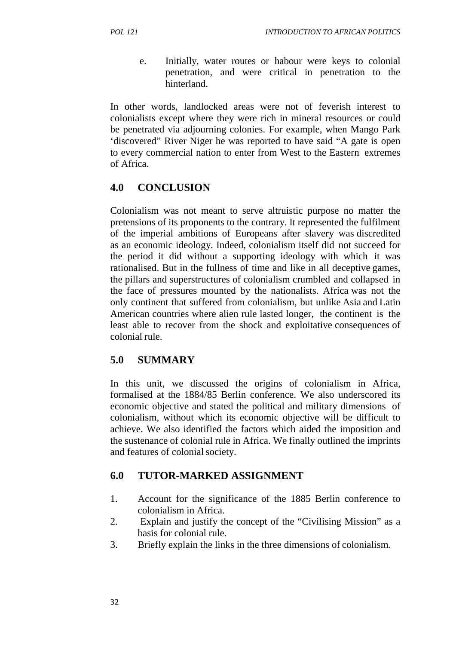e. Initially, water routes or habour were keys to colonial penetration, and were critical in penetration to the hinterland.

In other words, landlocked areas were not of feverish interest to colonialists except where they were rich in mineral resources or could be penetrated via adjourning colonies. For example, when Mango Park 'discovered" River Niger he was reported to have said "A gate is open to every commercial nation to enter from West to the Eastern extremes of Africa.

# **4.0 CONCLUSION**

Colonialism was not meant to serve altruistic purpose no matter the pretensions of its proponents to the contrary. It represented the fulfilment of the imperial ambitions of Europeans after slavery was discredited as an economic ideology. Indeed, colonialism itself did not succeed for the period it did without a supporting ideology with which it was rationalised. But in the fullness of time and like in all deceptive games, the pillars and superstructures of colonialism crumbled and collapsed in the face of pressures mounted by the nationalists. Africa was not the only continent that suffered from colonialism, but unlike Asia and Latin American countries where alien rule lasted longer, the continent is the least able to recover from the shock and exploitative consequences of colonial rule.

## **5.0 SUMMARY**

In this unit, we discussed the origins of colonialism in Africa, formalised at the 1884/85 Berlin conference. We also underscored its economic objective and stated the political and military dimensions of colonialism, without which its economic objective will be difficult to achieve. We also identified the factors which aided the imposition and the sustenance of colonial rule in Africa. We finally outlined the imprints and features of colonial society.

# **6.0 TUTOR-MARKED ASSIGNMENT**

- 1. Account for the significance of the 1885 Berlin conference to colonialism in Africa.
- 2. Explain and justify the concept of the "Civilising Mission" as a basis for colonial rule.
- 3. Briefly explain the links in the three dimensions of colonialism.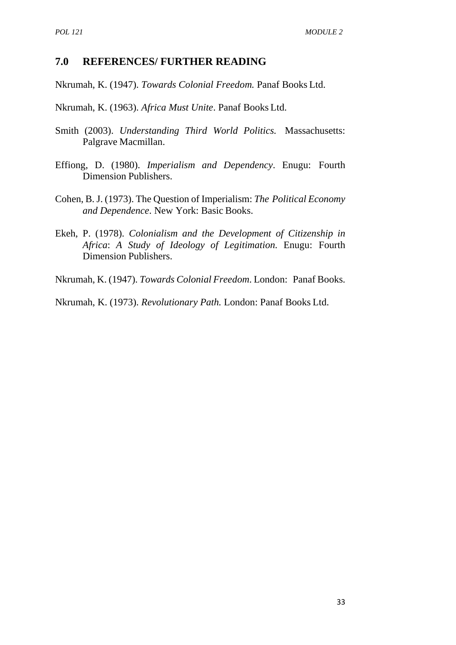### **7.0 REFERENCES/ FURTHER READING**

Nkrumah, K. (1947). *Towards Colonial Freedom.* Panaf Books Ltd.

Nkrumah, K. (1963). *Africa Must Unite*. Panaf Books Ltd.

- Smith (2003). *Understanding Third World Politics.* Massachusetts: Palgrave Macmillan.
- Effiong, D. (1980). *Imperialism and Dependency*. Enugu: Fourth Dimension Publishers.
- Cohen, B. J. (1973). The Question of Imperialism: *The Political Economy and Dependence*. New York: Basic Books.
- Ekeh, P. (1978). *Colonialism and the Development of Citizenship in Africa*: *A Study of Ideology of Legitimation.* Enugu: Fourth Dimension Publishers.
- Nkrumah, K. (1947). *Towards Colonial Freedom*. London: Panaf Books.

Nkrumah, K. (1973). *Revolutionary Path.* London: Panaf Books Ltd.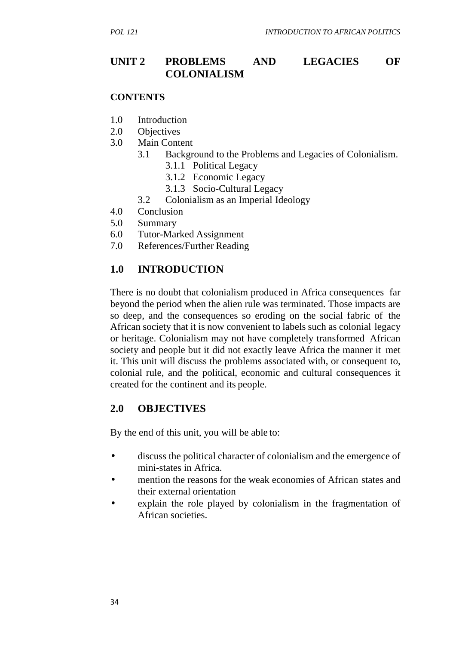## **UNIT 2 PROBLEMS AND LEGACIES OF COLONIALISM**

#### **CONTENTS**

- 1.0 Introduction
- 2.0 Objectives
- 3.0 Main Content
	- 3.1 Background to the Problems and Legacies of Colonialism.
		- 3.1.1 Political Legacy
		- 3.1.2 Economic Legacy
		- 3.1.3 Socio-Cultural Legacy
	- 3.2 Colonialism as an Imperial Ideology
- 4.0 Conclusion
- 5.0 Summary
- 6.0 Tutor-Marked Assignment
- 7.0 References/Further Reading

## **1.0 INTRODUCTION**

There is no doubt that colonialism produced in Africa consequences far beyond the period when the alien rule was terminated. Those impacts are so deep, and the consequences so eroding on the social fabric of the African society that it is now convenient to labels such as colonial legacy or heritage. Colonialism may not have completely transformed African society and people but it did not exactly leave Africa the manner it met it. This unit will discuss the problems associated with, or consequent to, colonial rule, and the political, economic and cultural consequences it created for the continent and its people.

## **2.0 OBJECTIVES**

By the end of this unit, you will be able to:

- discuss the political character of colonialism and the emergence of mini-states in Africa.
- mention the reasons for the weak economies of African states and their external orientation
- explain the role played by colonialism in the fragmentation of African societies.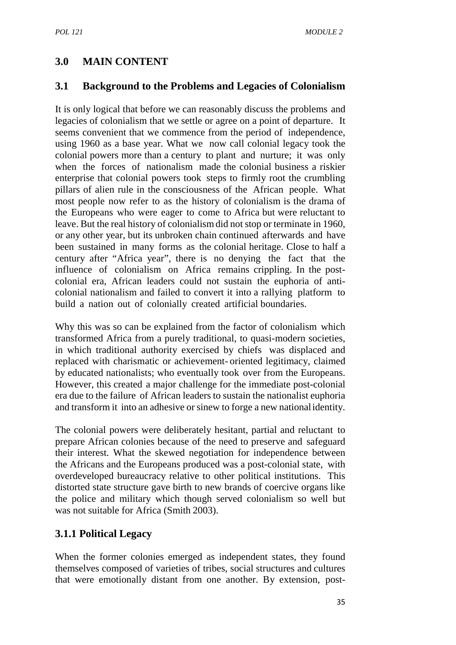## **3.0 MAIN CONTENT**

## **3.1 Background to the Problems and Legacies of Colonialism**

It is only logical that before we can reasonably discuss the problems and legacies of colonialism that we settle or agree on a point of departure. It seems convenient that we commence from the period of independence, using 1960 as a base year. What we now call colonial legacy took the colonial powers more than a century to plant and nurture; it was only when the forces of nationalism made the colonial business a riskier enterprise that colonial powers took steps to firmly root the crumbling pillars of alien rule in the consciousness of the African people. What most people now refer to as the history of colonialism is the drama of the Europeans who were eager to come to Africa but were reluctant to leave. But the real history of colonialismdid not stop or terminate in 1960, or any other year, but its unbroken chain continued afterwards and have been sustained in many forms as the colonial heritage. Close to half a century after "Africa year", there is no denying the fact that the influence of colonialism on Africa remains crippling. In the post colonial era, African leaders could not sustain the euphoria of anti colonial nationalism and failed to convert it into a rallying platform to build a nation out of colonially created artificial boundaries.

Why this was so can be explained from the factor of colonialism which transformed Africa from a purely traditional, to quasi-modern societies, in which traditional authority exercised by chiefs was displaced and replaced with charismatic or achievement- oriented legitimacy, claimed by educated nationalists; who eventually took over from the Europeans. However, this created a major challenge for the immediate post-colonial era due to the failure of African leaders to sustain the nationalist euphoria and transform it into an adhesive or sinew to forge a new nationalidentity.

The colonial powers were deliberately hesitant, partial and reluctant to prepare African colonies because of the need to preserve and safeguard their interest. What the skewed negotiation for independence between the Africans and the Europeans produced was a post-colonial state, with overdeveloped bureaucracy relative to other political institutions. This distorted state structure gave birth to new brands of coercive organs like the police and military which though served colonialism so well but was not suitable for Africa (Smith 2003).

## **3.1.1 Political Legacy**

When the former colonies emerged as independent states, they found themselves composed of varieties of tribes, social structures and cultures that were emotionally distant from one another. By extension, post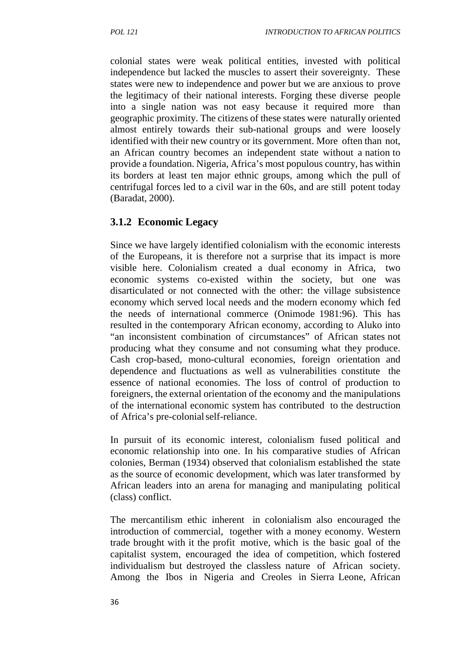colonial states were weak political entities, invested with political independence but lacked the muscles to assert their sovereignty. These states were new to independence and power but we are anxious to prove the legitimacy of their national interests. Forging these diverse people into a single nation was not easy because it required more than geographic proximity. The citizens of these states were naturally oriented almost entirely towards their sub-national groups and were loosely identified with their new country or its government. More often than not, an African country becomes an independent state without a nation to provide a foundation. Nigeria, Africa's most populous country, has within its borders at least ten major ethnic groups, among which the pull of centrifugal forces led to a civil war in the 60s, and are still potent today (Baradat, 2000).

## **3.1.2 Economic Legacy**

Since we have largely identified colonialism with the economic interests of the Europeans, it is therefore not a surprise that its impact is more visible here. Colonialism created a dual economy in Africa, two economic systems co-existed within the society, but one was disarticulated or not connected with the other: the village subsistence economy which served local needs and the modern economy which fed the needs of international commerce (Onimode 1981:96). This has resulted in the contemporary African economy, according to Aluko into "an inconsistent combination of circumstances" of African states not producing what they consume and not consuming what they produce. Cash crop-based, mono-cultural economies, foreign orientation and dependence and fluctuations as well as vulnerabilities constitute the essence of national economies. The loss of control of production to foreigners, the external orientation of the economy and the manipulations of the international economic system has contributed to the destruction of Africa's pre-colonialself-reliance.

In pursuit of its economic interest, colonialism fused political and economic relationship into one. In his comparative studies of African colonies, Berman (1934) observed that colonialism established the state as the source of economic development, which was later transformed by African leaders into an arena for managing and manipulating political (class) conflict.

The mercantilism ethic inherent in colonialism also encouraged the introduction of commercial, together with a money economy. Western trade brought with it the profit motive, which is the basic goal of the capitalist system, encouraged the idea of competition, which fostered individualism but destroyed the classless nature of African society. Among the Ibos in Nigeria and Creoles in Sierra Leone, African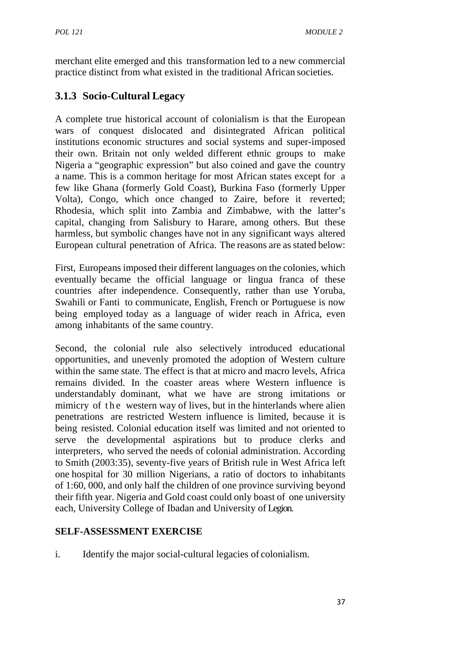merchant elite emerged and this transformation led to a new commercial practice distinct from what existed in the traditional African societies.

# **3.1.3 Socio-Cultural Legacy**

A complete true historical account of colonialism is that the European wars of conquest dislocated and disintegrated African political institutions economic structures and social systems and super-imposed their own. Britain not only welded different ethnic groups to make Nigeria a "geographic expression" but also coined and gave the country a name. This is a common heritage for most African states except for a few like Ghana (formerly Gold Coast), Burkina Faso (formerly Upper Volta), Congo, which once changed to Zaire, before it reverted; Rhodesia, which split into Zambia and Zimbabwe, with the latter's capital, changing from Salisbury to Harare, among others. But these harmless, but symbolic changes have not in any significant ways altered European cultural penetration of Africa. The reasons are as stated below:

First, Europeans imposed their different languages on the colonies, which eventually became the official language or lingua franca of these countries after independence. Consequently, rather than use Yoruba, Swahili or Fanti to communicate, English, French or Portuguese is now being employed today as a language of wider reach in Africa, even among inhabitants of the same country.

Second, the colonial rule also selectively introduced educational opportunities, and unevenly promoted the adoption of Western culture within the same state. The effect is that at micro and macro levels, Africa remains divided. In the coaster areas where Western influence is understandably dominant, what we have are strong imitations or Second, the colonial rule also selectively introduced educational<br>opportunities, and unevenly promoted the adoption of Western culture<br>within the same state. The effect is that at micro and macro levels, Africa<br>remains div penetrations are restricted Western influence is limited, because it is being resisted. Colonial education itself was limited and not oriented to serve the developmental aspirations but to produce clerks and interpreters, who served the needs of colonial administration. According to Smith (2003:35), seventy-five years of British rule in West Africa left one hospital for 30 million Nigerians, a ratio of doctors to inhabitants of 1:60, 000, and only half the children of one province surviving beyond their fifth year. Nigeria and Gold coast could only boast of one university each, University College of Ibadan and University of Legion.

## **SELF-ASSESSMENT EXERCISE**

i. Identify the major social-cultural legacies of colonialism.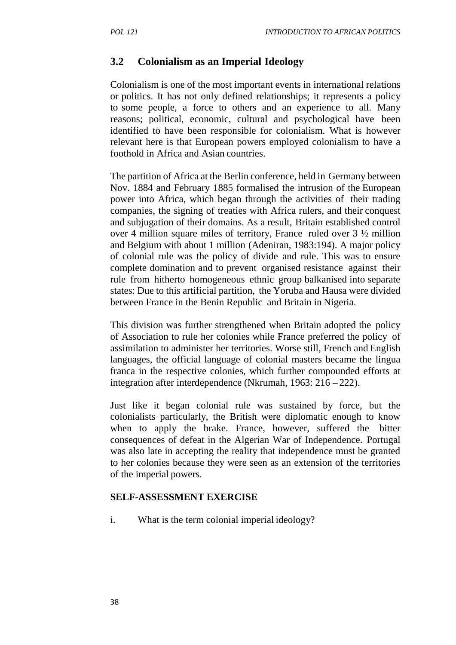## **3.2 Colonialism as an Imperial Ideology**

Colonialism is one of the most important events in international relations or politics. It has not only defined relationships; it represents a policy to some people, a force to others and an experience to all.Many reasons; political, economic, cultural and psychological have been identified to have been responsible for colonialism. What is however relevant here is that European powers employed colonialism to have a foothold in Africa and Asian countries.

The partition of Africa at the Berlin conference, held in Germany between Nov. 1884 and February 1885 formalised the intrusion of the European power into Africa, which began through the activities of their trading companies, the signing of treaties with Africa rulers, and their conquest and subjugation of their domains. As a result, Britain established control over 4 million square miles of territory, France ruled over 3 ½ million and Belgium with about 1 million (Adeniran, 1983:194). A major policy of colonial rule was the policy of divide and rule. This was to ensure complete domination and to prevent organised resistance against their rule from hitherto homogeneous ethnic group balkanised into separate states: Due to this artificial partition, the Yoruba and Hausa were divided between France in the Benin Republic and Britain in Nigeria.

This division was further strengthened when Britain adopted the policy of Association to rule her colonies while France preferred the policy of assimilation to administer her territories. Worse still, French and English languages, the official language of colonial masters became the lingua franca in the respective colonies, which further compounded efforts at integration after interdependence (Nkrumah, 1963: 216 – 222).

Just like it began colonial rule was sustained by force, but the colonialists particularly, the British were diplomatic enough to know when to apply the brake. France, however, suffered the bitter consequences of defeat in the Algerian War of Independence. Portugal was also late in accepting the reality that independence must be granted to her colonies because they were seen as an extension of the territories of the imperial powers.

### **SELF-ASSESSMENT EXERCISE**

i. What is the term colonial imperial ideology?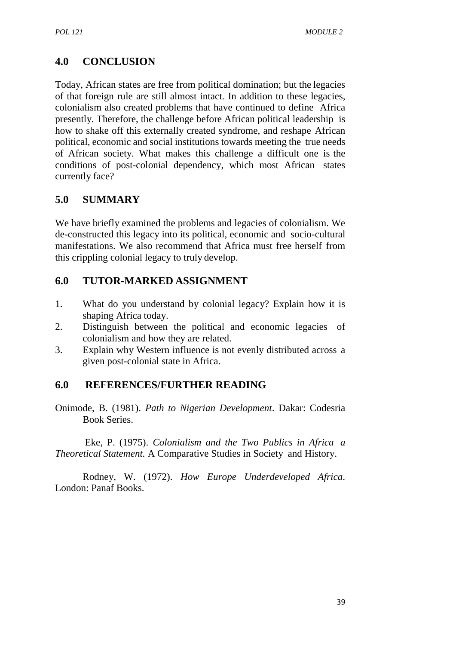# **4.0 CONCLUSION**

Today, African states are free from political domination; but the legacies of that foreign rule are still almost intact. In addition to these legacies, colonialism also created problems that have continued to define Africa presently. Therefore, the challenge before African political leadership is how to shake off this externally created syndrome, and reshape African political, economic and social institutions towards meeting the true needs of African society. What makes this challenge a difficult one is the conditions of post-colonial dependency, which most African states currently face?

## **5.0 SUMMARY**

We have briefly examined the problems and legacies of colonialism. We de-constructed this legacy into its political, economic and socio-cultural manifestations. We also recommend that Africa must free herself from this crippling colonial legacy to truly develop.

## **6.0 TUTOR-MARKED ASSIGNMENT**

- 1. What do you understand by colonial legacy? Explain how it is shaping Africa today.
- 2. Distinguish between the political and economic legacies of colonialism and how they are related.
- 3. Explain why Western influence is not evenly distributed across a given post-colonial state in Africa.

## **6.0 REFERENCES/FURTHER READING**

Onimode, B. (1981). *Path to Nigerian Development*. Dakar: Codesria Book Series.

Eke, P. (1975). *Colonialism and the Two Publics in Africa a Theoretical Statement.* A Comparative Studies in Society and History.

Rodney, W. (1972). *How Europe Underdeveloped Africa*. London: Panaf Books.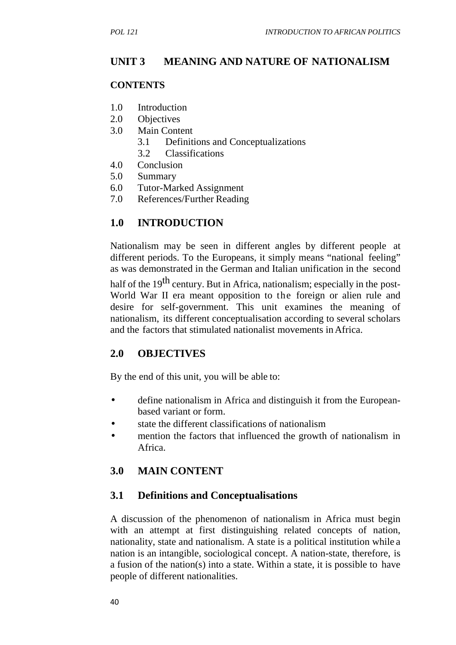## **UNIT 3 MEANING AND NATURE OF NATIONALISM**

#### **CONTENTS**

- 1.0 Introduction
- 2.0 Objectives
- 3.0 Main Content
	- 3.1 Definitions and Conceptualizations
	- 3.2 Classifications
- 4.0 Conclusion
- 5.0 Summary
- 6.0 Tutor-Marked Assignment
- 7.0 References/Further Reading

## **1.0 INTRODUCTION**

Nationalism may be seen in different angles by different people at different periods. To the Europeans, it simply means "national feeling" as was demonstrated in the German and Italian unification in the second

half of the  $19<sup>th</sup>$  century. But in Africa, nationalism; especially in the post-World War II era meant opposition to the foreign or alien rule and desire for self-government. This unit examines the meaning of nationalism, its different conceptualisation according to several scholars and the factors that stimulated nationalist movements inAfrica.

## **2.0 OBJECTIVES**

By the end of this unit, you will be able to:

- define nationalism in Africa and distinguish it from the European based variant or form.
- state the different classifications of nationalism
- mention the factors that influenced the growth of nationalism in Africa.

## **3.0 MAIN CONTENT**

### **3.1 Definitions and Conceptualisations**

A discussion of the phenomenon of nationalism in Africa must begin with an attempt at first distinguishing related concepts of nation, nationality, state and nationalism. A state is a political institution while a nation is an intangible, sociological concept. A nation-state, therefore, is a fusion of the nation(s) into a state. Within a state, it is possible to have people of different nationalities.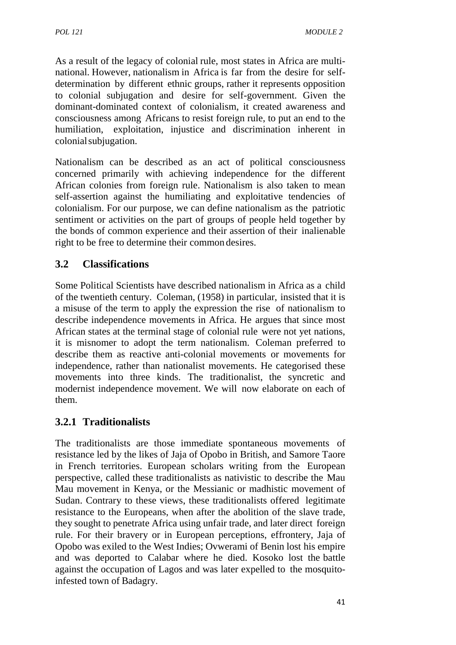As a result of the legacy of colonial rule, most states in Africa are multi national. However, nationalism in Africa is far from the desire for self determination by different ethnic groups, rather it represents opposition to colonial subjugation and desire for self-government. Given the dominant-dominated context of colonialism, it created awareness and consciousness among Africans to resist foreign rule, to put an end to the humiliation, exploitation, injustice and discrimination inherent in colonialsubjugation.

Nationalism can be described as an act of political consciousness concerned primarily with achieving independence for the different African colonies from foreign rule. Nationalism is also taken to mean self-assertion against the humiliating and exploitative tendencies of colonialism. For our purpose, we can define nationalism as the patriotic sentiment or activities on the part of groups of people held together by the bonds of common experience and their assertion of their inalienable right to be free to determine their common desires.

## **3.2 Classifications**

Some Political Scientists have described nationalism in Africa as a child of the twentieth century. Coleman, (1958) in particular, insisted that it is a misuse of the term to apply the expression the rise of nationalism to describe independence movements in Africa. He argues that since most African states at the terminal stage of colonial rule were not yet nations, it is misnomer to adopt the term nationalism. Coleman preferred to describe them as reactive anti-colonial movements or movements for independence, rather than nationalist movements. He categorised these movements into three kinds. The traditionalist, the syncretic and modernist independence movement. We will now elaborate on each of them.

## **3.2.1 Traditionalists**

The traditionalists are those immediate spontaneous movements of resistance led by the likes of Jaja of Opobo in British, and Samore Taore in French territories. European scholars writing from the European perspective, called these traditionalists as nativistic to describe the Mau Mau movement in Kenya, or the Messianic or madhistic movement of Sudan. Contrary to these views, these traditionalists offered legitimate resistance to the Europeans, when after the abolition of the slave trade, they sought to penetrate Africa using unfair trade, and later direct foreign rule. For their bravery or in European perceptions, effrontery, Jaja of Opobo was exiled to the West Indies; Ovwerami of Benin lost his empire and was deported to Calabar where he died. Kosoko lost the battle against the occupation of Lagos and was later expelled to the mosquitoinfested town of Badagry.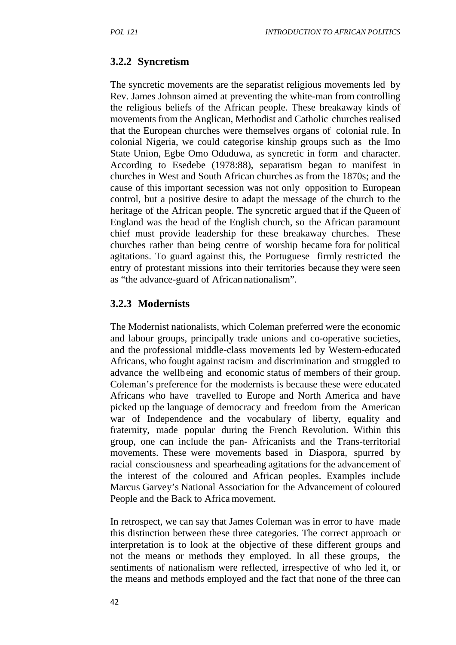### **3.2.2 Syncretism**

The syncretic movements are the separatist religious movements led by Rev. James Johnson aimed at preventing the white-man from controlling the religious beliefs of the African people. These breakaway kinds of movements from the Anglican, Methodist and Catholic churches realised that the European churches were themselves organs of colonial rule. In colonial Nigeria, we could categorise kinship groups such as the Imo State Union, Egbe Omo Oduduwa, as syncretic in form and character. According to Esedebe (1978:88), separatism began to manifest in churches in West and South African churches as from the 1870s; and the cause of this important secession was not only opposition to European control, but a positive desire to adapt the message of the church to the heritage of the African people. The syncretic argued that if the Queen of England was the head of the English church, so the African paramount chief must provide leadership for these breakaway churches. These churches rather than being centre of worship became fora for political agitations. To guard against this, the Portuguese firmly restricted the entry of protestant missions into their territories because they were seen as "the advance-guard of African nationalism".

#### **3.2.3 Modernists**

The Modernist nationalists, which Coleman preferred were the economic and labour groups, principally trade unions and co-operative societies, and the professional middle-class movements led by Western-educated Africans, who fought against racism and discrimination and struggled to advance the wellbeing and economic status of members of their group. Coleman's preference for the modernists is because these were educated Africans who have travelled to Europe and North America and have picked up the language of democracy and freedom from the American war of Independence and the vocabulary of liberty, equality and fraternity, made popular during the French Revolution. Within this group, one can include the pan- Africanists and the Trans-territorial movements. These were movements based in Diaspora, spurred by racial consciousness and spearheading agitations for the advancement of the interest of the coloured and African peoples. Examples include Marcus Garvey's National Association for the Advancement of coloured People and the Back to Africa movement.

In retrospect, we can say that James Coleman was in error to have made this distinction between these three categories. The correct approach or interpretation is to look at the objective of these different groups and not the means or methods they employed. In all these groups, the sentiments of nationalism were reflected, irrespective of who led it, or the means and methods employed and the fact that none of the three can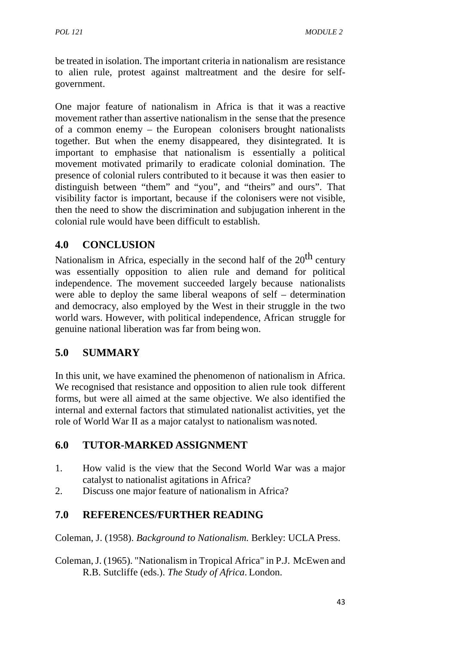be treated in isolation. The important criteria in nationalism are resistance to alien rule, protest against maltreatment and the desire for self government.

One major feature of nationalism in Africa is that it was a reactive movement rather than assertive nationalism in the sense that the presence of a common enemy – the European colonisers brought nationalists together. But when the enemy disappeared, they disintegrated. It is important to emphasise that nationalism is essentially a political movement motivated primarily to eradicate colonial domination. The presence of colonial rulers contributed to it because it was then easier to distinguish between "them" and "you", and "theirs" and ours". That visibility factor is important, because if the colonisers were not visible, then the need to show the discrimination and subjugation inherent in the colonial rule would have been difficult to establish.

## **4.0 CONCLUSION**

Nationalism in Africa, especially in the second half of the  $20<sup>th</sup>$  century was essentially opposition to alien rule and demand for political independence. The movement succeeded largely because nationalists were able to deploy the same liberal weapons of self – determination and democracy, also employed by the West in their struggle in the two world wars. However, with political independence, African struggle for genuine national liberation was far from being won.

# **5.0 SUMMARY**

In this unit, we have examined the phenomenon of nationalism in Africa. We recognised that resistance and opposition to alien rule took different forms, but were all aimed at the same objective. We also identified the internal and external factors that stimulated nationalist activities, yet the role of World War II as a major catalyst to nationalism was noted.

## **6.0 TUTOR-MARKED ASSIGNMENT**

- 1. How valid is the view that the Second World War was a major catalyst to nationalist agitations in Africa?
- 2. Discuss one major feature of nationalism in Africa?

# **7.0 REFERENCES/FURTHER READING**

Coleman, J. (1958). *Background to Nationalism.* Berkley: UCLA Press.

Coleman, J. (1965). "Nationalism in Tropical Africa" in P.J. McEwen and R.B. Sutcliffe (eds.). *The Study of Africa*. London.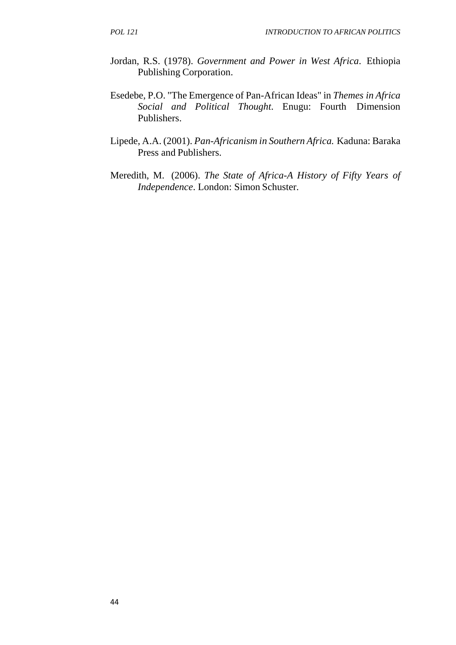- Jordan, R.S. (1978). *Government and Power in West Africa*. Ethiopia Publishing Corporation.
- Esedebe, P.O. "The Emergence of Pan-African Ideas" in *Themes in Africa Social and Political Thought*. Enugu: Fourth Dimension Publishers.
- Lipede, A.A. (2001). *Pan-Africanism in Southern Africa.* Kaduna: Baraka Press and Publishers.
- Meredith, M. (2006). *The State of Africa-A History of Fifty Years of Independence*. London: Simon Schuster.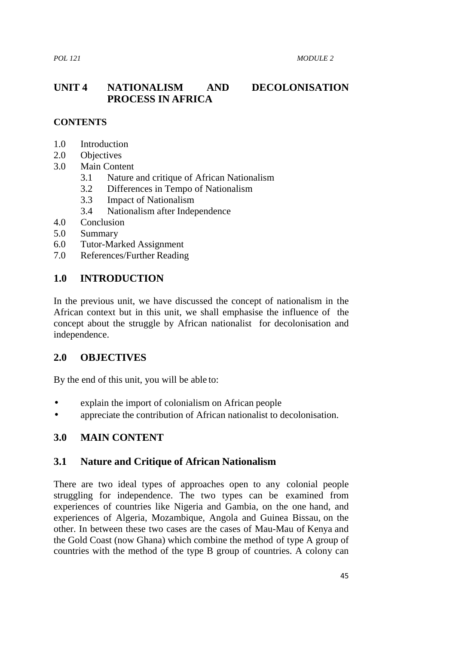## **UNIT 4 NATIONALISM AND DECOLONISATION PROCESS IN AFRICA**

#### **CONTENTS**

- 1.0 Introduction
- 2.0 Objectives
- 3.0 Main Content
	- 3.1 Nature and critique of African Nationalism
	- 3.2 Differences in Tempo of Nationalism
	- 3.3 Impact of Nationalism
	- 3.4 Nationalism after Independence
- 4.0 Conclusion
- 5.0 Summary
- 6.0 Tutor-Marked Assignment
- 7.0 References/Further Reading

#### **1.0 INTRODUCTION**

In the previous unit, we have discussed the concept of nationalism in the African context but in this unit, we shall emphasise the influence of the concept about the struggle by African nationalist for decolonisation and independence.

#### **2.0 OBJECTIVES**

By the end of this unit, you will be able to:

- explain the import of colonialism on African people
- appreciate the contribution of African nationalist to decolonisation.

#### **3.0 MAIN CONTENT**

#### **3.1 Nature and Critique of African Nationalism**

There are two ideal types of approaches open to any colonial people struggling for independence. The two types can be examined from experiences of countries like Nigeria and Gambia, on the one hand, and experiences of Algeria, Mozambique, Angola and Guinea Bissau, on the other. In between these two cases are the cases of Mau-Mau of Kenya and the Gold Coast (now Ghana) which combine the method of type A group of countries with the method of the type B group of countries. A colony can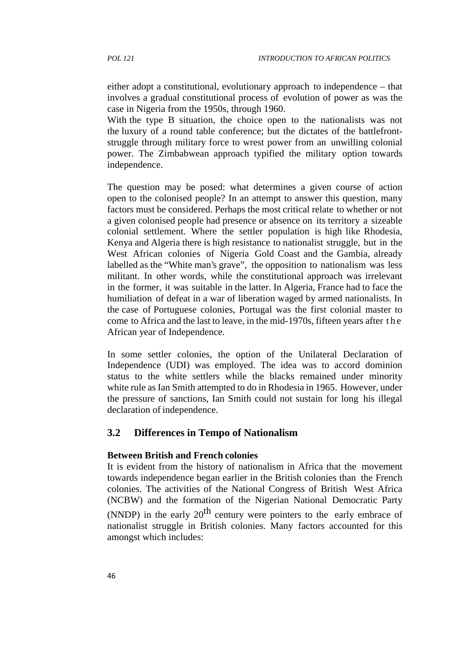either adopt a constitutional, evolutionary approach to independence – that involves a gradual constitutional process of evolution of power as was the case in Nigeria from the 1950s, through 1960.

With the type B situation, the choice open to the nationalists was not the luxury of a round table conference; but the dictates of the battlefront struggle through military force to wrest power from an unwilling colonial power. The Zimbabwean approach typified the military option towards independence.

The question may be posed: what determines a given course of action open to the colonised people? In an attempt to answer this question, many factors must be considered. Perhaps the most critical relate to whether or not a given colonised people had presence or absence on its territory a sizeable colonial settlement. Where the settler population is high like Rhodesia, Kenya and Algeria there is high resistance to nationalist struggle, but in the West African colonies of Nigeria Gold Coast and the Gambia, already labelled as the "White man's grave", the opposition to nationalism was less<br>militant. In other words, while the constitutional approach was irrelevant<br>in the former, it was suitable in the latter. In Algeria, France had to militant. In other words, while the constitutional approach was irrelevant in the former, it was suitable in the latter. In Algeria, France had to face the humiliation of defeat in a war of liberation waged by armed nationalists. In the case of Portuguese colonies, Portugal was the first colonial master to African year of Independence.

In some settler colonies, the option of the Unilateral Declaration of Independence (UDI) was employed. The idea was to accord dominion status to the white settlers while the blacks remained under minority white rule as Ian Smith attempted to do in Rhodesia in 1965. However, under the pressure of sanctions, Ian Smith could not sustain for long his illegal declaration of independence.

#### **3.2 Differences in Tempo of Nationalism**

#### **Between British and French colonies**

It is evident from the history of nationalism in Africa that the movement towards independence began earlier in the British colonies than the French colonies. The activities of the National Congress of British West Africa (NCBW) and the formation of the Nigerian National Democratic Party (NNDP) in the early  $20^{th}$  century were pointers to the early embrace of nationalist struggle in British colonies. Many factors accounted for this amongst which includes: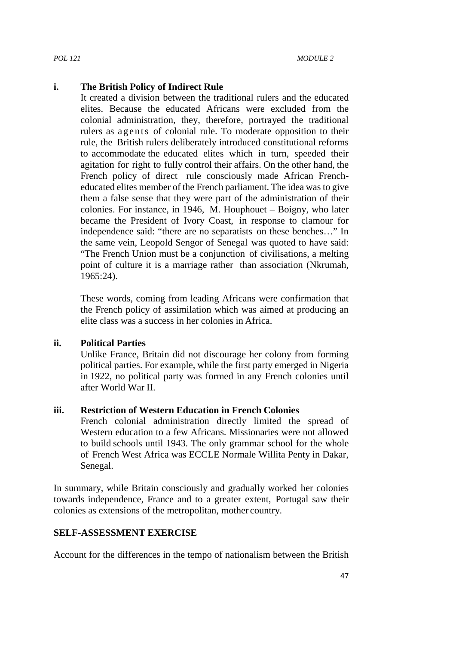#### **i. The British Policy of Indirect Rule**

It created a division between the traditional rulers and the educated elites. Because the educated Africans were excluded from the colonial administration, they, therefore, portrayed the traditional The British Policy of Indirect Rule<br>It created a division between the traditional rulers and the educated<br>elites. Because the educated Africans were excluded from the<br>colonial administration, they, therefore, portrayed the rule, the British rulers deliberately introduced constitutional reforms to accommodate the educated elites which in turn, speeded their agitation for right to fully control their affairs. On the other hand, the French policy of direct rule consciously made African French educated elites member of the French parliament. The idea was to give them a false sense that they were part of the administration of their colonies. For instance, in 1946, M. Houphouet – Boigny, who later became the President of Ivory Coast, in response to clamour for independence said: "there are no separatists on these benches…" In the same vein, Leopold Sengor of Senegal was quoted to have said: "The French Union must be a conjunction of civilisations, a melting point of culture it is a marriage rather than association (Nkrumah, 1965:24).

These words, coming from leading Africans were confirmation that the French policy of assimilation which was aimed at producing an elite class was a success in her colonies in Africa.

#### **ii. Political Parties**

Unlike France, Britain did not discourage her colony from forming political parties. For example, while the first party emerged in Nigeria in 1922, no political party was formed in any French colonies until after World War II.

#### **iii. Restriction of Western Education in French Colonies**

French colonial administration directly limited the spread of Western education to a few Africans. Missionaries were not allowed to build schools until 1943. The only grammar school for the whole of French West Africa was ECCLE Normale Willita Penty in Dakar, Senegal.

In summary, while Britain consciously and gradually worked her colonies towards independence, France and to a greater extent, Portugal saw their colonies as extensions of the metropolitan, mother country.

#### **SELF-ASSESSMENT EXERCISE**

Account for the differences in the tempo of nationalism between the British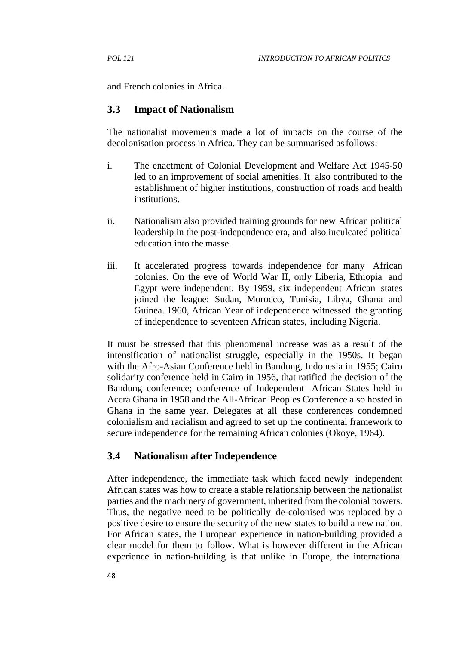and French colonies in Africa.

### **3.3 Impact of Nationalism**

The nationalist movements made a lot of impacts on the course of the decolonisation process in Africa. They can be summarised asfollows:

- i. The enactment of Colonial Development and Welfare Act 1945-50 led to an improvement of social amenities. It also contributed to the establishment of higher institutions, construction of roads and health institutions.
- ii. Nationalism also provided training grounds for new African political leadership in the post-independence era, and also inculcated political education into the masse.
- iii. It accelerated progress towards independence for many African colonies. On the eve of World War II, only Liberia, Ethiopia and Egypt were independent. By 1959, six independent African states joined the league: Sudan, Morocco, Tunisia, Libya, Ghana and Guinea. 1960, African Year of independence witnessed the granting of independence to seventeen African states, including Nigeria.

It must be stressed that this phenomenal increase was as a result of the intensification of nationalist struggle, especially in the 1950s. It began with the Afro-Asian Conference held in Bandung, Indonesia in 1955; Cairo solidarity conference held in Cairo in 1956, that ratified the decision of the Bandung conference; conference of Independent African States held in Accra Ghana in 1958 and the All-African Peoples Conference also hosted in Ghana in the same year. Delegates at all these conferences condemned colonialism and racialism and agreed to set up the continental framework to secure independence for the remaining African colonies (Okoye, 1964).

### **3.4 Nationalism after Independence**

After independence, the immediate task which faced newly independent African states was how to create a stable relationship between the nationalist parties and the machinery of government, inherited from the colonial powers. Thus, the negative need to be politically de-colonised was replaced by a positive desire to ensure the security of the new states to build a new nation. For African states, the European experience in nation-building provided a clear model for them to follow. What is however different in the African experience in nation-building is that unlike in Europe, the international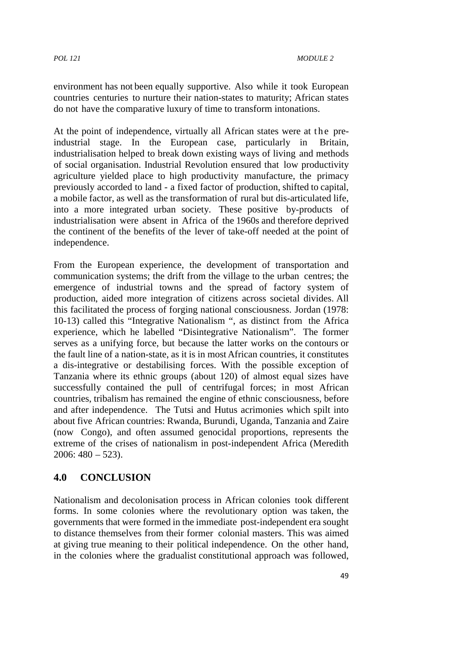environment has not been equally supportive. Also while it took European countries centuries to nurture their nation-states to maturity; African states do not have the comparative luxury of time to transform intonations. environment has not been equally supportive. Also while it took European<br>countries centuries to nurture their nation-states to maturity; African states<br>do not have the comparative luxury of time to transform intonations.<br>A

industrial stage. In the European case, particularly in Britain, industrialisation helped to break down existing ways of living and methods of social organisation. Industrial Revolution ensured that low productivity agriculture yielded place to high productivity manufacture, the primacy previously accorded to land - a fixed factor of production, shifted to capital, a mobile factor, as well as the transformation of rural but dis-articulated life, into a more integrated urban society. These positive by-products of industrialisation were absent in Africa of the 1960s and therefore deprived the continent of the benefits of the lever of take-off needed at the point of independence.

From the European experience, the development of transportation and communication systems; the drift from the village to the urban centres; the emergence of industrial towns and the spread of factory system of production, aided more integration of citizens across societal divides. All this facilitated the process of forging national consciousness. Jordan (1978: 10-13) called this "Integrative Nationalism ", as distinct from the Africa experience, which he labelled "Disintegrative Nationalism". The former serves as a unifying force, but because the latter works on the contours or the fault line of a nation-state, as it is in most African countries, it constitutes a dis-integrative or destabilising forces. With the possible exception of Tanzania where its ethnic groups (about 120) of almost equal sizes have successfully contained the pull of centrifugal forces; in most African countries, tribalism has remained the engine of ethnic consciousness, before and after independence. The Tutsi and Hutus acrimonies which spilt into about five African countries: Rwanda, Burundi, Uganda, Tanzania and Zaire (now Congo), and often assumed genocidal proportions, represents the extreme of the crises of nationalism in post-independent Africa (Meredith  $2006: 480 - 523$ .

## **4.0 CONCLUSION**

Nationalism and decolonisation process in African colonies took different forms. In some colonies where the revolutionary option was taken, the governments that were formed in the immediate post-independent era sought to distance themselves from their former colonial masters. This was aimed at giving true meaning to their political independence. On the other hand, in the colonies where the gradualist constitutional approach was followed,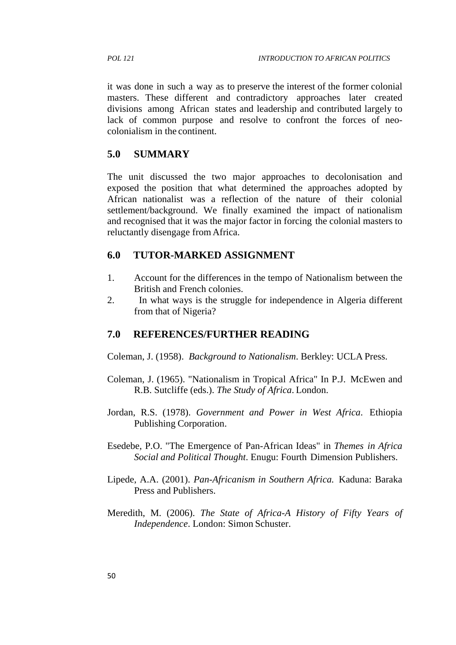it was done in such a way as to preserve the interest of the former colonial masters. These different and contradictory approaches later created divisions among African states and leadership and contributed largely to lack of common purpose and resolve to confront the forces of neo colonialism in the continent.

### **5.0 SUMMARY**

The unit discussed the two major approaches to decolonisation and exposed the position that what determined the approaches adopted by African nationalist was a reflection of the nature of their colonial settlement/background. We finally examined the impact of nationalism and recognised that it was the major factor in forcing the colonial masters to reluctantly disengage from Africa.

## **6.0 TUTOR-MARKED ASSIGNMENT**

- 1. Account for the differences in the tempo of Nationalism between the British and French colonies.
- 2. In what ways is the struggle for independence in Algeria different from that of Nigeria?

## **7.0 REFERENCES/FURTHER READING**

Coleman, J. (1958). *Background to Nationalism*. Berkley: UCLA Press.

- Coleman, J. (1965). "Nationalism in Tropical Africa" In P.J. McEwen and R.B. Sutcliffe (eds.). *The Study of Africa*. London.
- Jordan, R.S. (1978). *Government and Power in West Africa*. Ethiopia Publishing Corporation.
- Esedebe, P.O. "The Emergence of Pan-African Ideas" in *Themes in Africa Social and Political Thought*. Enugu: Fourth Dimension Publishers.
- Lipede, A.A. (2001). *Pan-Africanism in Southern Africa.* Kaduna: Baraka Press and Publishers.
- Meredith, M. (2006). *The State of Africa-A History of Fifty Years of Independence*. London: Simon Schuster.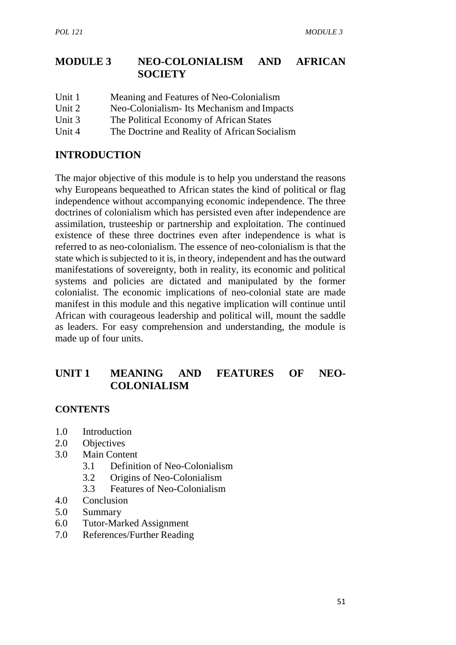## **MODULE 3 NEO-COLONIALISM AND AFRICAN SOCIETY**

Unit 1 Meaning and Features of Neo-Colonialism Unit 2 Neo-Colonialism- Its Mechanism and Impacts Unit 3 The Political Economy of African States Unit 4 The Doctrine and Reality of African Socialism

## **INTRODUCTION**

The major objective of this module is to help you understand the reasons why Europeans bequeathed to African states the kind of political or flag independence without accompanying economic independence. The three doctrines of colonialism which has persisted even after independence are assimilation, trusteeship or partnership and exploitation. The continued existence of these three doctrines even after independence is what is referred to as neo-colonialism. The essence of neo-colonialism is that the state which is subjected to it is, in theory, independent and has the outward manifestations of sovereignty, both in reality, its economic and political systems and policies are dictated and manipulated by the former colonialist. The economic implications of neo-colonial state are made manifest in this module and this negative implication will continue until African with courageous leadership and political will, mount the saddle as leaders. For easy comprehension and understanding, the module is made up of four units.

# **UNIT 1 MEANING AND FEATURES OF NEO- COLONIALISM**

## **CONTENTS**

- 1.0 Introduction
- 2.0 Objectives
- 3.0 Main Content
	- 3.1 Definition of Neo-Colonialism
	- 3.2 Origins of Neo-Colonialism
	- 3.3 Features of Neo-Colonialism
- 4.0 Conclusion
- 5.0 Summary
- 6.0 Tutor-Marked Assignment
- 7.0 References/Further Reading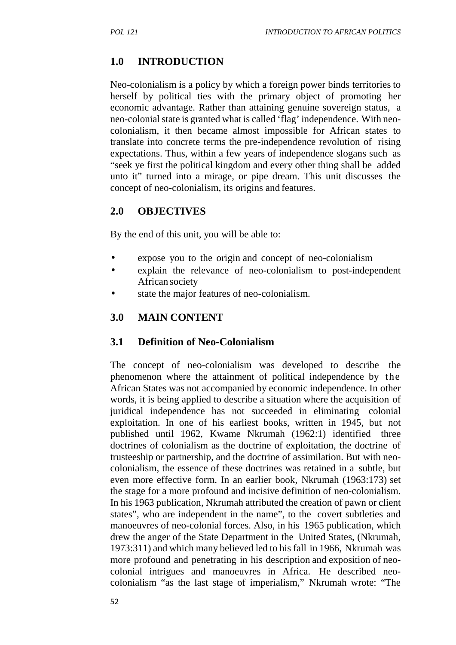# **1.0 INTRODUCTION**

Neo-colonialism is a policy by which a foreign power binds territories to herself by political ties with the primary object of promoting her economic advantage. Rather than attaining genuine sovereign status, a neo-colonial state is granted what is called 'flag' independence. With neo colonialism, it then became almost impossible for African states to translate into concrete terms the pre-independence revolution of rising expectations. Thus, within a few years of independence slogans such as "seek ye first the political kingdom and every other thing shall be added unto it" turned into a mirage, or pipe dream. This unit discusses the concept of neo-colonialism, its origins and features.

## **2.0 OBJECTIVES**

By the end of this unit, you will be able to:

- expose you to the origin and concept of neo-colonialism
- explain the relevance of neo-colonialism to post-independent African society
- state the major features of neo-colonialism.

## **3.0 MAIN CONTENT**

## **3.1 Definition of Neo-Colonialism**

The concept of neo-colonialism was developed to describe the phenomenon where the attainment of political independence by the African States was not accompanied by economic independence. In other words, it is being applied to describe a situation where the acquisition of juridical independence has not succeeded in eliminating colonial exploitation. In one of his earliest books, written in 1945, but not published until 1962, Kwame Nkrumah (1962:1) identified three doctrines of colonialism as the doctrine of exploitation, the doctrine of trusteeship or partnership, and the doctrine of assimilation. But with neo colonialism, the essence of these doctrines was retained in a subtle, but even more effective form. In an earlier book, Nkrumah (1963:173) set the stage for a more profound and incisive definition of neo-colonialism. In his 1963 publication, Nkrumah attributed the creation of pawn or client states", who are independent in the name", to the covert subtleties and manoeuvres of neo-colonial forces. Also, in his 1965 publication, which drew the anger of the State Department in the United States, (Nkrumah, 1973:311) and which many believed led to his fall in 1966, Nkrumah was more profound and penetrating in his description and exposition of neo colonial intrigues and manoeuvres in Africa. He described neo colonialism "as the last stage of imperialism," Nkrumah wrote: "The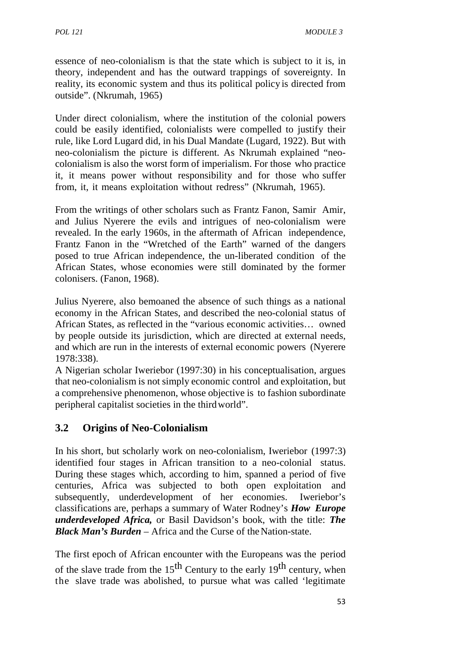essence of neo-colonialism is that the state which is subject to it is, in theory, independent and has the outward trappings of sovereignty. In reality, its economic system and thus its political policy is directed from outside". (Nkrumah, 1965)

Under direct colonialism, where the institution of the colonial powers could be easily identified, colonialists were compelled to justify their rule, like Lord Lugard did, in his Dual Mandate (Lugard, 1922). But with neo-colonialism the picture is different. As Nkrumah explained "neo colonialism is also the worst form of imperialism. For those who practice it, it means power without responsibility and for those who suffer from, it, it means exploitation without redress" (Nkrumah, 1965).

From the writings of other scholars such as Frantz Fanon, Samir Amir, and Julius Nyerere the evils and intrigues of neo-colonialism were revealed. In the early 1960s, in the aftermath of African independence, Frantz Fanon in the "Wretched of the Earth" warned of the dangers posed to true African independence, the un-liberated condition of the African States, whose economies were still dominated by the former colonisers. (Fanon, 1968).

Julius Nyerere, also bemoaned the absence of such things as a national economy in the African States, and described the neo-colonial status of African States, as reflected in the "various economic activities… owned by people outside its jurisdiction, which are directed at external needs, and which are run in the interests of external economic powers (Nyerere 1978:338).

A Nigerian scholar Iweriebor (1997:30) in his conceptualisation, argues that neo-colonialism is not simply economic control and exploitation, but a comprehensive phenomenon, whose objective is to fashion subordinate peripheral capitalist societies in the thirdworld".

## **3.2 Origins of Neo-Colonialism**

In his short, but scholarly work on neo-colonialism, Iweriebor (1997:3) identified four stages in African transition to a neo-colonial status. During these stages which, according to him, spanned a period of five centuries, Africa was subjected to both open exploitation and subsequently, underdevelopment of her economies. Iweriebor's classifications are, perhaps a summary of Water Rodney's *How Europe underdeveloped Africa,* or Basil Davidson's book, with the title: *The Black Man's Burden* – Africa and the Curse of the Nation-state.

The first epoch of African encounter with the Europeans was the period of the slave trade from the  $15<sup>th</sup>$  Century to the early  $19<sup>th</sup>$  century, when the slave trade was abolished, to pursue what was called 'legitimate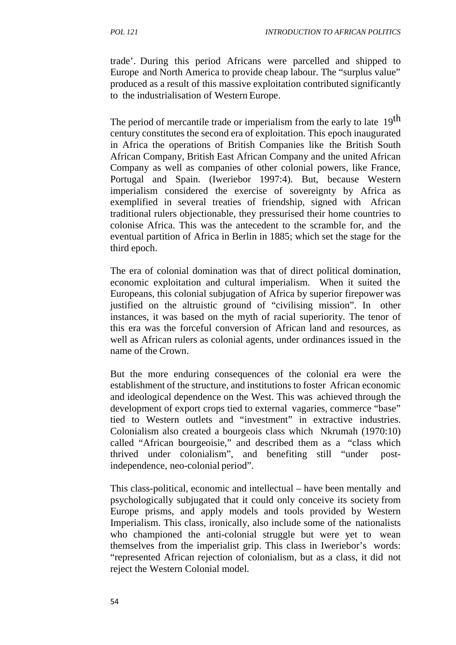trade'. During this period Africans were parcelled and shipped to Europe and North America to provide cheap labour. The "surplus value" produced as a result of this massive exploitation contributed significantly to the industrialisation of Western Europe.

The period of mercantile trade or imperialism from the early to late 19<sup>th</sup> century constitutes the second era of exploitation. This epoch inaugurated in Africa the operations of British Companies like the British South African Company, British East African Company and the united African Company as well as companies of other colonial powers, like France, Portugal and Spain. (Iweriebor 1997:4). But, because Western imperialism considered the exercise of sovereignty by Africa as exemplified in several treaties of friendship, signed with African traditional rulers objectionable, they pressurised their home countries to colonise Africa. This was the antecedent to the scramble for, and the eventual partition of Africa in Berlin in 1885; which set the stage for the third epoch.

The era of colonial domination was that of direct political domination, economic exploitation and cultural imperialism. When it suited the Europeans, this colonial subjugation of Africa by superior firepower was justified on the altruistic ground of "civilising mission". In other instances, it was based on the myth of racial superiority. The tenor of this era was the forceful conversion of African land and resources, as well as African rulers as colonial agents, under ordinances issued in the name of the Crown.

But the more enduring consequences of the colonial era were the establishment of the structure, and institutions to foster African economic and ideological dependence on the West. This was achieved through the development of export crops tied to external vagaries, commerce "base" tied to Western outlets and "investment" in extractive industries. Colonialism also created a bourgeois class which Nkrumah (1970:10) called "African bourgeoisie," and described them as a "class which thrived under colonialism", and benefiting still "under postindependence, neo-colonial period".

This class-political, economic and intellectual – have been mentally and psychologically subjugated that it could only conceive its society from Europe prisms, and apply models and tools provided by Western Imperialism. This class, ironically, also include some of the nationalists who championed the anti-colonial struggle but were yet to wean themselves from the imperialist grip. This class in Iweriebor's words: "represented African rejection of colonialism, but as a class, it did not reject the Western Colonial model.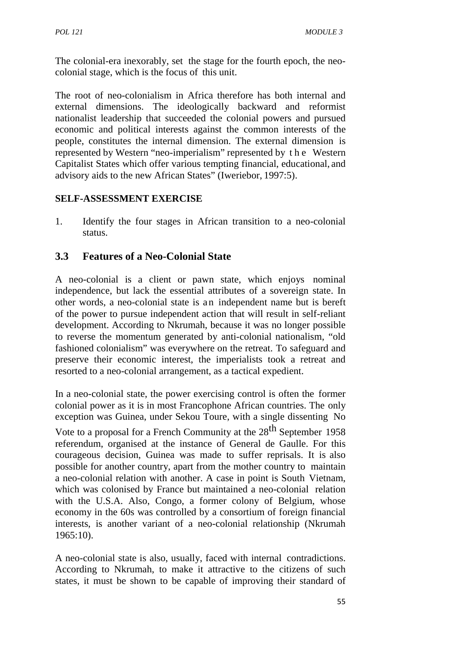The colonial-era inexorably, set the stage for the fourth epoch, the neo colonial stage, which is the focus of this unit.

The root of neo-colonialism in Africa therefore has both internal and external dimensions. The ideologically backward and reformist nationalist leadership that succeeded the colonial powers and pursued economic and political interests against the common interests of the people, constitutes the internal dimension. The external dimension is The root of neo-colonialism in Africa therefore has both internal and<br>external dimensions. The ideologically backward and reformist<br>nationalist leadership that succeeded the colonial powers and pursued<br>economic and politic Capitalist States which offer various tempting financial, educational, and advisory aids to the new African States" (Iweriebor, 1997:5).

## **SELF-ASSESSMENT EXERCISE**

1. Identify the four stages in African transition to a neo-colonial status.

## **3.3 Features of a Neo-Colonial State**

A neo-colonial is a client or pawn state, which enjoys nominal independence, but lack the essential attributes of a sovereign state. In other words, a neo-colonial state is an independent name but is bereft of the power to pursue independent action that will result in self-reliant development. According to Nkrumah, because it was no longer possible to reverse the momentum generated by anti-colonial nationalism, "old fashioned colonialism" was everywhere on the retreat. To safeguard and preserve their economic interest, the imperialists took a retreat and resorted to a neo-colonial arrangement, as a tactical expedient.

In a neo-colonial state, the power exercising control is often the former colonial power as it is in most Francophone African countries. The only exception was Guinea, under Sekou Toure, with a single dissenting No

Vote to a proposal for a French Community at the 28<sup>th</sup> September 1958 referendum, organised at the instance of General de Gaulle. For this courageous decision, Guinea was made to suffer reprisals. It is also possible for another country, apart from the mother country to maintain a neo-colonial relation with another. A case in point is South Vietnam, which was colonised by France but maintained a neo-colonial relation with the U.S.A. Also, Congo, a former colony of Belgium, whose economy in the 60s was controlled by a consortium of foreign financial interests, is another variant of a neo-colonial relationship (Nkrumah 1965:10).

A neo-colonial state is also, usually, faced with internal contradictions. According to Nkrumah, to make it attractive to the citizens of such states, it must be shown to be capable of improving their standard of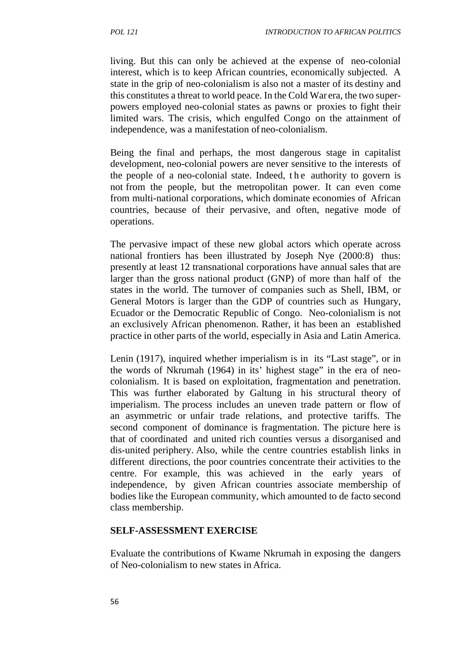living. But this can only be achieved at the expense of neo-colonial interest, which is to keep African countries, economically subjected. A state in the grip of neo-colonialism is also not a master of its destiny and this constitutes a threat to world peace. In the Cold War era, the two super powers employed neo-colonial states as pawns or proxies to fight their limited wars. The crisis, which engulfed Congo on the attainment of independence, was a manifestation of neo-colonialism.

Being the final and perhaps, the most dangerous stage in capitalist development, neo-colonial powers are never sensitive to the interests of the people of a neo-colonial state. Indeed, the authority to govern is not from the people, but the metropolitan power. It can even come from multi-national corporations, which dominate economies of African countries, because of their pervasive, and often, negative mode of operations.

The pervasive impact of these new global actors which operate across national frontiers has been illustrated by Joseph Nye (2000:8) thus: presently at least 12 transnational corporations have annual sales that are larger than the gross national product (GNP) of more than half of the states in the world. The turnover of companies such as Shell, IBM, or General Motors is larger than the GDP of countries such as Hungary, Ecuador or the Democratic Republic of Congo. Neo-colonialism is not an exclusively African phenomenon. Rather, it has been an established practice in other parts of the world, especially in Asia and Latin America.

Lenin (1917), inquired whether imperialism is in its "Last stage", or in the words of Nkrumah (1964) in its' highest stage" in the era of neo colonialism. It is based on exploitation, fragmentation and penetration. This was further elaborated by Galtung in his structural theory of imperialism. The process includes an uneven trade pattern or flow of an asymmetric or unfair trade relations, and protective tariffs. The second component of dominance is fragmentation. The picture here is that of coordinated and united rich counties versus a disorganised and dis-united periphery. Also, while the centre countries establish links in different directions, the poor countries concentrate their activities to the centre. For example, this was achieved in the early years of independence, by given African countries associate membership of bodies like the European community, which amounted to de facto second class membership.

#### **SELF-ASSESSMENT EXERCISE**

Evaluate the contributions of Kwame Nkrumah in exposing the dangers of Neo-colonialism to new states in Africa.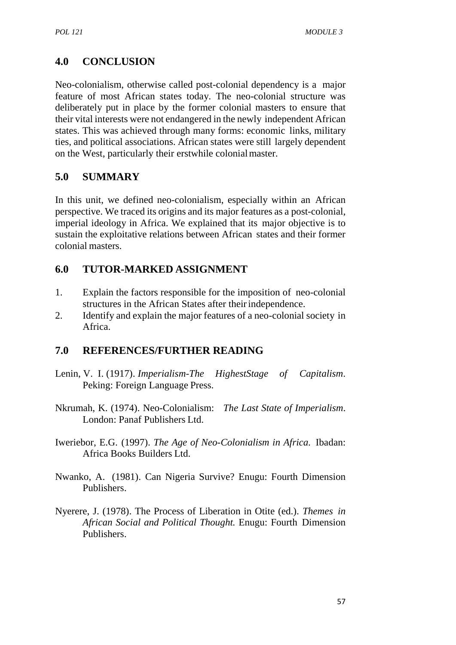# **4.0 CONCLUSION**

Neo-colonialism, otherwise called post-colonial dependency is a major feature of most African states today. The neo-colonial structure was deliberately put in place by the former colonial masters to ensure that their vital interests were not endangered in the newly independent African states. This was achieved through many forms: economic links, military ties, and political associations. African states were still largely dependent on the West, particularly their erstwhile colonialmaster.

## **5.0 SUMMARY**

In this unit, we defined neo-colonialism, especially within an African perspective. We traced its origins and its major features as a post-colonial, imperial ideology in Africa. We explained that its major objective is to sustain the exploitative relations between African states and their former colonial masters.

## **6.0 TUTOR-MARKED ASSIGNMENT**

- 1. Explain the factors responsible for the imposition of neo-colonial structures in the African States after their independence.
- 2. Identify and explain the major features of a neo-colonial society in Africa.

## **7.0 REFERENCES/FURTHER READING**

- Lenin, V. I. (1917). *Imperialism-The HighestStage of Capitalism*. Peking: Foreign Language Press.
- Nkrumah, K. (1974). Neo-Colonialism: *The Last State of Imperialism*. London: Panaf Publishers Ltd.
- Iweriebor, E.G. (1997). *The Age of Neo-Colonialism in Africa.* Ibadan: Africa Books Builders Ltd.
- Nwanko, A. (1981). Can Nigeria Survive? Enugu: Fourth Dimension Publishers.
- Nyerere, J. (1978). The Process of Liberation in Otite (ed.). *Themes in African Social and Political Thought.* Enugu: Fourth Dimension Publishers.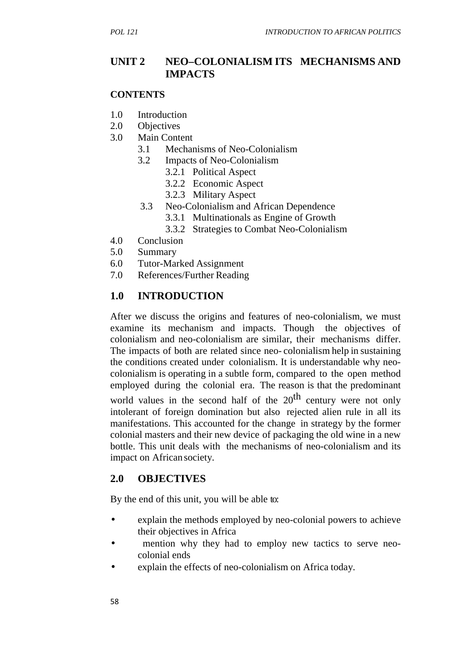## **UNIT 2 NEO–COLONIALISM ITS MECHANISMS AND IMPACTS**

#### **CONTENTS**

- 1.0 Introduction
- 2.0 Objectives
- 3.0 Main Content
	- 3.1 Mechanisms of Neo-Colonialism
	- 3.2 Impacts of Neo-Colonialism
		- 3.2.1 Political Aspect
		- 3.2.2 Economic Aspect
		- 3.2.3 Military Aspect
	- 3.3 Neo-Colonialism and African Dependence
		- 3.3.1 Multinationals as Engine of Growth
		- 3.3.2 Strategies to Combat Neo-Colonialism
- 4.0 Conclusion
- 5.0 Summary
- 6.0 Tutor-Marked Assignment
- 7.0 References/Further Reading

## **1.0 INTRODUCTION**

After we discuss the origins and features of neo-colonialism, we must examine its mechanism and impacts. Though the objectives of colonialism and neo-colonialism are similar, their mechanisms differ. The impacts of both are related since neo- colonialism help in sustaining the conditions created under colonialism. It is understandable why neo colonialism is operating in a subtle form, compared to the open method employed during the colonial era. The reason is that the predominant

world values in the second half of the  $20<sup>th</sup>$  century were not only intolerant of foreign domination but also rejected alien rule in all its manifestations. This accounted for the change in strategy by the former colonial masters and their new device of packaging the old wine in a new bottle. This unit deals with the mechanisms of neo-colonialism and its impact on African society.

## **2.0 OBJECTIVES**

By the end of this unit, you will be able to:

- explain the methods employed by neo-colonial powers to achieve their objectives in Africa
- mention why they had to employ new tactics to serve neo colonial ends
- explain the effects of neo-colonialism on Africa today.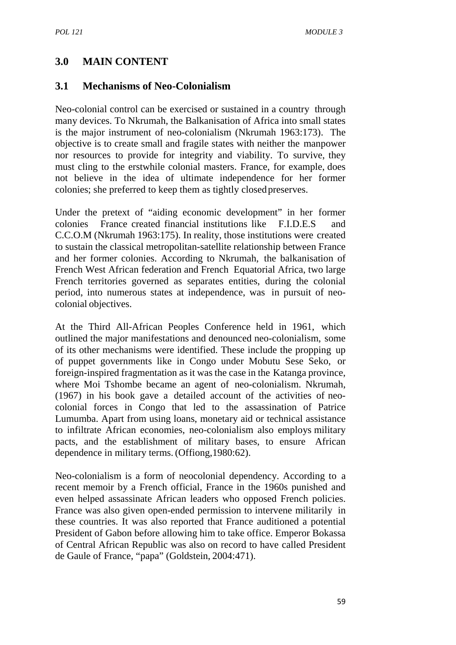## **3.0 MAIN CONTENT**

### **3.1 Mechanisms of Neo-Colonialism**

Neo-colonial control can be exercised or sustained in a country through many devices. To Nkrumah, the Balkanisation of Africa into small states is the major instrument of neo-colonialism (Nkrumah 1963:173). The objective is to create small and fragile states with neither the manpower nor resources to provide for integrity and viability. To survive, they must cling to the erstwhile colonial masters. France, for example, does not believe in the idea of ultimate independence for her former colonies; she preferred to keep them as tightly closedpreserves.

Under the pretext of "aiding economic development" in her former colonies France created financial institutions like F.I.D.E.S and C.C.O.M (Nkrumah 1963:175). In reality, those institutions were created to sustain the classical metropolitan-satellite relationship between France and her former colonies. According to Nkrumah, the balkanisation of French West African federation and French Equatorial Africa, two large French territories governed as separates entities, during the colonial period, into numerous states at independence, was in pursuit of neo colonial objectives.

At the Third All-African Peoples Conference held in 1961, which outlined the major manifestations and denounced neo-colonialism, some of its other mechanisms were identified. These include the propping up of puppet governments like in Congo under Mobutu Sese Seko, or foreign-inspired fragmentation as it was the case in the Katanga province, where Moi Tshombe became an agent of neo-colonialism. Nkrumah, (1967) in his book gave a detailed account of the activities of neo colonial forces in Congo that led to the assassination of Patrice Lumumba. Apart from using loans, monetary aid or technical assistance to infiltrate African economies, neo-colonialism also employs military pacts, and the establishment of military bases, to ensure African dependence in military terms. (Offiong,1980:62).

Neo-colonialism is a form of neocolonial dependency. According to a recent memoir by a French official, France in the 1960s punished and even helped assassinate African leaders who opposed French policies. France was also given open-ended permission to intervene militarily in these countries. It was also reported that France auditioned a potential President of Gabon before allowing him to take office. Emperor Bokassa of Central African Republic was also on record to have called President de Gaule of France, "papa" (Goldstein, 2004:471).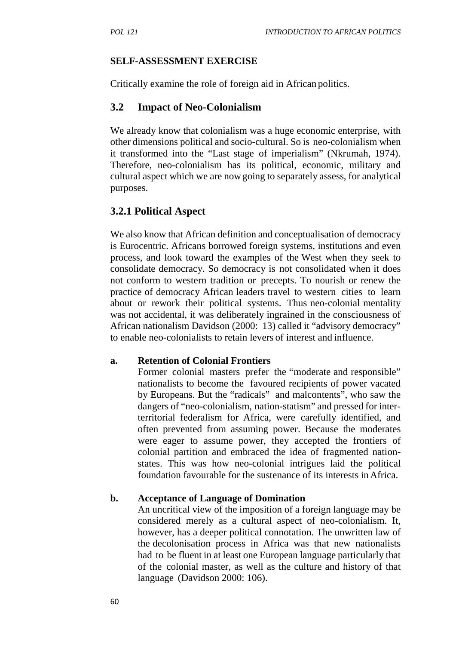### **SELF-ASSESSMENT EXERCISE**

Critically examine the role of foreign aid in African politics.

## **3.2 Impact of Neo-Colonialism**

We already know that colonialism was a huge economic enterprise, with other dimensions political and socio-cultural. So is neo-colonialism when it transformed into the "Last stage of imperialism" (Nkrumah, 1974). Therefore, neo-colonialism has its political, economic, military and cultural aspect which we are nowgoing to separately assess, for analytical purposes.

## **3.2.1 Political Aspect**

We also know that African definition and conceptualisation of democracy is Eurocentric. Africans borrowed foreign systems, institutions and even process, and look toward the examples of the West when they seek to consolidate democracy. So democracy is not consolidated when it does not conform to western tradition or precepts. To nourish or renew the practice of democracy African leaders travel to western cities to learn about or rework their political systems. Thus neo-colonial mentality was not accidental, it was deliberately ingrained in the consciousness of African nationalism Davidson (2000: 13) called it "advisory democracy" to enable neo-colonialists to retain levers of interest and influence.

### **a. Retention of Colonial Frontiers**

Former colonial masters prefer the "moderate and responsible" nationalists to become the favoured recipients of power vacated by Europeans. But the "radicals" and malcontents", who saw the dangers of "neo-colonialism, nation-statism" and pressed for interterritorial federalism for Africa, were carefully identified, and often prevented from assuming power. Because the moderates were eager to assume power, they accepted the frontiers of colonial partition and embraced the idea of fragmented nation states. This was how neo-colonial intrigues laid the political foundation favourable for the sustenance of its interests in Africa.

### **b. Acceptance of Language of Domination**

An uncritical view of the imposition of a foreign language may be considered merely as a cultural aspect of neo-colonialism. It, however, has a deeper political connotation. The unwritten law of the decolonisation process in Africa was that new nationalists had to be fluent in at least one European language particularly that of the colonial master, as well as the culture and history of that language (Davidson 2000: 106).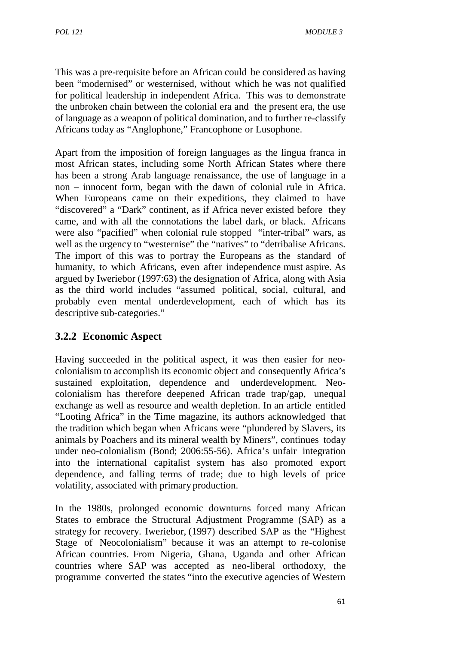This was a pre-requisite before an African could be considered as having been "modernised" or westernised, without which he was not qualified for political leadership in independent Africa. This was to demonstrate the unbroken chain between the colonial era and the present era, the use of language as a weapon of political domination, and to further re-classify Africans today as "Anglophone," Francophone or Lusophone.

Apart from the imposition of foreign languages as the lingua franca in most African states, including some North African States where there has been a strong Arab language renaissance, the use of language in a non – innocent form, began with the dawn of colonial rule in Africa. When Europeans came on their expeditions, they claimed to have "discovered" a "Dark" continent, as if Africa never existed before they came, and with all the connotations the label dark, or black. Africans were also "pacified" when colonial rule stopped "inter-tribal" wars, as well as the urgency to "westernise" the "natives" to "detribalise Africans. The import of this was to portray the Europeans as the standard of humanity, to which Africans, even after independence must aspire. As argued by Iweriebor (1997:63) the designation of Africa, along with Asia as the third world includes "assumed political, social, cultural, and probably even mental underdevelopment, each of which has its descriptive sub-categories."

# **3.2.2 Economic Aspect**

Having succeeded in the political aspect, it was then easier for neo colonialism to accomplish its economic object and consequently Africa's sustained exploitation, dependence and underdevelopment. Neo colonialism has therefore deepened African trade trap/gap, unequal exchange as well as resource and wealth depletion. In an article entitled "Looting Africa" in the Time magazine, its authors acknowledged that the tradition which began when Africans were "plundered by Slavers, its animals by Poachers and its mineral wealth by Miners", continues today under neo-colonialism (Bond; 2006:55-56). Africa's unfair integration into the international capitalist system has also promoted export dependence, and falling terms of trade; due to high levels of price volatility, associated with primary production.

In the 1980s, prolonged economic downturns forced many African States to embrace the Structural Adjustment Programme (SAP) as a strategy for recovery. Iweriebor, (1997) described SAP as the "Highest Stage of Neocolonialism" because it was an attempt to re-colonise African countries. From Nigeria, Ghana, Uganda and other African countries where SAP was accepted as neo-liberal orthodoxy, the programme converted the states "into the executive agencies of Western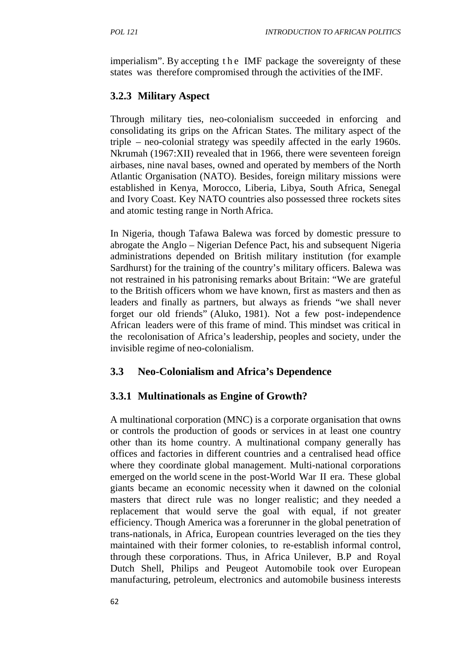FOL 121<br>INTRODUCTION TO AFRICAN POLITICS<br>imperialism". By accepting the IMF package the sovereignty of these<br>states was therefore compromised through the activities of the IMF. states was therefore compromised through the activities of the IMF.

# **3.2.3 Military Aspect**

Through military ties, neo-colonialism succeeded in enforcing and consolidating its grips on the African States. The military aspect of the triple – neo-colonial strategy was speedily affected in the early 1960s. Nkrumah (1967:XII) revealed that in 1966, there were seventeen foreign airbases, nine naval bases, owned and operated by members of the North Atlantic Organisation (NATO). Besides, foreign military missions were established in Kenya, Morocco, Liberia, Libya, South Africa, Senegal and Ivory Coast. Key NATO countries also possessed three rockets sites and atomic testing range in North Africa.

In Nigeria, though Tafawa Balewa was forced by domestic pressure to abrogate the Anglo – Nigerian Defence Pact, his and subsequent Nigeria administrations depended on British military institution (for example Sardhurst) for the training of the country's military officers. Balewa was not restrained in his patronising remarks about Britain: "We are grateful to the British officers whom we have known, first as masters and then as leaders and finally as partners, but always as friends "we shall never forget our old friends" (Aluko, 1981). Not a few post-independence African leaders were of this frame of mind. This mindset was critical in the recolonisation of Africa's leadership, peoples and society, under the invisible regime of neo-colonialism.

# **3.3 Neo-Colonialism and Africa's Dependence**

## **3.3.1 Multinationals as Engine of Growth?**

A multinational corporation (MNC) is a corporate organisation that owns or controls the production of goods or services in at least one country other than its home country. A multinational company generally has offices and factories in different countries and a centralised head office where they coordinate global management. Multi-national corporations emerged on the world scene in the post-World War II era. These global giants became an economic necessity when it dawned on the colonial masters that direct rule was no longer realistic; and they needed a replacement that would serve the goal with equal, if not greater efficiency. Though America was a forerunner in the global penetration of trans-nationals, in Africa, European countries leveraged on the ties they maintained with their former colonies, to re-establish informal control, through these corporations. Thus, in Africa Unilever, B.P and Royal Dutch Shell, Philips and Peugeot Automobile took over European manufacturing, petroleum, electronics and automobile business interests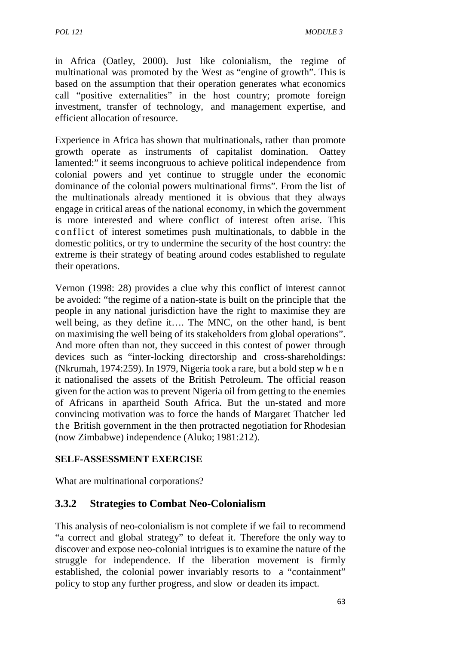in Africa (Oatley, 2000). Just like colonialism, the regime of multinational was promoted by the West as "engine of growth". This is based on the assumption that their operation generates what economics call "positive externalities" in the host country; promote foreign investment, transfer of technology, and management expertise, and efficient allocation ofresource.

Experience in Africa has shown that multinationals, rather than promote growth operate as instruments of capitalist domination. Oattey lamented:" it seems incongruous to achieve political independence from colonial powers and yet continue to struggle under the economic dominance of the colonial powers multinational firms". From the list of the multinationals already mentioned it is obvious that they always engage in critical areas of the national economy, in which the government is more interested and where conflict of interest often arise. This colonial powers and yet continue to struggle under the economic<br>dominance of the colonial powers multinational firms". From the list of<br>the multinationals already mentioned it is obvious that they always<br>engage in critical domestic politics, or try to undermine the security of the host country: the extreme is their strategy of beating around codes established to regulate their operations.

Vernon (1998: 28) provides a clue why this conflict of interest cannot be avoided: "the regime of a nation-state is built on the principle that the people in any national jurisdiction have the right to maximise they are well being, as they define it…. The MNC, on the other hand, is bent on maximising the well being of its stakeholders from global operations". And more often than not, they succeed in this contest of power through devices such as "inter-locking directorship and cross-shareholdings: people in any national jurisdiction have the right to maximise they are<br>well being, as they define it.... The MNC, on the other hand, is bent<br>on maximising the well being of its stakeholders from global operations".<br>And mo it nationalised the assets of the British Petroleum. The official reason given for the action was to prevent Nigeria oil from getting to the enemies of Africans in apartheid South Africa. But the un-stated and more convincing motivation was to force the hands of Margaret Thatcher led the British government in the then protracted negotiation for Rhodesian (now Zimbabwe) independence (Aluko; 1981:212).

### **SELF-ASSESSMENT EXERCISE**

What are multinational corporations?

## **3.3.2 Strategies to Combat Neo-Colonialism**

This analysis of neo-colonialism is not complete if we fail to recommend "a correct and global strategy" to defeat it. Therefore the only way to discover and expose neo-colonial intrigues is to examine the nature of the struggle for independence. If the liberation movement is firmly established, the colonial power invariably resorts to a "containment" policy to stop any further progress, and slow or deaden its impact.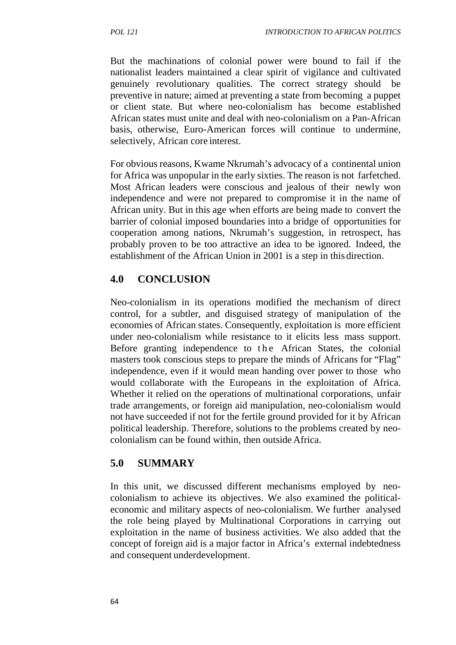But the machinations of colonial power were bound to fail if the nationalist leaders maintained a clear spirit of vigilance and cultivated genuinely revolutionary qualities. The correct strategy should be preventive in nature; aimed at preventing a state from becoming a puppet or client state. But where neo-colonialism has become established African states must unite and deal with neo-colonialism on a Pan-African basis, otherwise, Euro-American forces will continue to undermine, selectively, African core interest.

For obvious reasons, Kwame Nkrumah's advocacy of a continental union for Africa was unpopular in the early sixties. The reason is not farfetched. Most African leaders were conscious and jealous of their newly won independence and were not prepared to compromise it in the name of African unity. But in this age when efforts are being made to convert the barrier of colonial imposed boundaries into a bridge of opportunities for cooperation among nations, Nkrumah's suggestion, in retrospect, has probably proven to be too attractive an idea to be ignored. Indeed, the establishment of the African Union in 2001 is a step in this direction.

# **4.0 CONCLUSION**

Neo-colonialism in its operations modified the mechanism of direct control, for a subtler, and disguised strategy of manipulation of the economies of African states. Consequently, exploitation is more efficient under neo-colonialism while resistance to it elicits less mass support. Neo-colonialism in its operations modified the mechanism of direct<br>control, for a subtler, and disguised strategy of manipulation of the<br>economies of African states. Consequently, exploitation is more efficient<br>under neo-c masters took conscious steps to prepare the minds of Africans for "Flag" independence, even if it would mean handing over power to those who would collaborate with the Europeans in the exploitation of Africa. Whether it relied on the operations of multinational corporations, unfair trade arrangements, or foreign aid manipulation, neo-colonialism would not have succeeded if not for the fertile ground provided for it by African political leadership. Therefore, solutions to the problems created by neo colonialism can be found within, then outside Africa.

# **5.0 SUMMARY**

In this unit, we discussed different mechanisms employed by neo colonialism to achieve its objectives. We also examined the political economic and military aspects of neo-colonialism. We further analysed the role being played by Multinational Corporations in carrying out exploitation in the name of business activities. We also added that the concept of foreign aid is a major factor in Africa's external indebtedness and consequent underdevelopment.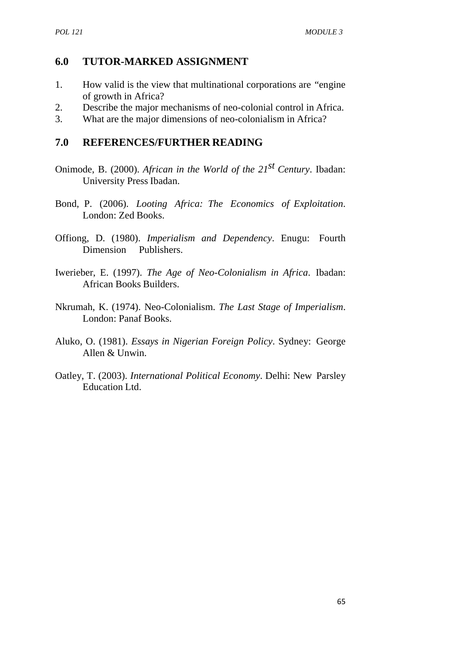## **6.0 TUTOR-MARKED ASSIGNMENT**

- 1. How valid is the view that multinational corporations are "engine of growth in Africa?
- 2. Describe the major mechanisms of neo-colonial control in Africa.
- 3. What are the major dimensions of neo-colonialism in Africa?

## **7.0 REFERENCES/FURTHER READING**

- Onimode, B. (2000). *African in the World of the 21st Century*. Ibadan: University Press Ibadan.
- Bond, P. (2006). *Looting Africa: The Economics of Exploitation*. London: Zed Books.
- Offiong, D. (1980). *Imperialism and Dependency*. Enugu: Fourth Dimension Publishers.
- Iwerieber, E. (1997). *The Age of Neo-Colonialism in Africa*. Ibadan: African Books Builders.
- Nkrumah, K. (1974). Neo-Colonialism. *The Last Stage of Imperialism*. London: Panaf Books.
- Aluko, O. (1981). *Essays in Nigerian Foreign Policy*. Sydney: George Allen & Unwin.
- Oatley, T. (2003). *International Political Economy*. Delhi: New Parsley Education Ltd.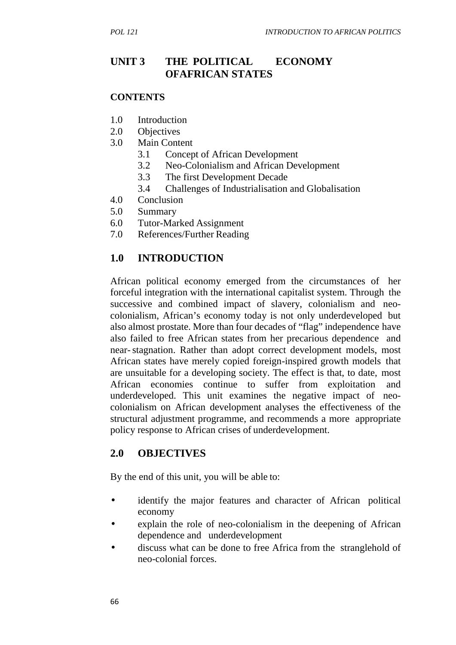# **UNIT 3 THE POLITICAL ECONOMY OFAFRICAN STATES**

#### **CONTENTS**

- 1.0 Introduction
- 2.0 Objectives
- 3.0 Main Content
	- 3.1 Concept of African Development
	- 3.2 Neo-Colonialism and African Development
	- 3.3 The first Development Decade
	- 3.4 Challenges of Industrialisation and Globalisation
- 4.0 Conclusion
- 5.0 Summary
- 6.0 Tutor-Marked Assignment
- 7.0 References/Further Reading

## **1.0 INTRODUCTION**

African political economy emerged from the circumstances of her forceful integration with the international capitalist system. Through the successive and combined impact of slavery, colonialism and neo colonialism, African's economy today is not only underdeveloped but also almost prostate. More than four decades of "flag" independence have also failed to free African states from her precarious dependence and near-stagnation. Rather than adopt correct development models, most African states have merely copied foreign-inspired growth models that are unsuitable for a developing society. The effect is that, to date, most African economies continue to suffer from exploitation and underdeveloped. This unit examines the negative impact of neo colonialism on African development analyses the effectiveness of the structural adjustment programme, and recommends a more appropriate policy response to African crises of underdevelopment.

## **2.0 OBJECTIVES**

By the end of this unit, you will be able to:

- identify the major features and character of African political economy
- explain the role of neo-colonialism in the deepening of African dependence and underdevelopment
- discuss what can be done to free Africa from the stranglehold of neo-colonial forces.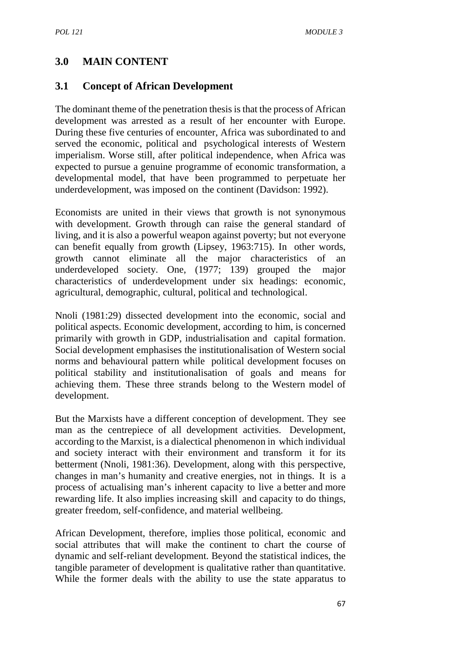## **3.0 MAIN CONTENT**

### **3.1 Concept of African Development**

The dominant theme of the penetration thesis is that the process of African development was arrested as a result of her encounter with Europe. During these five centuries of encounter, Africa was subordinated to and served the economic, political and psychological interests of Western imperialism. Worse still, after political independence, when Africa was expected to pursue a genuine programme of economic transformation, a developmental model, that have been programmed to perpetuate her underdevelopment, was imposed on the continent (Davidson: 1992).

Economists are united in their views that growth is not synonymous with development. Growth through can raise the general standard of living, and it is also a powerful weapon against poverty; but not everyone can benefit equally from growth (Lipsey, 1963:715). In other words, growth cannot eliminate all the major characteristics of an underdeveloped society. One, (1977; 139) grouped the major characteristics of underdevelopment under six headings: economic, agricultural, demographic, cultural, political and technological.

Nnoli (1981:29) dissected development into the economic, social and political aspects. Economic development, according to him, is concerned primarily with growth in GDP, industrialisation and capital formation. Social development emphasises the institutionalisation of Western social norms and behavioural pattern while political development focuses on political stability and institutionalisation of goals and means for achieving them. These three strands belong to the Western model of development.

But the Marxists have a different conception of development. They see man as the centrepiece of all development activities. Development, according to the Marxist, is a dialectical phenomenon in which individual and society interact with their environment and transform it for its betterment (Nnoli, 1981:36). Development, along with this perspective, changes in man's humanity and creative energies, not in things. It is a process of actualising man's inherent capacity to live a better and more rewarding life. It also implies increasing skill and capacity to do things, greater freedom, self-confidence, and material wellbeing.

African Development, therefore, implies those political, economic and social attributes that will make the continent to chart the course of dynamic and self-reliant development. Beyond the statistical indices, the tangible parameter of development is qualitative rather than quantitative. While the former deals with the ability to use the state apparatus to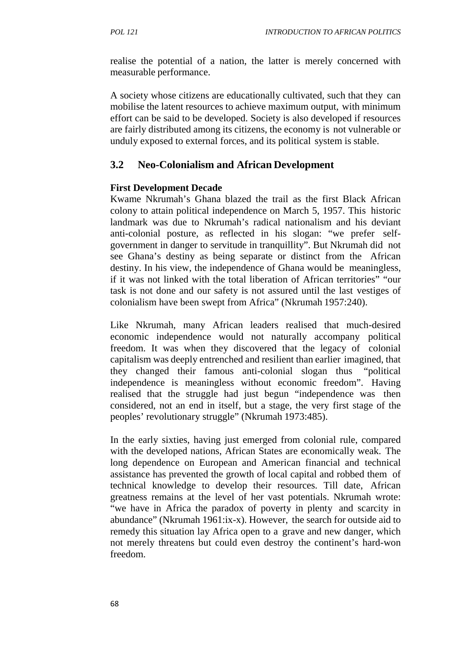realise the potential of a nation, the latter is merely concerned with measurable performance.

A society whose citizens are educationally cultivated, such that they can mobilise the latent resources to achieve maximum output, with minimum effort can be said to be developed. Society is also developed if resources are fairly distributed among its citizens, the economy is not vulnerable or unduly exposed to external forces, and its political system is stable.

## **3.2 Neo-Colonialism and African Development**

### **First Development Decade**

Kwame Nkrumah's Ghana blazed the trail as the first Black African colony to attain political independence on March 5, 1957. This historic landmark was due to Nkrumah's radical nationalism and his deviant anti-colonial posture, as reflected in his slogan: "we prefer self government in danger to servitude in tranquillity". But Nkrumah did not see Ghana's destiny as being separate or distinct from the African destiny. In his view, the independence of Ghana would be meaningless, if it was not linked with the total liberation of African territories" "our task is not done and our safety is not assured until the last vestiges of colonialism have been swept from Africa" (Nkrumah 1957:240).

Like Nkrumah, many African leaders realised that much-desired economic independence would not naturally accompany political freedom. It was when they discovered that the legacy of colonial capitalism was deeply entrenched and resilient than earlier imagined, that they changed their famous anti-colonial slogan thus "political independence is meaningless without economic freedom". Having realised that the struggle had just begun "independence was then considered, not an end in itself, but a stage, the very first stage of the peoples' revolutionary struggle" (Nkrumah 1973:485).

In the early sixties, having just emerged from colonial rule, compared with the developed nations, African States are economically weak. The long dependence on European and American financial and technical assistance has prevented the growth of local capital and robbed them of technical knowledge to develop their resources. Till date, African greatness remains at the level of her vast potentials. Nkrumah wrote: "we have in Africa the paradox of poverty in plenty and scarcity in abundance" (Nkrumah 1961:ix-x). However, the search for outside aid to remedy this situation lay Africa open to a grave and new danger, which not merely threatens but could even destroy the continent's hard-won freedom.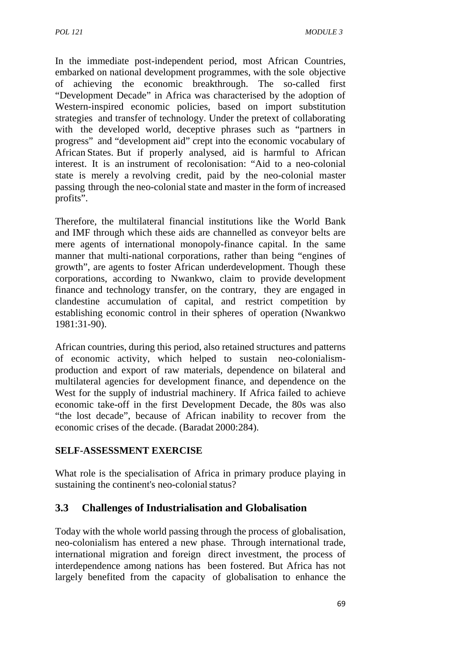In the immediate post-independent period, most African Countries, embarked on national development programmes, with the sole objective of achieving the economic breakthrough. The so-called first "Development Decade" in Africa was characterised by the adoption of Western-inspired economic policies, based on import substitution strategies and transfer of technology. Under the pretext of collaborating with the developed world, deceptive phrases such as "partners in progress" and "development aid" crept into the economic vocabulary of African States. But if properly analysed, aid is harmful to African interest. It is an instrument of recolonisation: "Aid to a neo-colonial state is merely a revolving credit, paid by the neo-colonial master passing through the neo-colonial state and master in the form of increased profits".

Therefore, the multilateral financial institutions like the World Bank and IMF through which these aids are channelled as conveyor belts are mere agents of international monopoly-finance capital. In the same manner that multi-national corporations, rather than being "engines of growth", are agents to foster African underdevelopment. Though these corporations, according to Nwankwo, claim to provide development finance and technology transfer, on the contrary, they are engaged in clandestine accumulation of capital, and restrict competition by establishing economic control in their spheres of operation (Nwankwo 1981:31-90).

African countries, during this period, also retained structures and patterns of economic activity, which helped to sustain neo-colonialism production and export of raw materials, dependence on bilateral and multilateral agencies for development finance, and dependence on the West for the supply of industrial machinery. If Africa failed to achieve economic take-off in the first Development Decade, the 80s was also "the lost decade", because of African inability to recover from the economic crises of the decade. (Baradat 2000:284).

### **SELF-ASSESSMENT EXERCISE**

What role is the specialisation of Africa in primary produce playing in sustaining the continent's neo-colonial status?

## **3.3 Challenges of Industrialisation and Globalisation**

Today with the whole world passing through the process of globalisation, neo-colonialism has entered a new phase. Through international trade, international migration and foreign direct investment, the process of interdependence among nations has been fostered. But Africa has not largely benefited from the capacity of globalisation to enhance the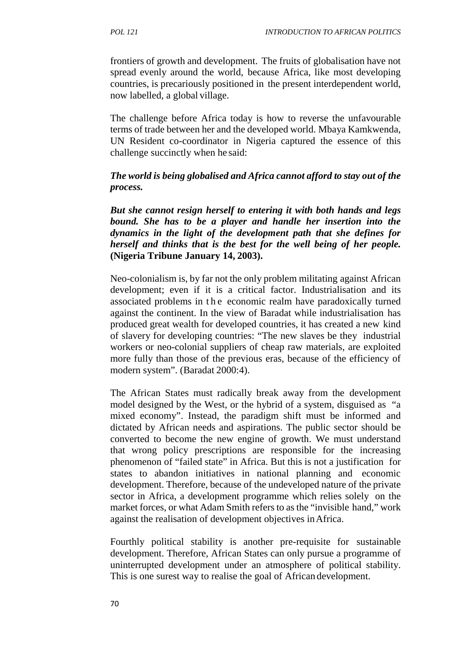frontiers of growth and development. The fruits of globalisation have not spread evenly around the world, because Africa, like most developing countries, is precariously positioned in the present interdependent world, now labelled, a global village.

The challenge before Africa today is how to reverse the unfavourable terms of trade between her and the developed world. Mbaya Kamkwenda, UN Resident co-coordinator in Nigeria captured the essence of this challenge succinctly when he said:

### *The world is being globalised and Africa cannot afford to stay out of the process.*

*But she cannot resign herself to entering it with both hands and legs bound. She has to be a player and handle her insertion into the dynamics in the light of the development path that she defines for herself and thinks that is the best for the well being of her people.* **(Nigeria Tribune January 14, 2003).**

Neo-colonialism is, by far not the only problem militating against African development; even if it is a critical factor. Industrialisation and its herself and thinks that is the best for the well being of her people.<br>(Nigeria Tribune January 14, 2003).<br>Neo-colonialism is, by far not the only problem militating against African<br>development; even if it is a critical fac against the continent. In the view of Baradat while industrialisation has produced great wealth for developed countries, it has created a new kind of slavery for developing countries: "The new slaves be they industrial workers or neo-colonial suppliers of cheap raw materials, are exploited more fully than those of the previous eras, because of the efficiency of modern system". (Baradat 2000:4).

The African States must radically break away from the development model designed by the West, or the hybrid of a system, disguised as "a mixed economy". Instead, the paradigm shift must be informed and dictated by African needs and aspirations. The public sector should be converted to become the new engine of growth. We must understand that wrong policy prescriptions are responsible for the increasing phenomenon of "failed state" in Africa. But this is not a justification for states to abandon initiatives in national planning and economic development. Therefore, because of the undeveloped nature of the private sector in Africa, a development programme which relies solely on the market forces, or what Adam Smith refers to as the "invisible hand," work against the realisation of development objectives inAfrica.

Fourthly political stability is another pre-requisite for sustainable development. Therefore, African States can only pursue a programme of uninterrupted development under an atmosphere of political stability. This is one surest way to realise the goal of African development.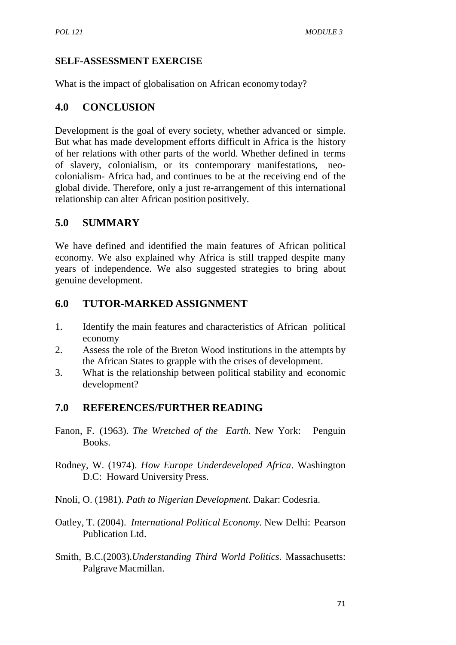## **SELF-ASSESSMENT EXERCISE**

What is the impact of globalisation on African economy today?

## **4.0 CONCLUSION**

Development is the goal of every society, whether advanced or simple. But what has made development efforts difficult in Africa is the history of her relations with other parts of the world. Whether defined in terms of slavery, colonialism, or its contemporary manifestations, neo colonialism- Africa had, and continues to be at the receiving end of the global divide. Therefore, only a just re-arrangement of this international relationship can alter African position positively.

# **5.0 SUMMARY**

We have defined and identified the main features of African political economy. We also explained why Africa is still trapped despite many years of independence. We also suggested strategies to bring about genuine development.

## **6.0 TUTOR-MARKED ASSIGNMENT**

- 1. Identify the main features and characteristics of African political economy
- 2. Assess the role of the Breton Wood institutions in the attempts by the African States to grapple with the crises of development.
- 3. What is the relationship between political stability and economic development?

# **7.0 REFERENCES/FURTHER READING**

- Fanon, F. (1963). *The Wretched of the Earth*. New York: Penguin Books.
- Rodney, W. (1974). *How Europe Underdeveloped Africa*. Washington D.C: Howard University Press.
- Nnoli, O. (1981). *Path to Nigerian Development*. Dakar: Codesria.
- Oatley, T. (2004). *International Political Economy.* New Delhi: Pearson Publication Ltd.
- Smith, B.C.(2003).*Understanding Third World Politics*. Massachusetts: Palgrave Macmillan.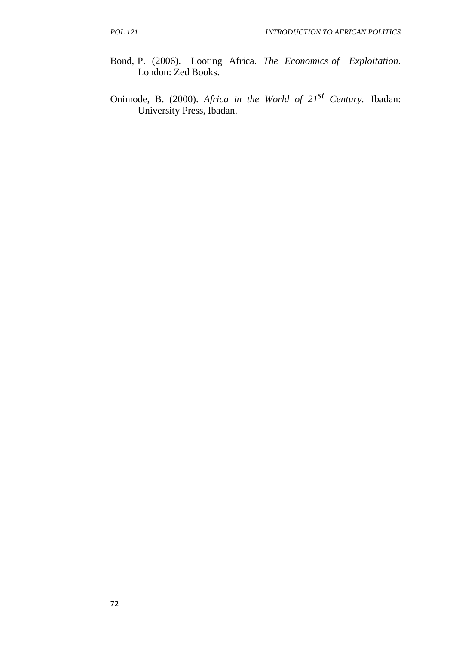- Bond, P. (2006). Looting Africa. *The Economics of Exploitation*. London: Zed Books.
- Onimode, B. (2000). *Africa in the World of 21st Century.* Ibadan: University Press, Ibadan.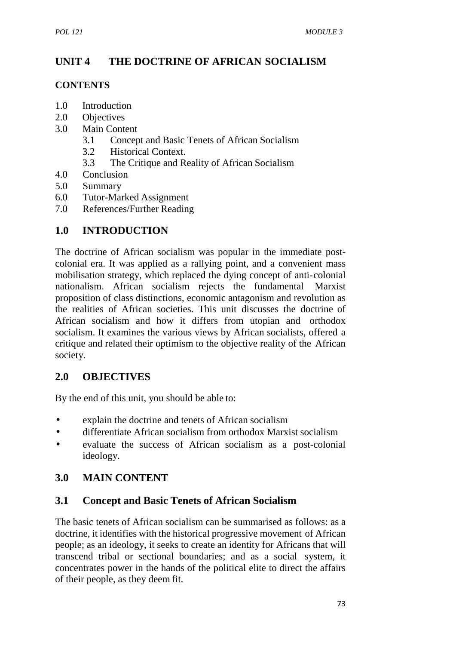# **UNIT 4 THE DOCTRINE OF AFRICAN SOCIALISM**

### **CONTENTS**

- 1.0 Introduction
- 2.0 Objectives
- 3.0 Main Content
	- 3.1 Concept and Basic Tenets of African Socialism
	- 3.2 Historical Context.
	- 3.3 The Critique and Reality of African Socialism
- 4.0 Conclusion
- 5.0 Summary
- 6.0 Tutor-Marked Assignment
- 7.0 References/Further Reading

# **1.0 INTRODUCTION**

The doctrine of African socialism was popular in the immediate post colonial era. It was applied as a rallying point, and a convenient mass mobilisation strategy, which replaced the dying concept of anti-colonial nationalism. African socialism rejects the fundamental Marxist proposition of class distinctions, economic antagonism and revolution as the realities of African societies. This unit discusses the doctrine of African socialism and how it differs from utopian and orthodox socialism. It examines the various views by African socialists, offered a critique and related their optimism to the objective reality of the African society.

# **2.0 OBJECTIVES**

By the end of this unit, you should be able to:

- explain the doctrine and tenets of African socialism
- differentiate African socialism from orthodox Marxist socialism
- evaluate the success of African socialism as a post-colonial ideology.

# **3.0 MAIN CONTENT**

# **3.1 Concept and Basic Tenets of African Socialism**

The basic tenets of African socialism can be summarised as follows: as a doctrine, it identifies with the historical progressive movement of African people; as an ideology, it seeks to create an identity for Africans that will transcend tribal or sectional boundaries; and as a social system, it concentrates power in the hands of the political elite to direct the affairs of their people, as they deem fit.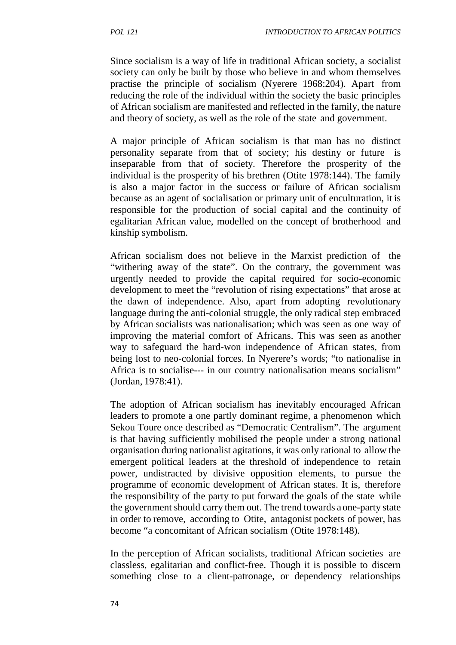Since socialism is a way of life in traditional African society, a socialist society can only be built by those who believe in and whom themselves practise the principle of socialism (Nyerere 1968:204). Apart from reducing the role of the individual within the society the basic principles of African socialism are manifested and reflected in the family, the nature and theory of society, as well as the role of the state and government.

A major principle of African socialism is that man has no distinct personality separate from that of society; his destiny or future is inseparable from that of society. Therefore the prosperity of the individual is the prosperity of his brethren (Otite 1978:144). The family is also a major factor in the success or failure of African socialism because as an agent of socialisation or primary unit of enculturation, it is responsible for the production of social capital and the continuity of egalitarian African value, modelled on the concept of brotherhood and kinship symbolism.

African socialism does not believe in the Marxist prediction of the "withering away of the state". On the contrary, the government was urgently needed to provide the capital required for socio-economic development to meet the "revolution of rising expectations" that arose at the dawn of independence. Also, apart from adopting revolutionary language during the anti-colonial struggle, the only radical step embraced by African socialists was nationalisation; which was seen as one way of improving the material comfort of Africans. This was seen as another way to safeguard the hard-won independence of African states, from being lost to neo-colonial forces. In Nyerere's words; "to nationalise in Africa is to socialise--- in our country nationalisation means socialism" (Jordan, 1978:41).

The adoption of African socialism has inevitably encouraged African leaders to promote a one partly dominant regime, a phenomenon which Sekou Toure once described as "Democratic Centralism". The argument is that having sufficiently mobilised the people under a strong national organisation during nationalist agitations, it was only rational to allow the emergent political leaders at the threshold of independence to retain power, undistracted by divisive opposition elements, to pursue the programme of economic development of African states. It is, therefore the responsibility of the party to put forward the goals of the state while the government should carry them out. The trend towards a one-party state in order to remove, according to Otite, antagonist pockets of power, has become "a concomitant of African socialism (Otite 1978:148).

In the perception of African socialists, traditional African societies are classless, egalitarian and conflict-free. Though it is possible to discern something close to a client-patronage, or dependency relationships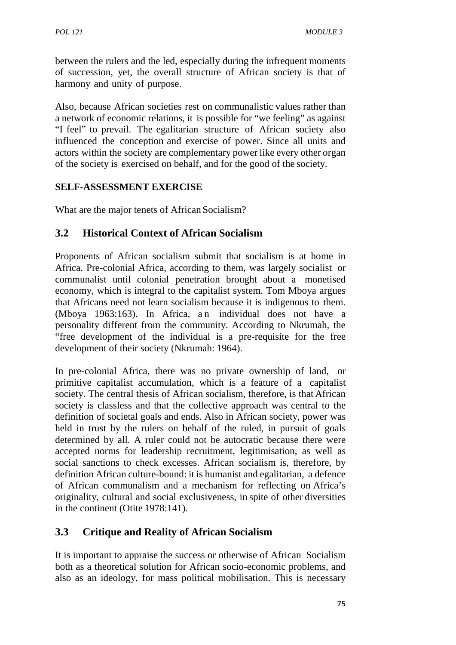between the rulers and the led, especially during the infrequent moments of succession, yet, the overall structure of African society is that of harmony and unity of purpose.

Also, because African societies rest on communalistic values rather than a network of economic relations, it is possible for "we feeling" as against "I feel" to prevail. The egalitarian structure of African society also influenced the conception and exercise of power. Since all units and actors within the society are complementary power like every other organ of the society is exercised on behalf, and for the good of the society.

### **SELF-ASSESSMENT EXERCISE**

What are the major tenets of African Socialism?

# **3.2 Historical Context of African Socialism**

Proponents of African socialism submit that socialism is at home in Africa. Pre-colonial Africa, according to them, was largely socialist or communalist until colonial penetration brought about a monetised economy, which is integral to the capitalist system. Tom Mboya argues that Africans need not learn socialism because it is indigenous to them. (Mboya 1963:163). In Africa, an individual does not have a personality different from the community. According to Nkrumah, the "free development of the individual is a pre-requisite for the free development of their society (Nkrumah: 1964).

In pre-colonial Africa, there was no private ownership of land, or primitive capitalist accumulation, which is a feature of a capitalist society. The central thesis of African socialism, therefore, is that African society is classless and that the collective approach was central to the definition of societal goals and ends. Also in African society, power was held in trust by the rulers on behalf of the ruled, in pursuit of goals determined by all. A ruler could not be autocratic because there were accepted norms for leadership recruitment, legitimisation, as well as social sanctions to check excesses. African socialism is, therefore, by definition African culture-bound: it is humanist and egalitarian, a defence of African communalism and a mechanism for reflecting on Africa's originality, cultural and social exclusiveness, in spite of other diversities in the continent (Otite 1978:141).

## **3.3 Critique and Reality of African Socialism**

It is important to appraise the success or otherwise of African Socialism both as a theoretical solution for African socio-economic problems, and also as an ideology, for mass political mobilisation. This is necessary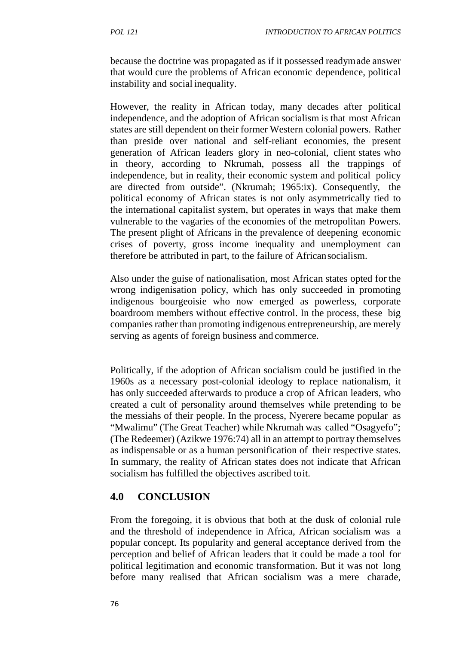because the doctrine was propagated as if it possessed readymade answer that would cure the problems of African economic dependence, political instability and social inequality.

However, the reality in African today, many decades after political independence, and the adoption of African socialism is that most African states are still dependent on their former Western colonial powers. Rather than preside over national and self-reliant economies, the present generation of African leaders glory in neo-colonial, client states who in theory, according to Nkrumah, possess all the trappings of independence, but in reality, their economic system and political policy are directed from outside". (Nkrumah; 1965:ix). Consequently, the political economy of African states is not only asymmetrically tied to the international capitalist system, but operates in ways that make them vulnerable to the vagaries of the economies of the metropolitan Powers. The present plight of Africans in the prevalence of deepening economic crises of poverty, gross income inequality and unemployment can therefore be attributed in part, to the failure of Africansocialism.

Also under the guise of nationalisation, most African states opted for the wrong indigenisation policy, which has only succeeded in promoting indigenous bourgeoisie who now emerged as powerless, corporate boardroom members without effective control. In the process, these big companies rather than promoting indigenous entrepreneurship, are merely serving as agents of foreign business and commerce.

Politically, if the adoption of African socialism could be justified in the 1960s as a necessary post-colonial ideology to replace nationalism, it has only succeeded afterwards to produce a crop of African leaders, who created a cult of personality around themselves while pretending to be the messiahs of their people. In the process, Nyerere became popular as "Mwalimu" (The Great Teacher) while Nkrumah was called "Osagyefo"; (The Redeemer) (Azikwe 1976:74) all in an attempt to portray themselves as indispensable or as a human personification of their respective states. In summary, the reality of African states does not indicate that African socialism has fulfilled the objectives ascribed toit.

## **4.0 CONCLUSION**

From the foregoing, it is obvious that both at the dusk of colonial rule and the threshold of independence in Africa, African socialism was a popular concept. Its popularity and general acceptance derived from the perception and belief of African leaders that it could be made a tool for political legitimation and economic transformation. But it was not long before many realised that African socialism was a mere charade,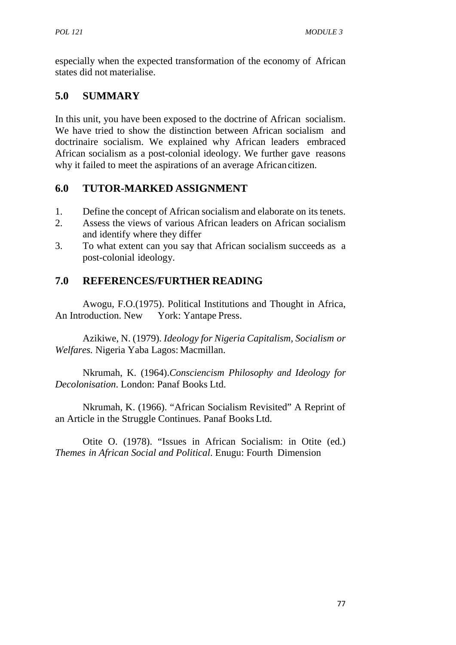especially when the expected transformation of the economy of African states did not materialise.

# **5.0 SUMMARY**

In this unit, you have been exposed to the doctrine of African socialism. We have tried to show the distinction between African socialism and doctrinaire socialism. We explained why African leaders embraced African socialism as a post-colonial ideology. We further gave reasons why it failed to meet the aspirations of an average Africancitizen.

# **6.0 TUTOR-MARKED ASSIGNMENT**

- 1. Define the concept of African socialism and elaborate on its tenets.
- 2. Assess the views of various African leaders on African socialism and identify where they differ
- 3. To what extent can you say that African socialism succeeds as a post-colonial ideology.

# **7.0 REFERENCES/FURTHER READING**

Awogu, F.O.(1975). Political Institutions and Thought in Africa, An Introduction. New York: Yantape Press.

Azikiwe, N. (1979). *Ideology for Nigeria Capitalism, Socialism or Welfares.* Nigeria Yaba Lagos: Macmillan.

Nkrumah, K. (1964).*Consciencism Philosophy and Ideology for Decolonisation*. London: Panaf Books Ltd.

Nkrumah, K. (1966). "African Socialism Revisited" A Reprint of an Article in the Struggle Continues. Panaf Books Ltd.

Otite O. (1978). "Issues in African Socialism: in Otite (ed.) *Themes in African Social and Political*. Enugu: Fourth Dimension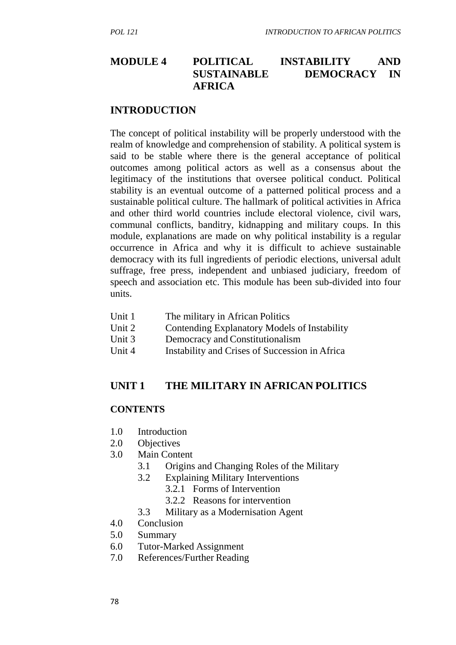## **MODULE 4 POLITICAL INSTABILITY AND SUSTAINABLE DEMOCRACY IN AFRICA**

#### **INTRODUCTION**

The concept of political instability will be properly understood with the realm of knowledge and comprehension of stability. A political system is said to be stable where there is the general acceptance of political outcomes among political actors as well as a consensus about the legitimacy of the institutions that oversee political conduct. Political stability is an eventual outcome of a patterned political process and a sustainable political culture. The hallmark of political activities in Africa and other third world countries include electoral violence, civil wars, communal conflicts, banditry, kidnapping and military coups. In this module, explanations are made on why political instability is a regular occurrence in Africa and why it is difficult to achieve sustainable democracy with its full ingredients of periodic elections, universal adult suffrage, free press, independent and unbiased judiciary, freedom of speech and association etc. This module has been sub-divided into four units.

- Unit 1 The military in African Politics
- Unit 2 Contending Explanatory Models of Instability
- Unit 3 Democracy and Constitutionalism
- Unit 4 Instability and Crises of Succession in Africa

### **UNIT 1 THE MILITARY IN AFRICAN POLITICS**

#### **CONTENTS**

- 1.0 Introduction
- 2.0 Objectives
- 3.0 Main Content
	- 3.1 Origins and Changing Roles of the Military
	- 3.2 Explaining Military Interventions
		- 3.2.1 Forms of Intervention
		- 3.2.2 Reasons for intervention
	- 3.3 Military as a Modernisation Agent
- 4.0 Conclusion
- 5.0 Summary
- 6.0 Tutor-Marked Assignment
- 7.0 References/Further Reading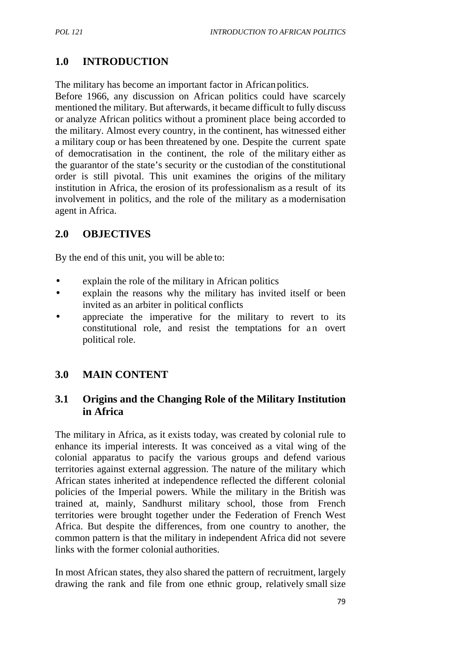# **1.0 INTRODUCTION**

The military has become an important factor in Africanpolitics.

Before 1966, any discussion on African politics could have scarcely mentioned the military. But afterwards, it became difficult to fully discuss or analyze African politics without a prominent place being accorded to the military. Almost every country, in the continent, has witnessed either a military coup or has been threatened by one. Despite the current spate of democratisation in the continent, the role of the military either as the guarantor of the state's security or the custodian of the constitutional order is still pivotal. This unit examines the origins of the military institution in Africa, the erosion of its professionalism as a result of its involvement in politics, and the role of the military as a modernisation agent in Africa.

## **2.0 OBJECTIVES**

By the end of this unit, you will be able to:

- explain the role of the military in African politics
- explain the reasons why the military has invited itself or been invited as an arbiter in political conflicts
- appreciate the imperative for the military to revert to its explain the role of the military in African politics<br>explain the reasons why the military has invited itself or been<br>invited as an arbiter in political conflicts<br>appreciate the imperative for the military to revert to its<br> political role.

# **3.0 MAIN CONTENT**

## **3.1 Origins and the Changing Role of the Military Institution in Africa**

The military in Africa, as it exists today, was created by colonial rule to enhance its imperial interests. It was conceived as a vital wing of the colonial apparatus to pacify the various groups and defend various territories against external aggression. The nature of the military which African states inherited at independence reflected the different colonial policies of the Imperial powers. While the military in the British was trained at, mainly, Sandhurst military school, those from French territories were brought together under the Federation of French West Africa. But despite the differences, from one country to another, the common pattern is that the military in independent Africa did not severe links with the former colonial authorities.

In most African states, they also shared the pattern of recruitment, largely drawing the rank and file from one ethnic group, relatively small size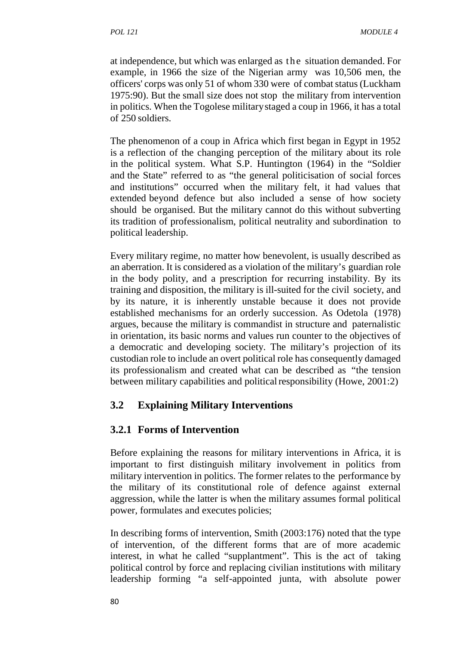MODULE 4<br>at independence, but which was enlarged as the situation demanded. For<br>example, in 1966 the size of the Nigerian army was 10,506 men, the example, in 1966 the size of the Nigerian army was 10,506 men, the officers' corps was only 51 of whom 330 were of combat status (Luckham 1975:90). But the small size does not stop the military from intervention in politics. When the Togolese militarystaged a coup in 1966, it has a total of 250 soldiers.

The phenomenon of a coup in Africa which first began in Egypt in 1952 is a reflection of the changing perception of the military about its role in the political system. What S.P. Huntington (1964) in the "Soldier and the State" referred to as "the general politicisation of social forces and institutions" occurred when the military felt, it had values that extended beyond defence but also included a sense of how society should be organised. But the military cannot do this without subverting its tradition of professionalism, political neutrality and subordination to political leadership.

Every military regime, no matter how benevolent, is usually described as an aberration. It is considered as a violation of the military's guardian role in the body polity, and a prescription for recurring instability. By its training and disposition, the military is ill-suited for the civil society, and by its nature, it is inherently unstable because it does not provide established mechanisms for an orderly succession. As Odetola (1978) argues, because the military is commandist in structure and paternalistic in orientation, its basic norms and values run counter to the objectives of a democratic and developing society. The military's projection of its custodian role to include an overt political role has consequently damaged its professionalism and created what can be described as "the tension between military capabilities and political responsibility (Howe, 2001:2)

## **3.2 Explaining Military Interventions**

## **3.2.1 Forms of Intervention**

Before explaining the reasons for military interventions in Africa, it is important to first distinguish military involvement in politics from military intervention in politics. The former relates to the performance by the military of its constitutional role of defence against external aggression, while the latter is when the military assumes formal political power, formulates and executes policies;

In describing forms of intervention, Smith (2003:176) noted that the type of intervention, of the different forms that are of more academic interest, in what he called "supplantment". This is the act of taking political control by force and replacing civilian institutions with military leadership forming "a self-appointed junta, with absolute power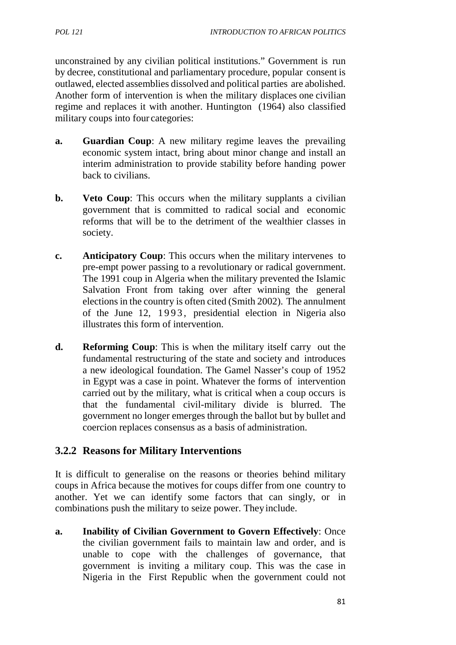unconstrained by any civilian political institutions." Government is run by decree, constitutional and parliamentary procedure, popular consent is outlawed, elected assemblies dissolved and political parties are abolished. Another form of intervention is when the military displaces one civilian regime and replaces it with another. Huntington (1964) also classified military coups into four categories:

- **a. Guardian Coup**: A new military regime leaves the prevailing economic system intact, bring about minor change and install an interim administration to provide stability before handing power back to civilians.
- **b. Veto Coup**: This occurs when the military supplants a civilian government that is committed to radical social and economic reforms that will be to the detriment of the wealthier classes in society.
- **c. Anticipatory Coup**: This occurs when the military intervenes to pre-empt power passing to a revolutionary or radical government. The 1991 coup in Algeria when the military prevented the Islamic Salvation Front from taking over after winning the general elections in the country is often cited (Smith 2002). The annulment Anticipatory Coup: This occurs when the military intervenes to<br>pre-empt power passing to a revolutionary or radical government.<br>The 1991 coup in Algeria when the military prevented the Islamic<br>Salvation Front from taking o illustrates this form of intervention.
- **d. Reforming Coup**: This is when the military itself carry out the fundamental restructuring of the state and society and introduces a new ideological foundation. The Gamel Nasser's coup of 1952 in Egypt was a case in point. Whatever the forms of intervention carried out by the military, what is critical when a coup occurs is that the fundamental civil-military divide is blurred. The government no longer emerges through the ballot but by bullet and coercion replaces consensus as a basis of administration.

## **3.2.2 Reasons for Military Interventions**

It is difficult to generalise on the reasons or theories behind military coups in Africa because the motives for coups differ from one country to another. Yet we can identify some factors that can singly, or in combinations push the military to seize power. Theyinclude.

**a. Inability of Civilian Government to Govern Effectively**: Once the civilian government fails to maintain law and order, and is unable to cope with the challenges of governance, that government is inviting a military coup. This was the case in Nigeria in the First Republic when the government could not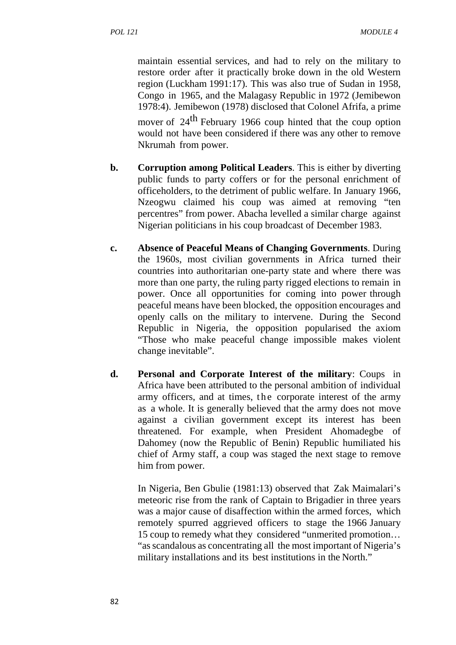maintain essential services, and had to rely on the military to restore order after it practically broke down in the old Western region (Luckham 1991:17). This was also true of Sudan in 1958, Congo in 1965, and the Malagasy Republic in 1972 (Jemibewon 1978:4). Jemibewon (1978) disclosed that Colonel Afrifa, a prime

mover of 24<sup>th</sup> February 1966 coup hinted that the coup option would not have been considered if there was any other to remove Nkrumah from power.

- **b. Corruption among Political Leaders**. This is either by diverting public funds to party coffers or for the personal enrichment of officeholders, to the detriment of public welfare. In January 1966, Nzeogwu claimed his coup was aimed at removing "ten percentres" from power. Abacha levelled a similar charge against Nigerian politicians in his coup broadcast of December 1983.
- **c. Absence of Peaceful Means of Changing Governments**. During the 1960s, most civilian governments in Africa turned their countries into authoritarian one-party state and where there was more than one party, the ruling party rigged elections to remain in power. Once all opportunities for coming into power through peaceful means have been blocked, the opposition encourages and openly calls on the military to intervene. During the Second Republic in Nigeria, the opposition popularised the axiom "Those who make peaceful change impossible makes violent change inevitable".
- **d. Personal and Corporate Interest of the military**: Coups in Africa have been attributed to the personal ambition of individual "Those who make peaceful change impossible makes violent<br>change inevitable".<br>**Personal and Corporate Interest of the military**: Coups in<br>Africa have been attributed to the personal ambition of individual<br>army officers, and as a whole. It is generally believed that the army does not move against a civilian government except its interest has been threatened. For example, when President Ahomadegbe of Dahomey (now the Republic of Benin) Republic humiliated his chief of Army staff, a coup was staged the next stage to remove him from power.

In Nigeria, Ben Gbulie (1981:13) observed that Zak Maimalari's meteoric rise from the rank of Captain to Brigadier in three years was a major cause of disaffection within the armed forces, which remotely spurred aggrieved officers to stage the 1966 January 15 coup to remedy what they considered "unmerited promotion… "as scandalous as concentrating all the most important of Nigeria's military installations and its best institutions in the North."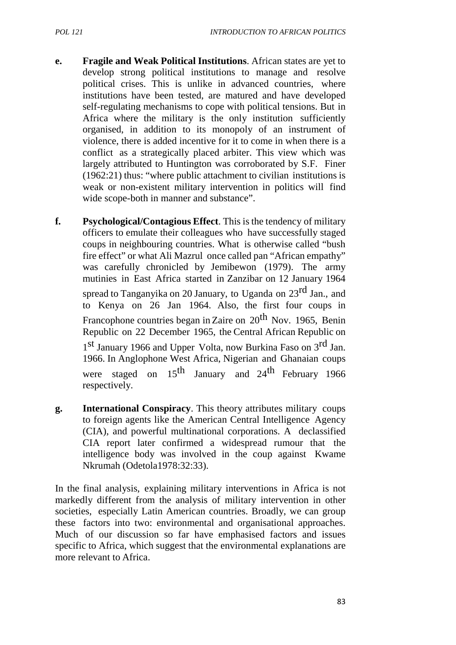- **e. Fragile and Weak Political Institutions**. African states are yet to develop strong political institutions to manage and resolve political crises. This is unlike in advanced countries, where institutions have been tested, are matured and have developed self-regulating mechanisms to cope with political tensions. But in Africa where the military is the only institution sufficiently organised, in addition to its monopoly of an instrument of violence, there is added incentive for it to come in when there is a conflict as a strategically placed arbiter. This view which was largely attributed to Huntington was corroborated by S.F. Finer (1962:21) thus: "where public attachment to civilian institutions is weak or non-existent military intervention in politics will find wide scope-both in manner and substance".
- **f. Psychological/Contagious Effect**. This is the tendency of military officers to emulate their colleagues who have successfully staged coups in neighbouring countries. What is otherwise called "bush fire effect" or what Ali Mazrul once called pan "African empathy" was carefully chronicled by Jemibewon (1979). The army mutinies in East Africa started in Zanzibar on 12 January 1964 spread to Tanganyika on 20 January, to Uganda on 23<sup>rd</sup> Jan., and to Kenya on 26 Jan 1964. Also, the first four coups in Francophone countries began in Zaire on  $20<sup>th</sup>$  Nov. 1965, Benin Republic on 22 December 1965, the Central African Republic on 1<sup>st</sup> January 1966 and Upper Volta, now Burkina Faso on 3<sup>rd</sup> Jan. 1966. In Anglophone West Africa, Nigerian and Ghanaian coups were staged on  $15^{th}$  January and  $24^{th}$  February 1966 respectively.
- **g. International Conspiracy**. This theory attributes military coups to foreign agents like the American Central Intelligence Agency (CIA), and powerful multinational corporations. A declassified CIA report later confirmed a widespread rumour that the intelligence body was involved in the coup against Kwame Nkrumah (Odetola1978:32:33).

In the final analysis, explaining military interventions in Africa is not markedly different from the analysis of military intervention in other societies, especially Latin American countries. Broadly, we can group these factors into two: environmental and organisational approaches. Much of our discussion so far have emphasised factors and issues specific to Africa, which suggest that the environmental explanations are more relevant to Africa.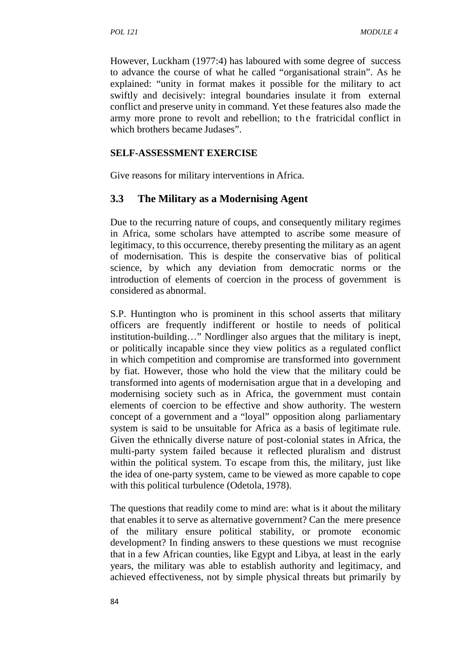However, Luckham (1977:4) has laboured with some degree of success to advance the course of what he called "organisational strain". As he explained: "unity in format makes it possible for the military to act swiftly and decisively: integral boundaries insulate it from external conflict and preserve unity in command. Yet these features also made the However, Luckham (1977:4) has laboured with some degree of success<br>to advance the course of what he called "organisational strain". As he<br>explained: "unity in format makes it possible for the military to act<br>swiftly and de which brothers became Judases".

#### **SELF-ASSESSMENT EXERCISE**

Give reasons for military interventions in Africa.

### **3.3 The Military as a Modernising Agent**

Due to the recurring nature of coups, and consequently military regimes in Africa, some scholars have attempted to ascribe some measure of legitimacy, to this occurrence, thereby presenting the military as an agent of modernisation. This is despite the conservative bias of political science, by which any deviation from democratic norms or the introduction of elements of coercion in the process of government is considered as abnormal.

S.P. Huntington who is prominent in this school asserts that military officers are frequently indifferent or hostile to needs of political institution-building…" Nordlinger also argues that the military is inept, or politically incapable since they view politics as a regulated conflict in which competition and compromise are transformed into government by fiat. However, those who hold the view that the military could be transformed into agents of modernisation argue that in a developing and modernising society such as in Africa, the government must contain elements of coercion to be effective and show authority. The western concept of a government and a "loyal" opposition along parliamentary system is said to be unsuitable for Africa as a basis of legitimate rule. Given the ethnically diverse nature of post-colonial states in Africa, the multi-party system failed because it reflected pluralism and distrust within the political system. To escape from this, the military, just like the idea of one-party system, came to be viewed as more capable to cope with this political turbulence (Odetola, 1978).

The questions that readily come to mind are: what is it about the military that enables it to serve as alternative government? Can the mere presence of the military ensure political stability, or promote economic development? In finding answers to these questions we must recognise that in a few African counties, like Egypt and Libya, at least in the early years, the military was able to establish authority and legitimacy, and achieved effectiveness, not by simple physical threats but primarily by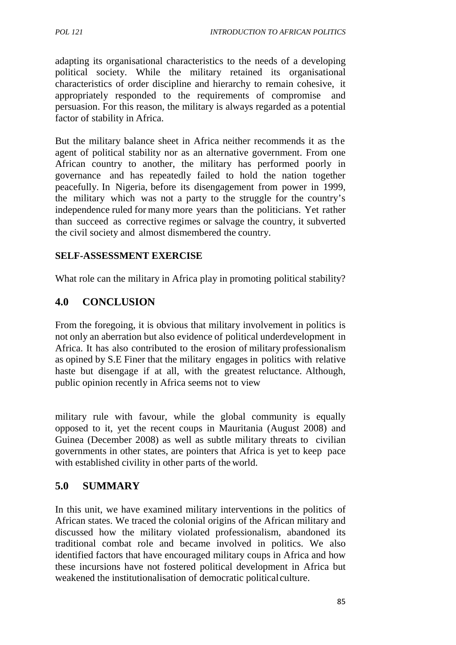adapting its organisational characteristics to the needs of a developing political society. While the military retained its organisational characteristics of order discipline and hierarchy to remain cohesive, it appropriately responded to the requirements of compromise and persuasion. For this reason, the military is always regarded as a potential factor of stability in Africa.

But the military balance sheet in Africa neither recommends it as the agent of political stability nor as an alternative government. From one African country to another, the military has performed poorly in governance and has repeatedly failed to hold the nation together peacefully. In Nigeria, before its disengagement from power in 1999, the military which was not a party to the struggle for the country's independence ruled for many more years than the politicians. Yet rather than succeed as corrective regimes or salvage the country, it subverted the civil society and almost dismembered the country.

### **SELF-ASSESSMENT EXERCISE**

What role can the military in Africa play in promoting political stability?

## **4.0 CONCLUSION**

From the foregoing, it is obvious that military involvement in politics is not only an aberration but also evidence of political underdevelopment in Africa. It has also contributed to the erosion of military professionalism as opined by S.E Finer that the military engages in politics with relative haste but disengage if at all, with the greatest reluctance. Although, public opinion recently in Africa seems not to view

military rule with favour, while the global community is equally opposed to it, yet the recent coups in Mauritania (August 2008) and Guinea (December 2008) as well as subtle military threats to civilian governments in other states, are pointers that Africa is yet to keep pace with established civility in other parts of the world.

## **5.0 SUMMARY**

In this unit, we have examined military interventions in the politics of African states. We traced the colonial origins of the African military and discussed how the military violated professionalism, abandoned its traditional combat role and became involved in politics. We also identified factors that have encouraged military coups in Africa and how these incursions have not fostered political development in Africa but weakened the institutionalisation of democratic political culture.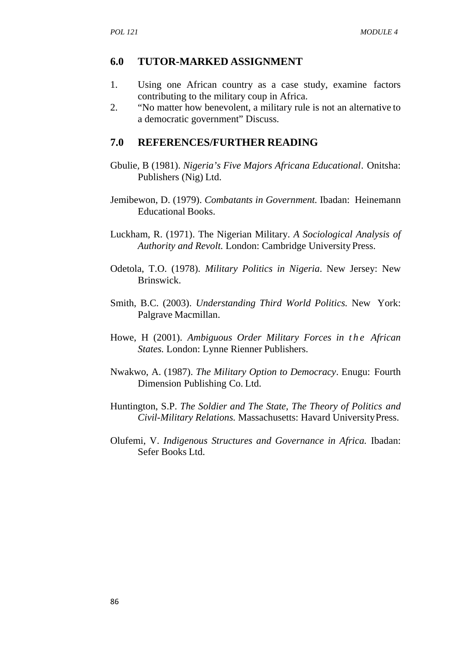### **6.0 TUTOR-MARKED ASSIGNMENT**

- 1. Using one African country as a case study, examine factors contributing to the military coup in Africa.
- 2. "No matter how benevolent, a military rule is not an alternative to a democratic government" Discuss.

### **7.0 REFERENCES/FURTHER READING**

- Gbulie, B (1981). *Nigeria's Five Majors Africana Educational*. Onitsha: Publishers (Nig) Ltd.
- Jemibewon, D. (1979). *Combatants in Government.* Ibadan: Heinemann Educational Books.
- Luckham, R. (1971). The Nigerian Military. *A Sociological Analysis of Authority and Revolt.* London: Cambridge University Press.
- Odetola, T.O. (1978). *Military Politics in Nigeria*. New Jersey: New Brinswick.
- Smith, B.C. (2003). *Understanding Third World Politics.* New York: Palgrave Macmillan.
- Brinswick.<br>
Smith, B.C. (2003). *Understanding Third World Politics*. New York:<br>
Palgrave Macmillan.<br>
Howe, H (2001). *Ambiguous Order Military Forces in the African States*. London: Lynne Rienner Publishers. *States.* London: Lynne Rienner Publishers.
- Nwakwo, A. (1987). *The Military Option to Democracy*. Enugu: Fourth Dimension Publishing Co. Ltd.
- Huntington, S.P. *The Soldier and The State, The Theory of Politics and Civil-Military Relations.* Massachusetts: Havard UniversityPress.
- Olufemi, V. *Indigenous Structures and Governance in Africa.* Ibadan: Sefer Books Ltd.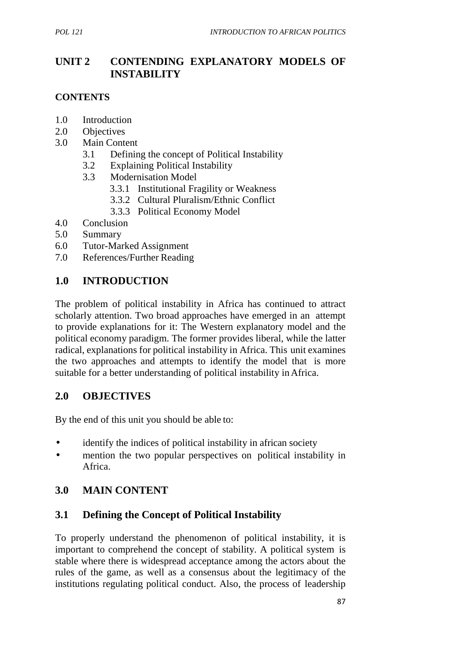# **UNIT 2 CONTENDING EXPLANATORY MODELS OF INSTABILITY**

### **CONTENTS**

- 1.0 Introduction
- 2.0 Objectives
- 3.0 Main Content
	- 3.1 Defining the concept of Political Instability
	- 3.2 Explaining Political Instability
	- 3.3 Modernisation Model
		- 3.3.1 Institutional Fragility or Weakness
		- 3.3.2 Cultural Pluralism/Ethnic Conflict
		- 3.3.3 Political Economy Model
- 4.0 Conclusion
- 5.0 Summary
- 6.0 Tutor-Marked Assignment
- 7.0 References/Further Reading

## **1.0 INTRODUCTION**

The problem of political instability in Africa has continued to attract scholarly attention. Two broad approaches have emerged in an attempt to provide explanations for it: The Western explanatory model and the political economy paradigm. The former provides liberal, while the latter radical, explanations for political instability in Africa. This unit examines the two approaches and attempts to identify the model that is more suitable for a better understanding of political instability inAfrica.

## **2.0 OBJECTIVES**

By the end of this unit you should be able to:

- identify the indices of political instability in african society
- mention the two popular perspectives on political instability in Africa.

# **3.0 MAIN CONTENT**

# **3.1 Defining the Concept of Political Instability**

To properly understand the phenomenon of political instability, it is important to comprehend the concept of stability. A political system is stable where there is widespread acceptance among the actors about the rules of the game, as well as a consensus about the legitimacy of the institutions regulating political conduct. Also, the process of leadership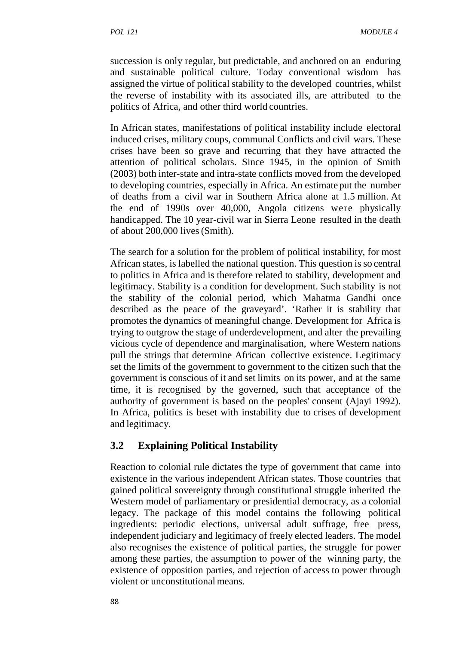succession is only regular, but predictable, and anchored on an enduring and sustainable political culture. Today conventional wisdom has assigned the virtue of political stability to the developed countries, whilst the reverse of instability with its associated ills, are attributed to the politics of Africa, and other third world countries.

In African states, manifestations of political instability include electoral induced crises, military coups, communal Conflicts and civil wars. These crises have been so grave and recurring that they have attracted the attention of political scholars. Since 1945, in the opinion of Smith (2003) both inter-state and intra-state conflicts moved from the developed to developing countries, especially in Africa. An estimate put the number of deaths from a civil war in Southern Africa alone at 1.5 million. At the end of 1990s over 40,000, Angola citizens were physically handicapped. The 10 year-civil war in Sierra Leone resulted in the death of about 200,000 lives(Smith).

The search for a solution for the problem of political instability, for most African states, is labelled the national question. This question is so central to politics in Africa and is therefore related to stability, development and legitimacy. Stability is a condition for development. Such stability is not the stability of the colonial period, which Mahatma Gandhi once described as the peace of the graveyard'. 'Rather it is stability that promotes the dynamics of meaningful change. Development for Africa is trying to outgrow the stage of underdevelopment, and alter the prevailing vicious cycle of dependence and marginalisation, where Western nations pull the strings that determine African collective existence. Legitimacy set the limits of the government to government to the citizen such that the government is conscious of it and set limits on its power, and at the same time, it is recognised by the governed, such that acceptance of the authority of government is based on the peoples' consent (Ajayi 1992). In Africa, politics is beset with instability due to crises of development and legitimacy.

## **3.2 Explaining Political Instability**

Reaction to colonial rule dictates the type of government that came into existence in the various independent African states. Those countries that gained political sovereignty through constitutional struggle inherited the Western model of parliamentary or presidential democracy, as a colonial legacy. The package of this model contains the following political ingredients: periodic elections, universal adult suffrage, free press, independent judiciary and legitimacy of freely elected leaders. The model also recognises the existence of political parties, the struggle for power among these parties, the assumption to power of the winning party, the existence of opposition parties, and rejection of access to power through violent or unconstitutional means.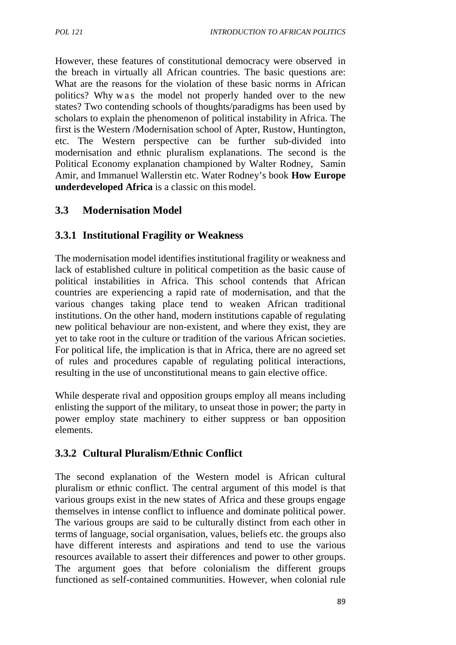However, these features of constitutional democracy were observed in the breach in virtually all African countries. The basic questions are: What are the reasons for the violation of these basic norms in African matched construct in nothing all and the breach in virtually all African countries. The basic questions are:<br>that are the reasons for the violation of these basic norms in African<br>politics? Why w as the model not properly states? Two contending schools of thoughts/paradigms has been used by scholars to explain the phenomenon of political instability in Africa. The first is the Western /Modernisation school of Apter, Rustow, Huntington, etc. The Western perspective can be further sub-divided into modernisation and ethnic pluralism explanations. The second is the Political Economy explanation championed by Walter Rodney, Samin Amir, and Immanuel Wallerstin etc. Water Rodney's book **How Europe underdeveloped Africa** is a classic on this model.

## **3.3 Modernisation Model**

## **3.3.1 Institutional Fragility or Weakness**

The modernisation model identifies institutional fragility or weakness and lack of established culture in political competition as the basic cause of political instabilities in Africa. This school contends that African countries are experiencing a rapid rate of modernisation, and that the various changes taking place tend to weaken African traditional institutions. On the other hand, modern institutions capable of regulating new political behaviour are non-existent, and where they exist, they are yet to take root in the culture or tradition of the various African societies. For political life, the implication is that in Africa, there are no agreed set of rules and procedures capable of regulating political interactions, resulting in the use of unconstitutional means to gain elective office.

While desperate rival and opposition groups employ all means including enlisting the support of the military, to unseat those in power; the party in power employ state machinery to either suppress or ban opposition elements.

# **3.3.2 Cultural Pluralism/Ethnic Conflict**

The second explanation of the Western model is African cultural pluralism or ethnic conflict. The central argument of this model is that various groups exist in the new states of Africa and these groups engage themselves in intense conflict to influence and dominate political power. The various groups are said to be culturally distinct from each other in terms of language, social organisation, values, beliefs etc. the groups also have different interests and aspirations and tend to use the various resources available to assert their differences and power to other groups. The argument goes that before colonialism the different groups functioned as self-contained communities. However, when colonial rule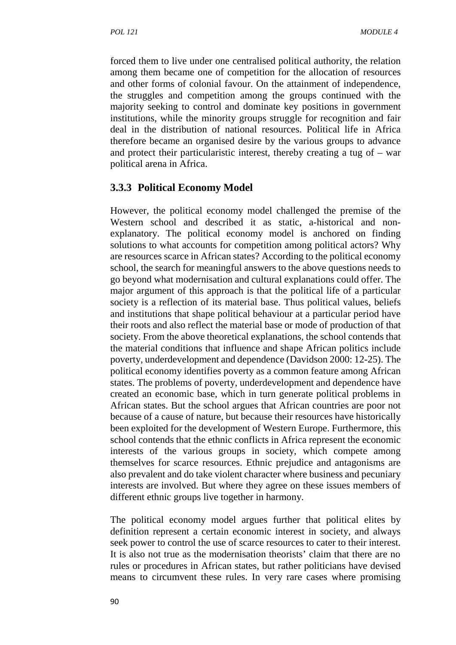forced them to live under one centralised political authority, the relation among them became one of competition for the allocation of resources and other forms of colonial favour. On the attainment of independence, the struggles and competition among the groups continued with the majority seeking to control and dominate key positions in government institutions, while the minority groups struggle for recognition and fair deal in the distribution of national resources. Political life in Africa therefore became an organised desire by the various groups to advance and protect their particularistic interest, thereby creating a tug of  $-$  war political arena in Africa.

#### **3.3.3 Political Economy Model**

However, the political economy model challenged the premise of the Western school and described it as static, a-historical and nonexplanatory. The political economy model is anchored on finding solutions to what accounts for competition among political actors? Why are resources scarce in African states? According to the political economy school, the search for meaningful answers to the above questions needs to go beyond what modernisation and cultural explanations could offer. The major argument of this approach is that the political life of a particular society is a reflection of its material base. Thus political values, beliefs and institutions that shape political behaviour at a particular period have their roots and also reflect the material base or mode of production of that society. From the above theoretical explanations, the school contends that the material conditions that influence and shape African politics include poverty, underdevelopment and dependence (Davidson 2000: 12-25). The political economy identifies poverty as a common feature among African states. The problems of poverty, underdevelopment and dependence have created an economic base, which in turn generate political problems in African states. But the school argues that African countries are poor not because of a cause of nature, but because their resources have historically been exploited for the development of Western Europe. Furthermore, this school contends that the ethnic conflicts in Africa represent the economic interests of the various groups in society, which compete among themselves for scarce resources. Ethnic prejudice and antagonisms are also prevalent and do take violent character where business and pecuniary interests are involved. But where they agree on these issues members of different ethnic groups live together in harmony.

The political economy model argues further that political elites by definition represent a certain economic interest in society, and always seek power to control the use of scarce resources to cater to their interest. It is also not true as the modernisation theorists' claim that there are no rules or procedures in African states, but rather politicians have devised means to circumvent these rules. In very rare cases where promising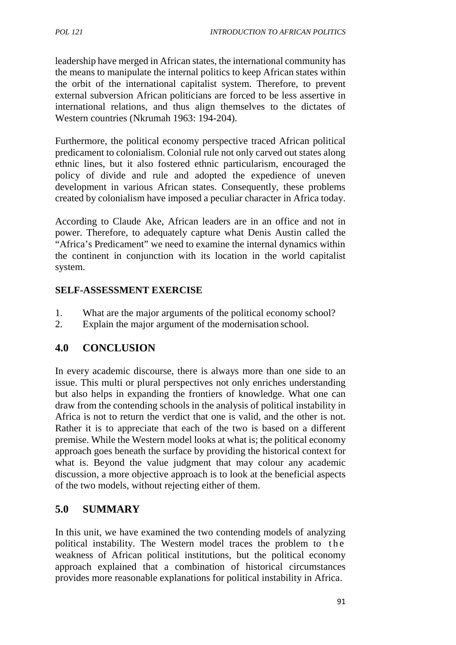leadership have merged in African states, the international community has the means to manipulate the internal politics to keep African states within the orbit of the international capitalist system. Therefore, to prevent external subversion African politicians are forced to be less assertive in international relations, and thus align themselves to the dictates of Western countries (Nkrumah 1963: 194-204).

Furthermore, the political economy perspective traced African political predicament to colonialism. Colonial rule not only carved out states along ethnic lines, but it also fostered ethnic particularism, encouraged the policy of divide and rule and adopted the expedience of uneven development in various African states. Consequently, these problems created by colonialism have imposed a peculiar character in Africa today.

According to Claude Ake, African leaders are in an office and not in power. Therefore, to adequately capture what Denis Austin called the "Africa's Predicament" we need to examine the internal dynamics within the continent in conjunction with its location in the world capitalist system.

### **SELF-ASSESSMENT EXERCISE**

- 1. What are the major arguments of the political economy school?
- 2. Explain the major argument of the modernisation school.

## **4.0 CONCLUSION**

In every academic discourse, there is always more than one side to an issue. This multi or plural perspectives not only enriches understanding but also helps in expanding the frontiers of knowledge. What one can draw from the contending schools in the analysis of political instability in Africa is not to return the verdict that one is valid, and the other is not. Rather it is to appreciate that each of the two is based on a different premise. While the Western model looks at what is; the political economy approach goes beneath the surface by providing the historical context for what is. Beyond the value judgment that may colour any academic discussion, a more objective approach is to look at the beneficial aspects of the two models, without rejecting either of them.

# **5.0 SUMMARY**

In this unit, we have examined the two contending models of analyzing of the two models, without rejecting either of them.<br>
5.0 SUMMARY<br>
In this unit, we have examined the two contending models of analyzing<br>
political instability. The Western model traces the problem to the<br>
weakness of Afri approach explained that a combination of historical circumstances provides more reasonable explanations for political instability in Africa.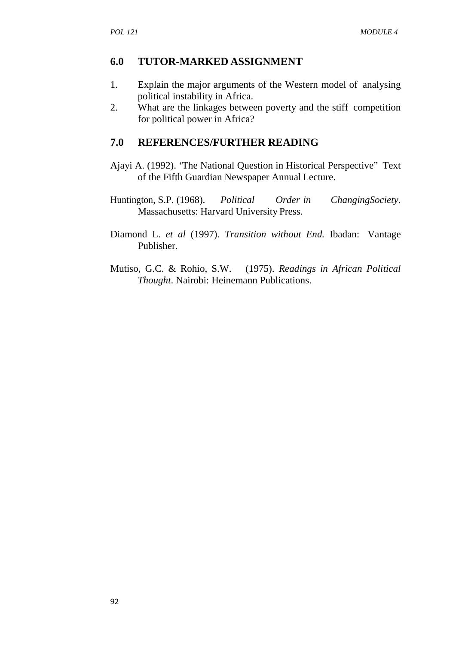### **6.0 TUTOR-MARKED ASSIGNMENT**

- 1. Explain the major arguments of the Western model of analysing political instability in Africa.
- 2. What are the linkages between poverty and the stiff competition for political power in Africa?

### **7.0 REFERENCES/FURTHER READING**

- Ajayi A. (1992). 'The National Question in Historical Perspective" Text of the Fifth Guardian Newspaper Annual Lecture.
- Huntington, S.P. (1968). *Political Order in ChangingSociety*. Massachusetts: Harvard University Press.
- Diamond L. *et al* (1997). *Transition without End.* Ibadan: Vantage Publisher.
- Mutiso, G.C. & Rohio, S.W. (1975). *Readings in African Political Thought*. Nairobi: Heinemann Publications.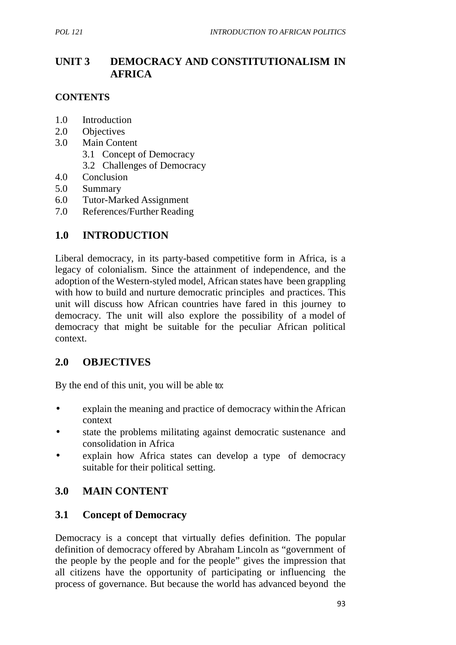# **UNIT 3 DEMOCRACY AND CONSTITUTIONALISM IN AFRICA**

### **CONTENTS**

- 1.0 Introduction
- 2.0 Objectives
- 3.0 Main Content
	- 3.1 Concept of Democracy
	- 3.2 Challenges of Democracy
- 4.0 Conclusion
- 5.0 Summary
- 6.0 Tutor-Marked Assignment
- 7.0 References/Further Reading

## **1.0 INTRODUCTION**

Liberal democracy, in its party-based competitive form in Africa, is a legacy of colonialism. Since the attainment of independence, and the adoption of the Western-styled model, African states have been grappling with how to build and nurture democratic principles and practices. This unit will discuss how African countries have fared in this journey to democracy. The unit will also explore the possibility of a model of democracy that might be suitable for the peculiar African political context.

## **2.0 OBJECTIVES**

By the end of this unit, you will be able to:

- explain the meaning and practice of democracy within the African context
- state the problems militating against democratic sustenance and consolidation in Africa
- explain how Africa states can develop a type of democracy suitable for their political setting.

# **3.0 MAIN CONTENT**

## **3.1 Concept of Democracy**

Democracy is a concept that virtually defies definition. The popular definition of democracy offered by Abraham Lincoln as "government of the people by the people and for the people" gives the impression that all citizens have the opportunity of participating or influencing the process of governance. But because the world has advanced beyond the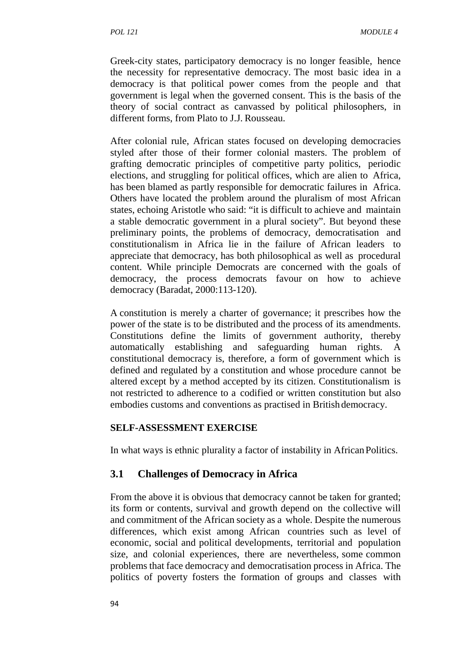Greek-city states, participatory democracy is no longer feasible, hence the necessity for representative democracy. The most basic idea in a democracy is that political power comes from the people and that government is legal when the governed consent. This is the basis of the theory of social contract as canvassed by political philosophers, in different forms, from Plato to J.J. Rousseau.

After colonial rule, African states focused on developing democracies styled after those of their former colonial masters. The problem of grafting democratic principles of competitive party politics, periodic elections, and struggling for political offices, which are alien to Africa, has been blamed as partly responsible for democratic failures in Africa. Others have located the problem around the pluralism of most African states, echoing Aristotle who said: "it is difficult to achieve and maintain a stable democratic government in a plural society". But beyond these preliminary points, the problems of democracy, democratisation and constitutionalism in Africa lie in the failure of African leaders to appreciate that democracy, has both philosophical as well as procedural content. While principle Democrats are concerned with the goals of democracy, the process democrats favour on how to achieve democracy (Baradat, 2000:113-120).

A constitution is merely a charter of governance; it prescribes how the power of the state is to be distributed and the process of its amendments. Constitutions define the limits of government authority, thereby automatically establishing and safeguarding human rights. A constitutional democracy is, therefore, a form of government which is defined and regulated by a constitution and whose procedure cannot be altered except by a method accepted by its citizen. Constitutionalism is not restricted to adherence to a codified or written constitution but also embodies customs and conventions as practised in Britishdemocracy.

### **SELF-ASSESSMENT EXERCISE**

In what ways is ethnic plurality a factor of instability in AfricanPolitics.

## **3.1 Challenges of Democracy in Africa**

From the above it is obvious that democracy cannot be taken for granted; its form or contents, survival and growth depend on the collective will and commitment of the African society as a whole. Despite the numerous differences, which exist among African countries such as level of economic, social and political developments, territorial and population size, and colonial experiences, there are nevertheless, some common problems that face democracy and democratisation process in Africa. The politics of poverty fosters the formation of groups and classes with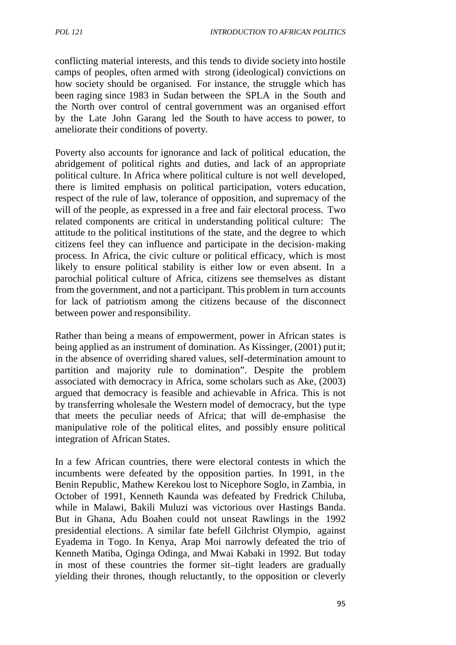conflicting material interests, and this tends to divide society into hostile camps of peoples, often armed with strong (ideological) convictions on how society should be organised. For instance, the struggle which has been raging since 1983 in Sudan between the SPLA in the South and the North over control of central government was an organised effort by the Late John Garang led the South to have access to power, to ameliorate their conditions of poverty.

Poverty also accounts for ignorance and lack of political education, the abridgement of political rights and duties, and lack of an appropriate political culture. In Africa where political culture is not well developed, there is limited emphasis on political participation, voters education, respect of the rule of law, tolerance of opposition, and supremacy of the will of the people, as expressed in a free and fair electoral process. Two related components are critical in understanding political culture: The attitude to the political institutions of the state, and the degree to which citizens feel they can influence and participate in the decision-making process. In Africa, the civic culture or political efficacy, which is most likely to ensure political stability is either low or even absent. In a parochial political culture of Africa, citizens see themselves as distant from the government, and not a participant. This problem in turn accounts for lack of patriotism among the citizens because of the disconnect between power and responsibility.

Rather than being a means of empowerment, power in African states is being applied as an instrument of domination. As Kissinger, (2001) putit; in the absence of overriding shared values, self-determination amount to partition and majority rule to domination". Despite the problem associated with democracy in Africa, some scholars such as Ake, (2003) argued that democracy is feasible and achievable in Africa. This is not by transferring wholesale the Western model of democracy, but the type that meets the peculiar needs of Africa; that will de-emphasise the manipulative role of the political elites, and possibly ensure political integration of African States.

In a few African countries, there were electoral contests in which the incumbents were defeated by the opposition parties. In 1991, in the Benin Republic, Mathew Kerekou lost to Nicephore Soglo, in Zambia, in October of 1991, Kenneth Kaunda was defeated by Fredrick Chiluba, while in Malawi, Bakili Muluzi was victorious over Hastings Banda. But in Ghana, Adu Boahen could not unseat Rawlings in the 1992 presidential elections. A similar fate befell Gilchrist Olympio, against Eyadema in Togo. In Kenya, Arap Moi narrowly defeated the trio of Kenneth Matiba, Oginga Odinga, and Mwai Kabaki in 1992. But today in most of these countries the former sit–tight leaders are gradually yielding their thrones, though reluctantly, to the opposition or cleverly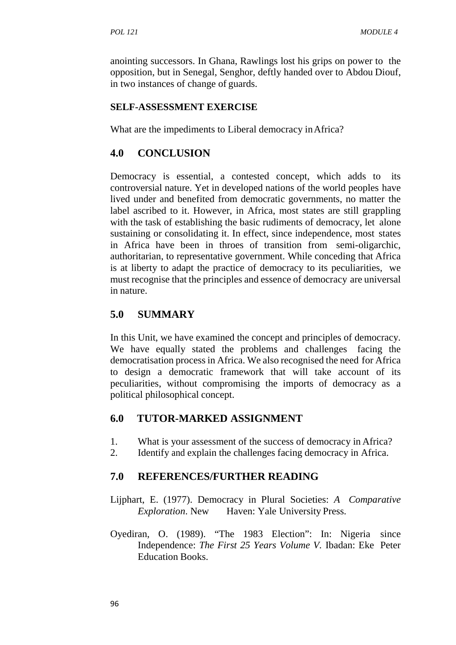anointing successors. In Ghana, Rawlings lost his grips on power to the opposition, but in Senegal, Senghor, deftly handed over to Abdou Diouf, in two instances of change of guards.

#### **SELF-ASSESSMENT EXERCISE**

What are the impediments to Liberal democracy in Africa?

### **4.0 CONCLUSION**

Democracy is essential, a contested concept, which adds to its controversial nature. Yet in developed nations of the world peoples have lived under and benefited from democratic governments, no matter the label ascribed to it. However, in Africa, most states are still grappling with the task of establishing the basic rudiments of democracy, let alone sustaining or consolidating it. In effect, since independence, most states in Africa have been in throes of transition from semi-oligarchic, authoritarian, to representative government. While conceding that Africa is at liberty to adapt the practice of democracy to its peculiarities, we must recognise that the principles and essence of democracy are universal in nature.

### **5.0 SUMMARY**

In this Unit, we have examined the concept and principles of democracy. We have equally stated the problems and challenges facing the democratisation process in Africa. We also recognised the need for Africa to design a democratic framework that will take account of its peculiarities, without compromising the imports of democracy as a political philosophical concept.

### **6.0 TUTOR-MARKED ASSIGNMENT**

- 1. What is your assessment of the success of democracy in Africa?
- 2. Identify and explain the challenges facing democracy in Africa.

### **7.0 REFERENCES/FURTHER READING**

- Lijphart, E. (1977). Democracy in Plural Societies: *A Comparative Exploration*. New Haven: Yale University Press.
- Oyediran, O. (1989). "The 1983 Election": In: Nigeria since Independence: *The First 25 Years Volume V.* Ibadan: Eke Peter Education Books.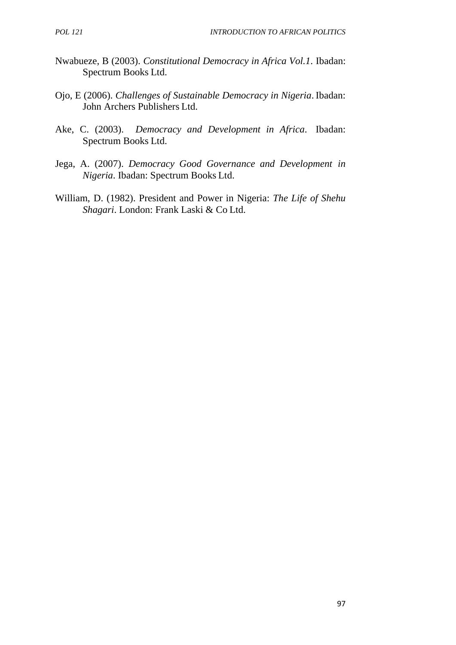- Nwabueze, B (2003). *Constitutional Democracy in Africa Vol.1*. Ibadan: Spectrum Books Ltd.
- Ojo, E (2006). *Challenges of Sustainable Democracy in Nigeria*. Ibadan: John Archers Publishers Ltd.
- Ake, C. (2003). *Democracy and Development in Africa*. Ibadan: Spectrum Books Ltd.
- Jega, A. (2007). *Democracy Good Governance and Development in Nigeria*. Ibadan: Spectrum Books Ltd.
- William, D. (1982). President and Power in Nigeria: *The Life of Shehu Shagari*. London: Frank Laski & Co Ltd.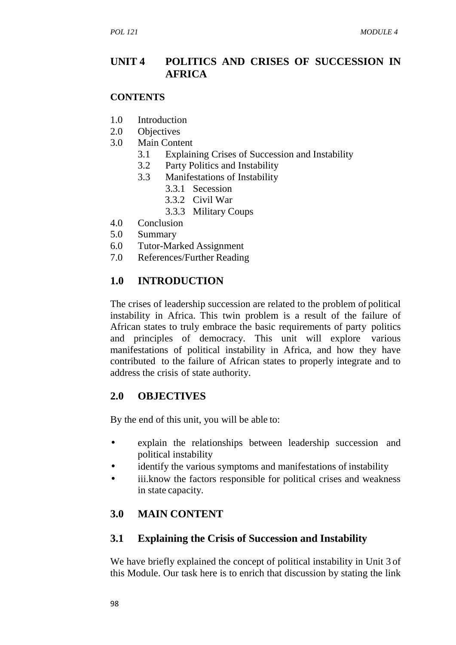### **UNIT 4 POLITICS AND CRISES OF SUCCESSION IN AFRICA**

#### **CONTENTS**

- 1.0 Introduction
- 2.0 Objectives
- 3.0 Main Content
	- 3.1 Explaining Crises of Succession and Instability
	- 3.2 Party Politics and Instability
	- 3.3 Manifestations of Instability
		- 3.3.1 Secession
		- 3.3.2 Civil War
		- 3.3.3 Military Coups
- 4.0 Conclusion
- 5.0 Summary
- 6.0 Tutor-Marked Assignment
- 7.0 References/Further Reading

# **1.0 INTRODUCTION**

The crises of leadership succession are related to the problem of political instability in Africa. This twin problem is a result of the failure of African states to truly embrace the basic requirements of party politics and principles of democracy. This unit will explore various manifestations of political instability in Africa, and how they have contributed to the failure of African states to properly integrate and to address the crisis of state authority.

### **2.0 OBJECTIVES**

By the end of this unit, you will be able to:

- explain the relationships between leadership succession and political instability
- identify the various symptoms and manifestations of instability
- iii.know the factors responsible for political crises and weakness in state capacity.

# **3.0 MAIN CONTENT**

### **3.1 Explaining the Crisis of Succession and Instability**

We have briefly explained the concept of political instability in Unit 3 of this Module. Our task here is to enrich that discussion by stating the link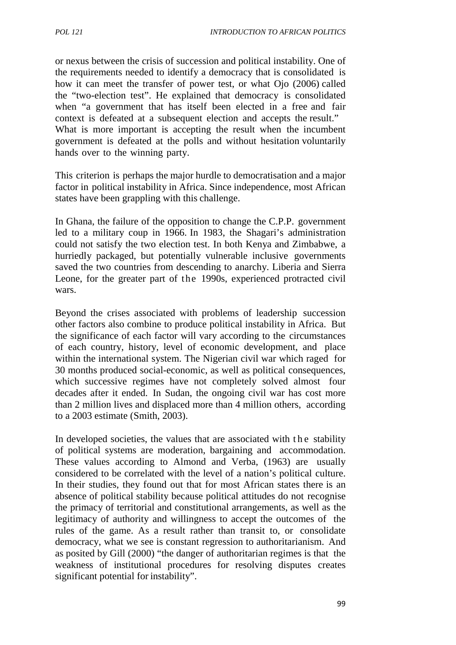or nexus between the crisis of succession and political instability. One of the requirements needed to identify a democracy that is consolidated is how it can meet the transfer of power test, or what Ojo (2006) called the "two-election test". He explained that democracy is consolidated when "a government that has itself been elected in a free and fair context is defeated at a subsequent election and accepts the result." What is more important is accepting the result when the incumbent government is defeated at the polls and without hesitation voluntarily hands over to the winning party.

This criterion is perhaps the major hurdle to democratisation and a major factor in political instability in Africa. Since independence, most African states have been grappling with this challenge.

In Ghana, the failure of the opposition to change the C.P.P. government led to a military coup in 1966. In 1983, the Shagari's administration could not satisfy the two election test. In both Kenya and Zimbabwe, a hurriedly packaged, but potentially vulnerable inclusive governments saved the two countries from descending to anarchy. Liberia and Sierra Leone, for the greater part of the 1990s, experienced protracted civil wars.

Beyond the crises associated with problems of leadership succession other factors also combine to produce political instability in Africa. But the significance of each factor will vary according to the circumstances of each country, history, level of economic development, and place within the international system. The Nigerian civil war which raged for 30 months produced social-economic, as well as political consequences, which successive regimes have not completely solved almost four decades after it ended. In Sudan, the ongoing civil war has cost more than 2 million lives and displaced more than 4 million others, according to a 2003 estimate (Smith, 2003). which successive regimes have not completely solved almost four<br>decades after it ended. In Sudan, the ongoing civil war has cost more<br>than 2 million lives and displaced more than 4 million others, according<br>to a 2003 estim

of political systems are moderation, bargaining and accommodation. These values according to Almond and Verba, (1963) are usually considered to be correlated with the level of a nation's political culture. In their studies, they found out that for most African states there is an absence of political stability because political attitudes do not recognise the primacy of territorial and constitutional arrangements, as well as the legitimacy of authority and willingness to accept the outcomes of the rules of the game. As a result rather than transit to, or consolidate democracy, what we see is constant regression to authoritarianism. And as posited by Gill (2000) "the danger of authoritarian regimes is that the weakness of institutional procedures for resolving disputes creates significant potential for instability".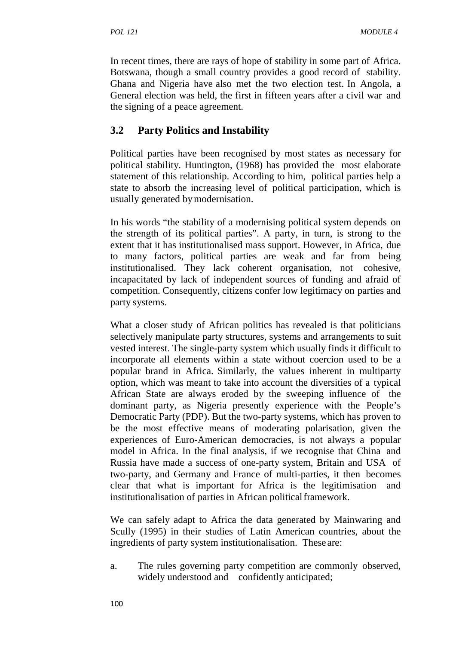In recent times, there are rays of hope of stability in some part of Africa. Botswana, though a small country provides a good record of stability. Ghana and Nigeria have also met the two election test. In Angola, a General election was held, the first in fifteen years after a civil war and the signing of a peace agreement.

# **3.2 Party Politics and Instability**

Political parties have been recognised by most states as necessary for political stability. Huntington, (1968) has provided the most elaborate statement of this relationship. According to him, political parties help a state to absorb the increasing level of political participation, which is usually generated bymodernisation.

In his words "the stability of a modernising political system depends on the strength of its political parties". A party, in turn, is strong to the extent that it has institutionalised mass support. However, in Africa, due to many factors, political parties are weak and far from being institutionalised. They lack coherent organisation, not cohesive, incapacitated by lack of independent sources of funding and afraid of competition. Consequently, citizens confer low legitimacy on parties and party systems.

What a closer study of African politics has revealed is that politicians selectively manipulate party structures, systems and arrangements to suit vested interest. The single-party system which usually finds it difficult to incorporate all elements within a state without coercion used to be a popular brand in Africa. Similarly, the values inherent in multiparty option, which was meant to take into account the diversities of a typical African State are always eroded by the sweeping influence of the dominant party, as Nigeria presently experience with the People's Democratic Party (PDP). But the two-party systems, which has proven to be the most effective means of moderating polarisation, given the experiences of Euro-American democracies, is not always a popular model in Africa. In the final analysis, if we recognise that China and Russia have made a success of one-party system, Britain and USA of two-party, and Germany and France of multi-parties, it then becomes clear that what is important for Africa is the legitimisation and institutionalisation of parties in African politicalframework.

We can safely adapt to Africa the data generated by Mainwaring and Scully (1995) in their studies of Latin American countries, about the ingredients of party system institutionalisation. These are:

a. The rules governing party competition are commonly observed, widely understood and confidently anticipated;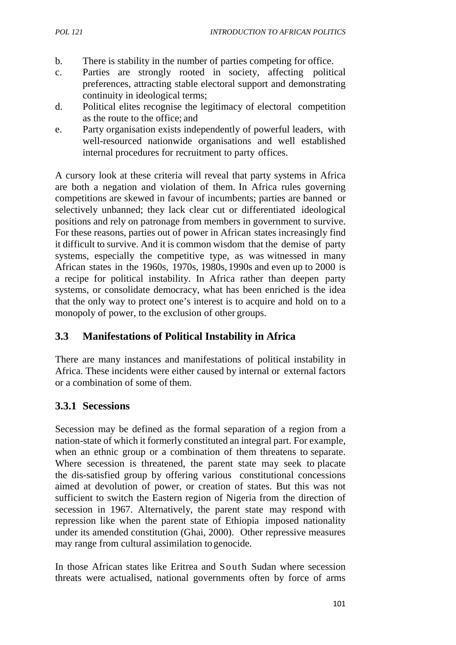- b. There is stability in the number of parties competing for office.
- c. Parties are strongly rooted in society, affecting political preferences, attracting stable electoral support and demonstrating continuity in ideological terms;
- d. Political elites recognise the legitimacy of electoral competition as the route to the office; and
- e. Party organisation exists independently of powerful leaders, with well-resourced nationwide organisations and well established internal procedures for recruitment to party offices.

A cursory look at these criteria will reveal that party systems in Africa are both a negation and violation of them. In Africa rules governing competitions are skewed in favour of incumbents; parties are banned or selectively unbanned; they lack clear cut or differentiated ideological positions and rely on patronage from members in government to survive. For these reasons, parties out of power in African states increasingly find it difficult to survive. And it is common wisdom that the demise of party systems, especially the competitive type, as was witnessed in many African states in the 1960s, 1970s, 1980s, 1990s and even up to 2000 is a recipe for political instability. In Africa rather than deepen party systems, or consolidate democracy, what has been enriched is the idea that the only way to protect one's interest is to acquire and hold on to a monopoly of power, to the exclusion of other groups.

# **3.3 Manifestations of Political Instability in Africa**

There are many instances and manifestations of political instability in Africa. These incidents were either caused by internal or external factors or a combination of some of them.

### **3.3.1 Secessions**

Secession may be defined as the formal separation of a region from a nation-state of which it formerly constituted an integral part. For example, when an ethnic group or a combination of them threatens to separate. Where secession is threatened, the parent state may seek to placate the dis-satisfied group by offering various constitutional concessions aimed at devolution of power, or creation of states. But this was not sufficient to switch the Eastern region of Nigeria from the direction of secession in 1967. Alternatively, the parent state may respond with repression like when the parent state of Ethiopia imposed nationality under its amended constitution (Ghai, 2000). Other repressive measures may range from cultural assimilation togenocide.

In those African states like Eritrea and South Sudan where secession threats were actualised, national governments often by force of arms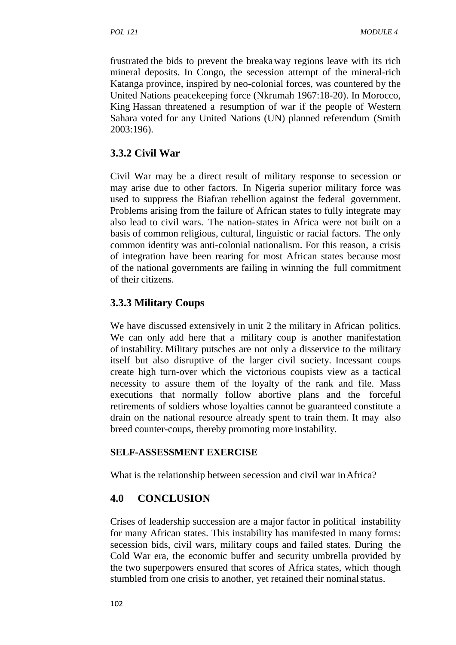frustrated the bids to prevent the breakaway regions leave with its rich mineral deposits. In Congo, the secession attempt of the mineral-rich Katanga province, inspired by neo-colonial forces, was countered by the United Nations peacekeeping force (Nkrumah 1967:18-20). In Morocco, King Hassan threatened a resumption of war if the people of Western Sahara voted for any United Nations (UN) planned referendum (Smith 2003:196).

### **3.3.2 Civil War**

Civil War may be a direct result of military response to secession or may arise due to other factors. In Nigeria superior military force was used to suppress the Biafran rebellion against the federal government. Problems arising from the failure of African states to fully integrate may also lead to civil wars. The nation-states in Africa were not built on a basis of common religious, cultural, linguistic or racial factors. The only common identity was anti-colonial nationalism. For this reason, a crisis of integration have been rearing for most African states because most of the national governments are failing in winning the full commitment of their citizens.

# **3.3.3 Military Coups**

We have discussed extensively in unit 2 the military in African politics. We can only add here that a military coup is another manifestation of instability. Military putsches are not only a disservice to the military itself but also disruptive of the larger civil society. Incessant coups create high turn-over which the victorious coupists view as a tactical necessity to assure them of the loyalty of the rank and file. Mass executions that normally follow abortive plans and the forceful retirements of soldiers whose loyalties cannot be guaranteed constitute a drain on the national resource already spent to train them. It may also breed counter-coups, thereby promoting more instability.

#### **SELF-ASSESSMENT EXERCISE**

What is the relationship between secession and civil war in Africa?

### **4.0 CONCLUSION**

Crises of leadership succession are a major factor in political instability for many African states. This instability has manifested in many forms: secession bids, civil wars, military coups and failed states. During the Cold War era, the economic buffer and security umbrella provided by the two superpowers ensured that scores of Africa states, which though stumbled from one crisis to another, yet retained their nominalstatus.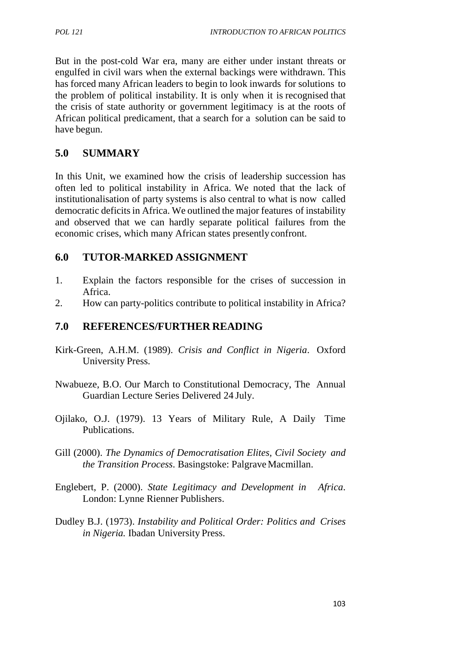But in the post-cold War era, many are either under instant threats or engulfed in civil wars when the external backings were withdrawn. This has forced many African leaders to begin to look inwards for solutions to the problem of political instability. It is only when it is recognised that the crisis of state authority or government legitimacy is at the roots of African political predicament, that a search for a solution can be said to have begun.

### **5.0 SUMMARY**

In this Unit, we examined how the crisis of leadership succession has often led to political instability in Africa. We noted that the lack of institutionalisation of party systems is also central to what is now called democratic deficits in Africa. We outlined the major features of instability and observed that we can hardly separate political failures from the economic crises, which many African states presently confront.

### **6.0 TUTOR-MARKED ASSIGNMENT**

- 1. Explain the factors responsible for the crises of succession in Africa.
- 2. How can party-politics contribute to political instability in Africa?

#### **7.0 REFERENCES/FURTHER READING**

- Kirk-Green, A.H.M. (1989). *Crisis and Conflict in Nigeria*. Oxford University Press.
- Nwabueze, B.O. Our March to Constitutional Democracy, The Annual Guardian Lecture Series Delivered 24 July.
- Ojilako, O.J. (1979). 13 Years of Military Rule, A Daily Time Publications.
- Gill (2000). *The Dynamics of Democratisation Elites, Civil Society and the Transition Process.* Basingstoke: Palgrave Macmillan.
- Englebert, P. (2000). *State Legitimacy and Development in Africa*. London: Lynne Rienner Publishers.
- Dudley B.J. (1973). *Instability and Political Order: Politics and Crises in Nigeria.* Ibadan University Press.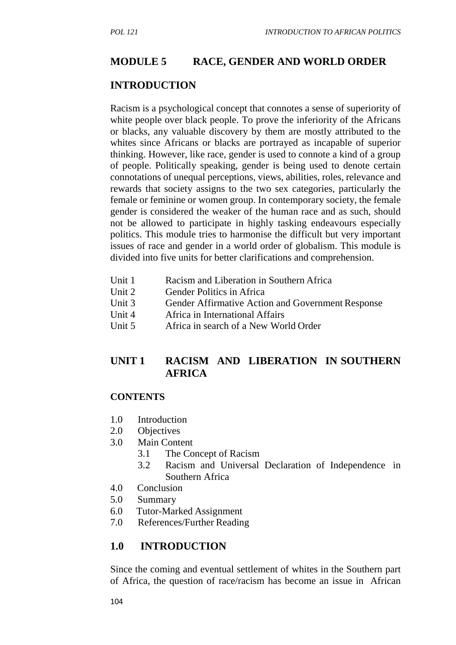### **MODULE 5 RACE, GENDER AND WORLD ORDER**

#### **INTRODUCTION**

Racism is a psychological concept that connotes a sense of superiority of white people over black people. To prove the inferiority of the Africans or blacks, any valuable discovery by them are mostly attributed to the whites since Africans or blacks are portrayed as incapable of superior thinking. However, like race, gender is used to connote a kind of a group of people. Politically speaking, gender is being used to denote certain connotations of unequal perceptions, views, abilities, roles, relevance and rewards that society assigns to the two sex categories, particularly the female or feminine or women group. In contemporary society, the female gender is considered the weaker of the human race and as such, should not be allowed to participate in highly tasking endeavours especially politics. This module tries to harmonise the difficult but very important issues of race and gender in a world order of globalism. This module is divided into five units for better clarifications and comprehension.

- Unit 1 Racism and Liberation in Southern Africa
- Unit 2 Gender Politics in Africa
- Unit 3 Gender Affirmative Action and Government Response
- Unit 4 Africa in International Affairs
- Unit 5 Africa in search of a New World Order

### **UNIT 1 RACISM AND LIBERATION IN SOUTHERN AFRICA**

#### **CONTENTS**

- 1.0 Introduction
- 2.0 Objectives
- 3.0 Main Content
	- 3.1 The Concept of Racism
	- 3.2 Racism and Universal Declaration of Independence in Southern Africa
- 4.0 Conclusion
- 5.0 Summary
- 6.0 Tutor-Marked Assignment
- 7.0 References/Further Reading

#### **1.0 INTRODUCTION**

Since the coming and eventual settlement of whites in the Southern part of Africa, the question of race/racism has become an issue in African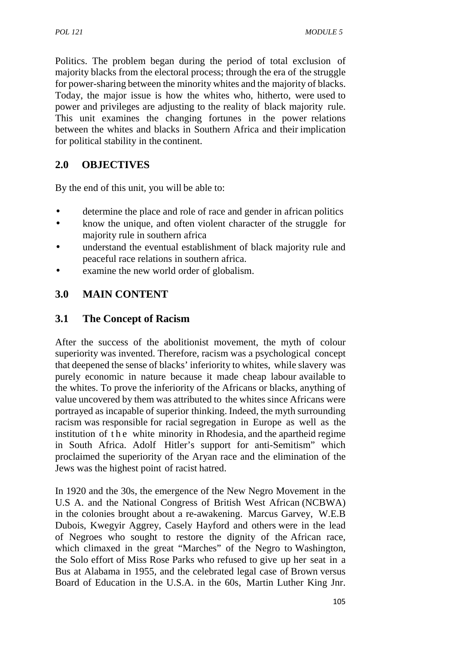Politics. The problem began during the period of total exclusion of majority blacks from the electoral process; through the era of the struggle for power-sharing between the minority whites and the majority of blacks. Today, the major issue is how the whites who, hitherto, were used to power and privileges are adjusting to the reality of black majority rule. This unit examines the changing fortunes in the power relations between the whites and blacks in Southern Africa and their implication for political stability in the continent.

# **2.0 OBJECTIVES**

By the end of this unit, you will be able to:

- determine the place and role of race and gender in african politics
- know the unique, and often violent character of the struggle for majority rule in southern africa
- understand the eventual establishment of black majority rule and peaceful race relations in southern africa.
- examine the new world order of globalism.

# **3.0 MAIN CONTENT**

### **3.1 The Concept of Racism**

After the success of the abolitionist movement, the myth of colour superiority was invented. Therefore, racism was a psychological concept that deepened the sense of blacks' inferiority to whites, while slavery was purely economic in nature because it made cheap labour available to the whites. To prove the inferiority of the Africans or blacks, anything of value uncovered by them was attributed to the whites since Africans were portrayed as incapable of superior thinking. Indeed, the myth surrounding racism was responsible for racial segregation in Europe as well as the purely economic in nature because it made cheap labour available to<br>the whites. To prove the inferiority of the Africans or blacks, anything of<br>value uncovered by them was attributed to the whites since Africans were<br>portr proclaimed the superiority of the Aryan race and the elimination of the Jews was the highest point of racist hatred.

In 1920 and the 30s, the emergence of the New Negro Movement in the U.S A. and the National Congress of British West African (NCBWA) in the colonies brought about a re-awakening. Marcus Garvey, W.E.B Dubois, Kwegyir Aggrey, Casely Hayford and others were in the lead of Negroes who sought to restore the dignity of the African race, which climaxed in the great "Marches" of the Negro to Washington, the Solo effort of Miss Rose Parks who refused to give up her seat in a Bus at Alabama in 1955, and the celebrated legal case of Brown versus Board of Education in the U.S.A. in the 60s, Martin Luther King Jnr.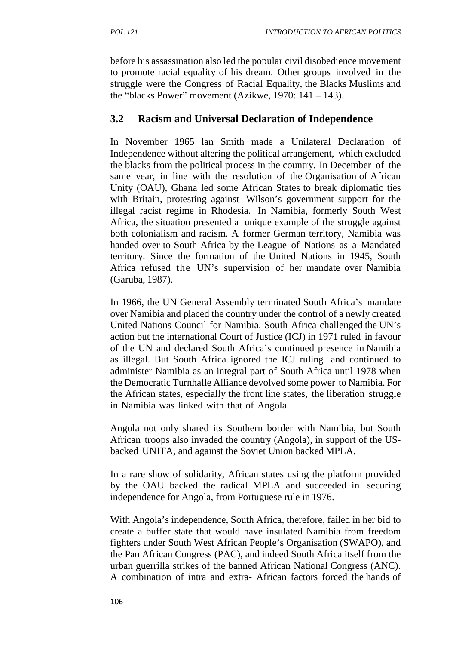before his assassination also led the popular civil disobedience movement to promote racial equality of his dream. Other groups involved in the struggle were the Congress of Racial Equality, the Blacks Muslims and the "blacks Power" movement (Azikwe, 1970:  $141 - 143$ ).

### **3.2 Racism and Universal Declaration of Independence**

In November 1965 lan Smith made a Unilateral Declaration of Independence without altering the political arrangement, which excluded the blacks from the political process in the country. In December of the same year, in line with the resolution of the Organisation of African Unity (OAU), Ghana led some African States to break diplomatic ties with Britain, protesting against Wilson's government support for the illegal racist regime in Rhodesia. In Namibia, formerly South West Africa, the situation presented a unique example of the struggle against both colonialism and racism. A former German territory, Namibia was handed over to South Africa by the League of Nations as a Mandated territory. Since the formation of the United Nations in 1945, South Africa refused the UN's supervision of her mandate over Namibia (Garuba, 1987).

In 1966, the UN General Assembly terminated South Africa's mandate over Namibia and placed the country under the control of a newly created United Nations Council for Namibia. South Africa challenged the UN's action but the international Court of Justice (ICJ) in 1971 ruled in favour of the UN and declared South Africa's continued presence in Namibia as illegal. But South Africa ignored the ICJ ruling and continued to administer Namibia as an integral part of South Africa until 1978 when the Democratic Turnhalle Alliance devolved some power to Namibia. For the African states, especially the front line states, the liberation struggle in Namibia was linked with that of Angola.

Angola not only shared its Southern border with Namibia, but South African troops also invaded the country (Angola), in support of the US backed UNITA, and against the Soviet Union backed MPLA.

In a rare show of solidarity, African states using the platform provided by the OAU backed the radical MPLA and succeeded in securing independence for Angola, from Portuguese rule in 1976.

With Angola's independence, South Africa, therefore, failed in her bid to create a buffer state that would have insulated Namibia from freedom fighters under South West African People's Organisation (SWAPO), and the Pan African Congress (PAC), and indeed South Africa itself from the urban guerrilla strikes of the banned African National Congress (ANC). A combination of intra and extra- African factors forced the hands of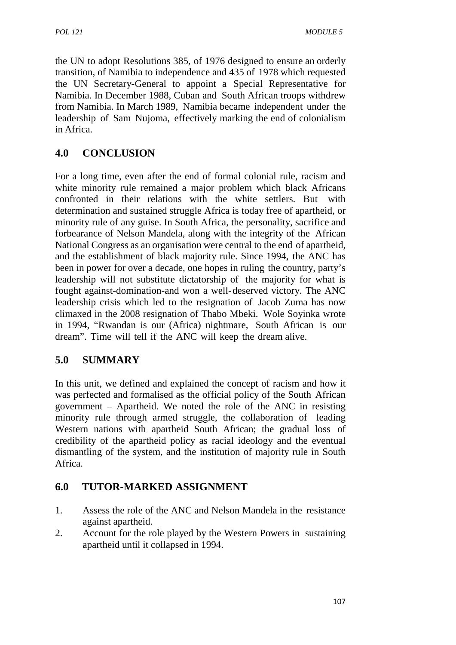the UN to adopt Resolutions 385, of 1976 designed to ensure an orderly transition, of Namibia to independence and 435 of 1978 which requested the UN Secretary-General to appoint a Special Representative for Namibia. In December 1988, Cuban and South African troops withdrew from Namibia. In March 1989, Namibia became independent under the leadership of Sam Nujoma, effectively marking the end of colonialism in Africa.

# **4.0 CONCLUSION**

For a long time, even after the end of formal colonial rule, racism and white minority rule remained a major problem which black Africans confronted in their relations with the white settlers. But with determination and sustained struggle Africa is today free of apartheid, or minority rule of any guise. In South Africa, the personality, sacrifice and forbearance of Nelson Mandela, along with the integrity of the African National Congress as an organisation were central to the end of apartheid, and the establishment of black majority rule. Since 1994, the ANC has been in power for over a decade, one hopes in ruling the country, party's leadership will not substitute dictatorship of the majority for what is fought against-domination-and won a well-deserved victory. The ANC leadership crisis which led to the resignation of Jacob Zuma has now climaxed in the 2008 resignation of Thabo Mbeki. Wole Soyinka wrote in 1994, "Rwandan is our (Africa) nightmare, South African is our dream". Time will tell if the ANC will keep the dream alive.

# **5.0 SUMMARY**

In this unit, we defined and explained the concept of racism and how it was perfected and formalised as the official policy of the South African government – Apartheid. We noted the role of the ANC in resisting minority rule through armed struggle, the collaboration of leading Western nations with apartheid South African; the gradual loss of credibility of the apartheid policy as racial ideology and the eventual dismantling of the system, and the institution of majority rule in South Africa.

### **6.0 TUTOR-MARKED ASSIGNMENT**

- 1. Assess the role of the ANC and Nelson Mandela in the resistance against apartheid.
- 2. Account for the role played by the Western Powers in sustaining apartheid until it collapsed in 1994.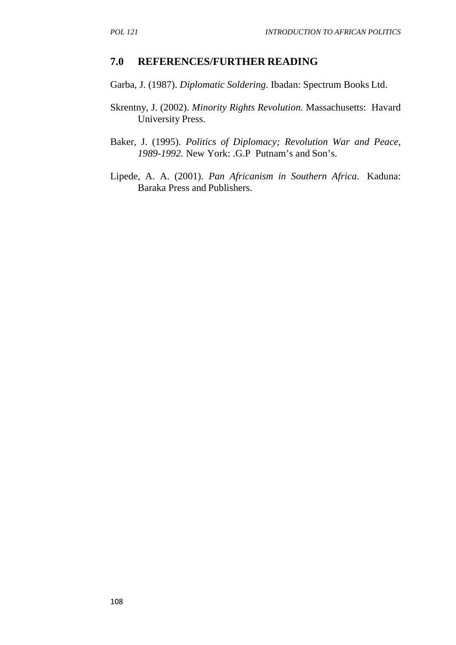#### **7.0 REFERENCES/FURTHER READING**

Garba, J. (1987). *Diplomatic Soldering.* Ibadan: Spectrum Books Ltd.

- Skrentny, J. (2002). *Minority Rights Revolution.* Massachusetts: Havard University Press.
- Baker, J. (1995). *Politics of Diplomacy; Revolution War and Peace, 1989-1992.* New York: .G.P Putnam's and Son's.
- Lipede, A. A. (2001). *Pan Africanism in Southern Africa*. Kaduna: Baraka Press and Publishers.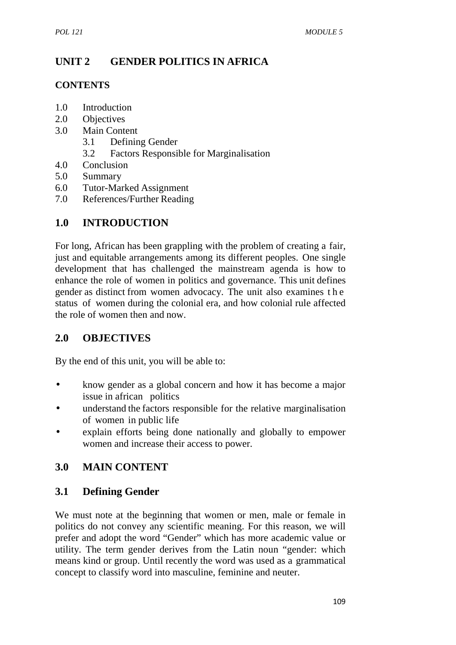# **UNIT 2 GENDER POLITICS IN AFRICA**

#### **CONTENTS**

- 1.0 Introduction
- 2.0 Objectives
- 3.0 Main Content
	- 3.1 Defining Gender
	- 3.2 Factors Responsible for Marginalisation
- 4.0 Conclusion
- 5.0 Summary
- 6.0 Tutor-Marked Assignment
- 7.0 References/Further Reading

# **1.0 INTRODUCTION**

For long, African has been grappling with the problem of creating a fair, just and equitable arrangements among its different peoples. One single development that has challenged the mainstream agenda is how to enhance the role of women in politics and governance. This unit defines For long, African has been grappling with the problem of creating a fair, just and equitable arrangements among its different peoples. One single development that has challenged the mainstream agenda is how to enhance the status of women during the colonial era, and how colonial rule affected the role of women then and now.

# **2.0 OBJECTIVES**

By the end of this unit, you will be able to:

- know gender as a global concern and how it has become a major issue in african politics
- understand the factors responsible for the relative marginalisation of women in public life
- explain efforts being done nationally and globally to empower women and increase their access to power.

# **3.0 MAIN CONTENT**

### **3.1 Defining Gender**

We must note at the beginning that women or men, male or female in politics do not convey any scientific meaning. For this reason, we will prefer and adopt the word "Gender" which has more academic value or utility. The term gender derives from the Latin noun "gender: which means kind or group. Until recently the word was used as a grammatical concept to classify word into masculine, feminine and neuter.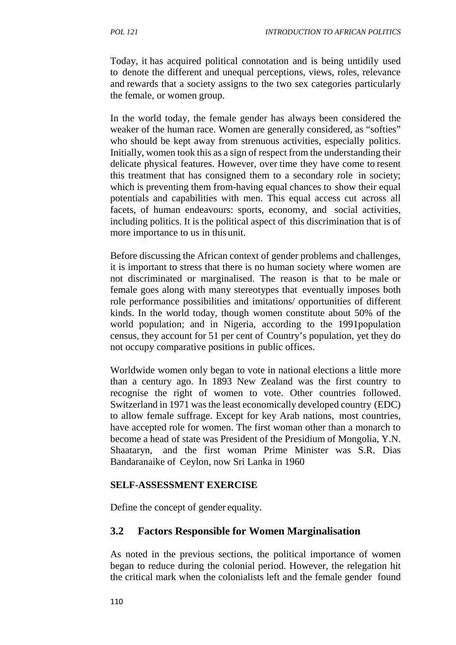Today, it has acquired political connotation and is being untidily used to denote the different and unequal perceptions, views, roles, relevance and rewards that a society assigns to the two sex categories particularly the female, or women group.

In the world today, the female gender has always been considered the weaker of the human race. Women are generally considered, as "softies" who should be kept away from strenuous activities, especially politics. Initially, women took this as a sign of respect from the understanding their delicate physical features. However, over time they have come to resent this treatment that has consigned them to a secondary role in society; which is preventing them from-having equal chances to show their equal potentials and capabilities with men. This equal access cut across all facets, of human endeavours: sports, economy, and social activities, including politics. It is the political aspect of this discrimination that is of more importance to us in thisunit.

Before discussing the African context of gender problems and challenges, it is important to stress that there is no human society where women are not discriminated or marginalised. The reason is that to be male or female goes along with many stereotypes that eventually imposes both role performance possibilities and imitations/ opportunities of different kinds. In the world today, though women constitute about 50% of the world population; and in Nigeria, according to the 1991population census, they account for 51 per cent of Country's population, yet they do not occupy comparative positions in public offices.

Worldwide women only began to vote in national elections a little more than a century ago. In 1893 New Zealand was the first country to recognise the right of women to vote. Other countries followed. Switzerland in 1971 was the least economically developed country (EDC) to allow female suffrage. Except for key Arab nations, most countries, have accepted role for women. The first woman other than a monarch to become a head of state was President of the Presidium of Mongolia, Y.N. Shaataryn, and the first woman Prime Minister was S.R. Dias Bandaranaike of Ceylon, now Sri Lanka in 1960

#### **SELF-ASSESSMENT EXERCISE**

Define the concept of gender equality.

### **3.2 Factors Responsible for Women Marginalisation**

As noted in the previous sections, the political importance of women began to reduce during the colonial period. However, the relegation hit the critical mark when the colonialists left and the female gender found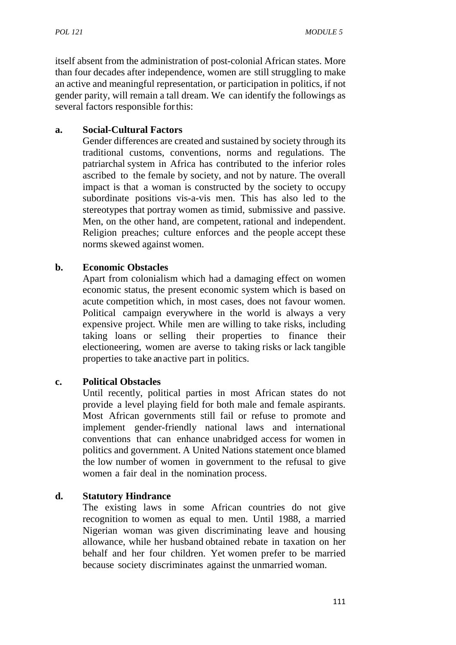itself absent from the administration of post-colonial African states. More than four decades after independence, women are still struggling to make an active and meaningful representation, or participation in politics, if not gender parity, will remain a tall dream. We can identify the followings as several factors responsible forthis:

#### **a. Social-Cultural Factors**

Gender differences are created and sustained by society through its traditional customs, conventions, norms and regulations. The patriarchal system in Africa has contributed to the inferior roles ascribed to the female by society, and not by nature. The overall impact is that a woman is constructed by the society to occupy subordinate positions vis-a-vis men. This has also led to the stereotypes that portray women as timid, submissive and passive. Men, on the other hand, are competent, rational and independent. Religion preaches; culture enforces and the people accept these norms skewed against women.

#### **b. Economic Obstacles**

Apart from colonialism which had a damaging effect on women economic status, the present economic system which is based on acute competition which, in most cases, does not favour women. Political campaign everywhere in the world is always a very expensive project. While men are willing to take risks, including taking loans or selling their properties to finance their electioneering, women are averse to taking risks or lack tangible properties to take anactive part in politics.

### **c. Political Obstacles**

Until recently, political parties in most African states do not provide a level playing field for both male and female aspirants. Most African governments still fail or refuse to promote and implement gender-friendly national laws and international conventions that can enhance unabridged access for women in politics and government. A United Nations statement once blamed the low number of women in government to the refusal to give women a fair deal in the nomination process.

#### **d. Statutory Hindrance**

The existing laws in some African countries do not give recognition to women as equal to men. Until 1988, a married Nigerian woman was given discriminating leave and housing allowance, while her husband obtained rebate in taxation on her behalf and her four children. Yet women prefer to be married because society discriminates against the unmarried woman.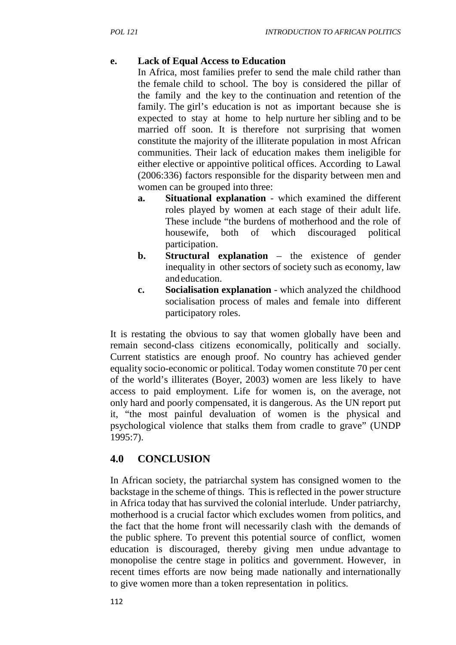### **e. Lack of Equal Access to Education**

In Africa, most families prefer to send the male child rather than the female child to school. The boy is considered the pillar of the family and the key to the continuation and retention of the family. The girl's education is not as important because she is expected to stay at home to help nurture her sibling and to be married off soon. It is therefore not surprising that women constitute the majority of the illiterate population in most African communities. Their lack of education makes them ineligible for either elective or appointive political offices. According to Lawal (2006:336) factors responsible for the disparity between men and women can be grouped into three:

- **a. Situational explanation** which examined the different roles played by women at each stage of their adult life. These include "the burdens of motherhood and the role of housewife, both of which discouraged political participation.
- **b. Structural explanation** the existence of gender inequality in other sectors of society such as economy, law andeducation.
- **c. Socialisation explanation** which analyzed the childhood socialisation process of males and female into different participatory roles.

It is restating the obvious to say that women globally have been and remain second-class citizens economically, politically and socially. Current statistics are enough proof. No country has achieved gender equality socio-economic or political. Today women constitute 70 per cent of the world's illiterates (Boyer, 2003) women are less likely to have access to paid employment. Life for women is, on the average, not only hard and poorly compensated, it is dangerous. As the UN report put it, "the most painful devaluation of women is the physical and psychological violence that stalks them from cradle to grave" (UNDP 1995:7).

# **4.0 CONCLUSION**

In African society, the patriarchal system has consigned women to the backstage in the scheme of things. This is reflected in the power structure in Africa today that has survived the colonial interlude. Under patriarchy, motherhood is a crucial factor which excludes women from politics, and the fact that the home front will necessarily clash with the demands of the public sphere. To prevent this potential source of conflict, women education is discouraged, thereby giving men undue advantage to monopolise the centre stage in politics and government. However, in recent times efforts are now being made nationally and internationally to give women more than a token representation in politics.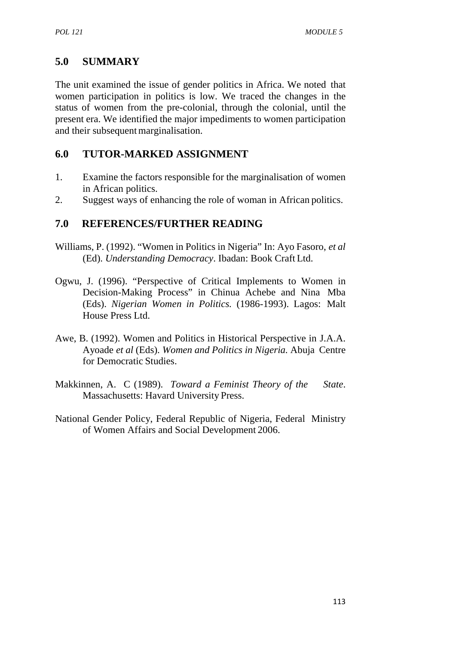# **5.0 SUMMARY**

The unit examined the issue of gender politics in Africa. We noted that women participation in politics is low. We traced the changes in the status of women from the pre-colonial, through the colonial, until the present era. We identified the major impediments to women participation and their subsequent marginalisation.

# **6.0 TUTOR-MARKED ASSIGNMENT**

- 1. Examine the factors responsible for the marginalisation of women in African politics.
- 2. Suggest ways of enhancing the role of woman in African politics.

### **7.0 REFERENCES/FURTHER READING**

- Williams, P. (1992). "Women in Politics in Nigeria" In: Ayo Fasoro, *et al* (Ed). *Understanding Democracy*. Ibadan: Book Craft Ltd.
- Ogwu, J. (1996). "Perspective of Critical Implements to Women in Decision-Making Process" in Chinua Achebe and Nina Mba (Eds). *Nigerian Women in Politics.* (1986-1993). Lagos: Malt House Press Ltd.
- Awe, B. (1992). Women and Politics in Historical Perspective in J.A.A. Ayoade *et al* (Eds). *Women and Politics in Nigeria.* Abuja Centre for Democratic Studies.
- Makkinnen, A. C (1989). *Toward a Feminist Theory of the State*. Massachusetts: Havard University Press.
- National Gender Policy, Federal Republic of Nigeria, Federal Ministry of Women Affairs and Social Development 2006.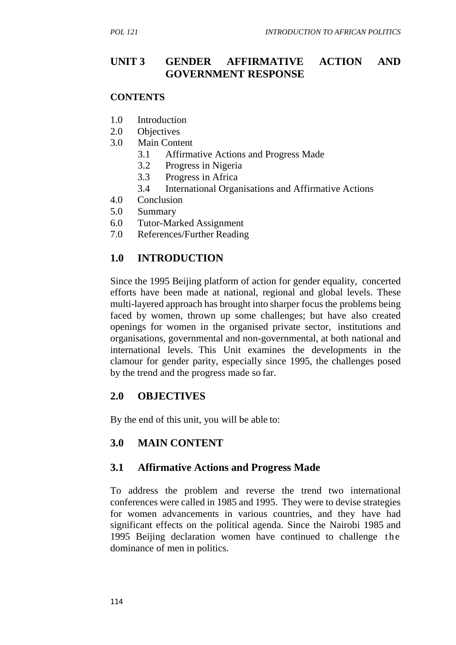### **UNIT 3 GENDER AFFIRMATIVE ACTION AND GOVERNMENT RESPONSE**

#### **CONTENTS**

- 1.0 Introduction
- 2.0 Objectives
- 3.0 Main Content
	- 3.1 Affirmative Actions and Progress Made
	- 3.2 Progress in Nigeria
	- 3.3 Progress in Africa
	- 3.4 International Organisations and Affirmative Actions
- 4.0 Conclusion
- 5.0 Summary
- 6.0 Tutor-Marked Assignment
- 7.0 References/Further Reading

### **1.0 INTRODUCTION**

Since the 1995 Beijing platform of action for gender equality, concerted efforts have been made at national, regional and global levels. These multi-layered approach has brought into sharper focus the problems being faced by women, thrown up some challenges; but have also created openings for women in the organised private sector, institutions and organisations, governmental and non-governmental, at both national and international levels. This Unit examines the developments in the clamour for gender parity, especially since 1995, the challenges posed by the trend and the progress made so far.

### **2.0 OBJECTIVES**

By the end of this unit, you will be able to:

### **3.0 MAIN CONTENT**

### **3.1 Affirmative Actions and Progress Made**

To address the problem and reverse the trend two international conferences were called in 1985 and 1995. They were to devise strategies for women advancements in various countries, and they have had significant effects on the political agenda. Since the Nairobi 1985 and To address the problem and reverse the trend two international conferences were called in 1985 and 1995. They were to devise strategies for women advancements in various countries, and they have had significant effects on dominance of men in politics.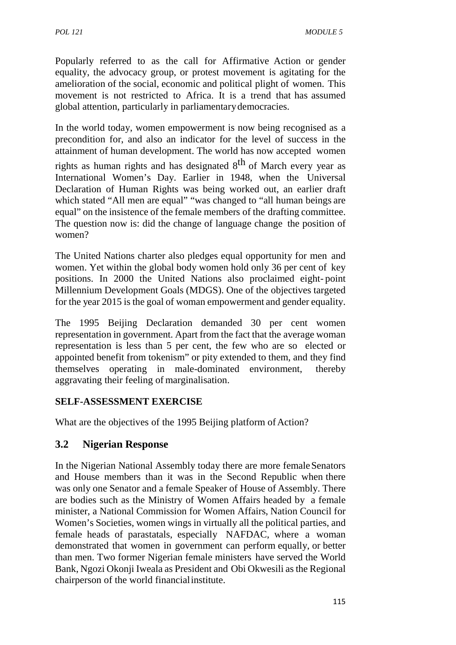Popularly referred to as the call for Affirmative Action or gender equality, the advocacy group, or protest movement is agitating for the amelioration of the social, economic and political plight of women. This movement is not restricted to Africa. It is a trend that has assumed global attention, particularly in parliamentarydemocracies.

In the world today, women empowerment is now being recognised as a precondition for,and also an indicator for the level of success in the attainment of human development. The world has now accepted women

rights as human rights and has designated 8<sup>th</sup> of March every year as International Women's Day. Earlier in 1948, when the Universal Declaration of Human Rights was being worked out, an earlier draft which stated "All men are equal" "was changed to "all human beings are equal" on the insistence of the female members of the drafting committee. The question now is: did the change of language change the position of women?

The United Nations charter also pledges equal opportunity for men and women. Yet within the global body women hold only 36 per cent of key positions. In 2000 the United Nations also proclaimed eight- point Millennium Development Goals (MDGS). One of the objectives targeted for the year 2015 is the goal of woman empowerment and gender equality.

The 1995 Beijing Declaration demanded 30 per cent women representation in government. Apart from the fact that the average woman representation is less than 5 per cent, the few who are so elected or appointed benefit from tokenism" or pity extended to them, and they find themselves operating in male-dominated environment, thereby aggravating their feeling of marginalisation.

#### **SELF-ASSESSMENT EXERCISE**

What are the objectives of the 1995 Beijing platform of Action?

### **3.2 Nigerian Response**

In the Nigerian National Assembly today there are more femaleSenators and House members than it was in the Second Republic when there was only one Senator and a female Speaker of House of Assembly. There are bodies such as the Ministry of Women Affairs headed by a female minister, a National Commission for Women Affairs, Nation Council for Women's Societies, women wings in virtually all the political parties, and female heads of parastatals, especially NAFDAC, where a woman demonstrated that women in government can perform equally, or better than men. Two former Nigerian female ministers have served the World Bank, Ngozi Okonji Iweala as President and Obi Okwesili as the Regional chairperson of the world financialinstitute.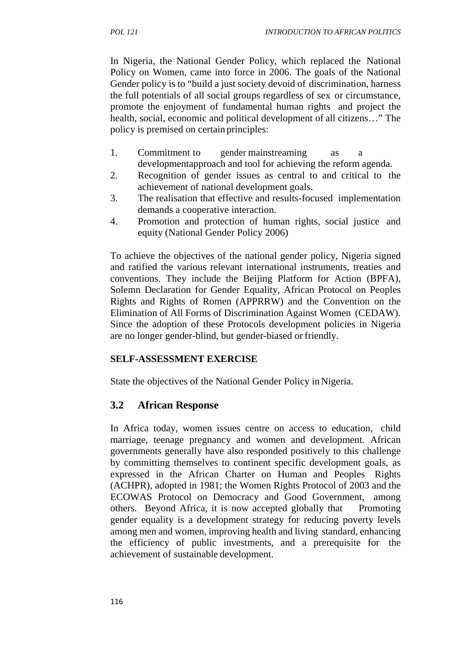In Nigeria, the National Gender Policy, which replaced the National Policy on Women, came into force in 2006. The goals of the National Gender policy is to "build a just society devoid of discrimination, harness the full potentials of all social groups regardless of sex or circumstance, promote the enjoyment of fundamental human rights and project the health, social, economic and political development of all citizens…" The policy is premised on certain principles:

- 1. Commitment to gender mainstreaming as a developmentapproach and tool for achieving the reform agenda.
- 2. Recognition of gender issues as central to and critical to the achievement of national development goals.
- 3. The realisation that effective and results-focused implementation demands a cooperative interaction.
- 4. Promotion and protection of human rights, social justice and equity (National Gender Policy 2006)

To achieve the objectives of the national gender policy, Nigeria signed and ratified the various relevant international instruments, treaties and conventions. They include the Beijing Platform for Action (BPFA), Solemn Declaration for Gender Equality, African Protocol on Peoples Rights and Rights of Romen (APPRRW) and the Convention on the Elimination of All Forms of Discrimination Against Women (CEDAW). Since the adoption of these Protocols development policies in Nigeria are no longer gender-blind, but gender-biased or friendly.

#### **SELF-ASSESSMENT EXERCISE**

State the objectives of the National Gender Policy in Nigeria.

### **3.2 African Response**

In Africa today, women issues centre on access to education, child marriage, teenage pregnancy and women and development. African governments generally have also responded positively to this challenge by committing themselves to continent specific development goals, as expressed in the African Charter on Human and Peoples Rights (ACHPR), adopted in 1981; the Women Rights Protocol of 2003 and the ECOWAS Protocol on Democracy and Good Government, among others. Beyond Africa, it is now accepted globally that Promoting gender equality is a development strategy for reducing poverty levels among men and women, improving health and living standard, enhancing the efficiency of public investments, and a prerequisite for the achievement of sustainable development.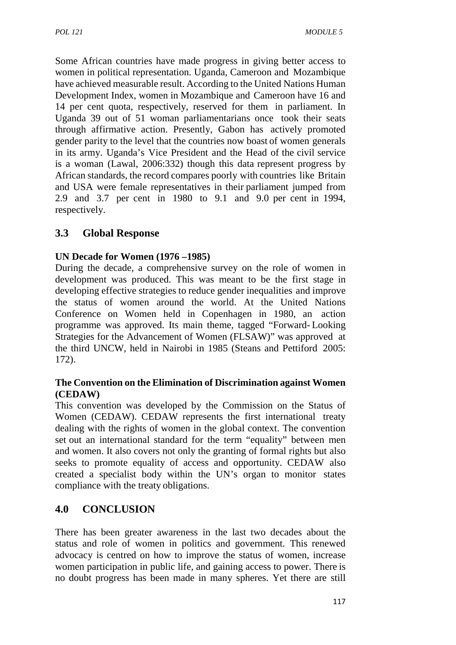Some African countries have made progress in giving better access to women in political representation. Uganda, Cameroon and Mozambique have achieved measurable result. According to the United Nations Human Development Index, women in Mozambique and Cameroon have 16 and 14 per cent quota, respectively, reserved for them in parliament. In Uganda 39 out of 51 woman parliamentarians once took their seats through affirmative action. Presently, Gabon has actively promoted gender parity to the level that the countries now boast of women generals in its army. Uganda's Vice President and the Head of the civil service is a woman (Lawal, 2006:332) though this data represent progress by African standards, the record compares poorly with countries like Britain and USA were female representatives in their parliament jumped from 2.9 and 3.7 per cent in 1980 to 9.1 and 9.0 per cent in 1994, respectively.

### **3.3 Global Response**

#### **UN Decade for Women (1976 –1985)**

During the decade, a comprehensive survey on the role of women in development was produced. This was meant to be the first stage in developing effective strategies to reduce gender inequalities and improve the status of women around the world. At the United Nations Conference on Women held in Copenhagen in 1980, an action programme was approved. Its main theme, tagged "Forward- Looking Strategies for the Advancement of Women (FLSAW)" was approved at the third UNCW, held in Nairobi in 1985 (Steans and Pettiford 2005: 172).

#### **The Convention on the Elimination of Discrimination against Women (CEDAW)**

This convention was developed by the Commission on the Status of Women (CEDAW). CEDAW represents the first international treaty dealing with the rights of women in the global context. The convention set out an international standard for the term "equality" between men and women. It also covers not only the granting of formal rights but also seeks to promote equality of access and opportunity. CEDAW also created a specialist body within the UN's organ to monitor states compliance with the treaty obligations.

### **4.0 CONCLUSION**

There has been greater awareness in the last two decades about the status and role of women in politics and government. This renewed advocacy is centred on how to improve the status of women, increase women participation in public life, and gaining access to power. There is no doubt progress has been made in many spheres. Yet there are still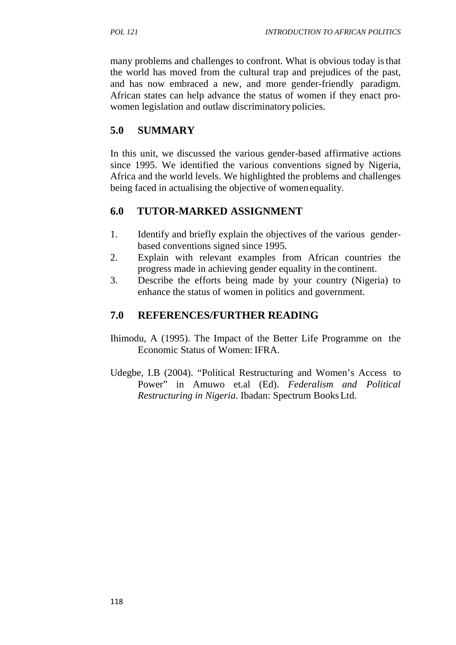many problems and challenges to confront. What is obvious today isthat the world has moved from the cultural trap and prejudices of the past, and has now embraced a new, and more gender-friendly paradigm. African states can help advance the status of women if they enact pro women legislation and outlaw discriminatory policies.

# **5.0 SUMMARY**

In this unit, we discussed the various gender-based affirmative actions since 1995. We identified the various conventions signed by Nigeria, Africa and the world levels. We highlighted the problems and challenges being faced in actualising the objective of womenequality.

# **6.0 TUTOR-MARKED ASSIGNMENT**

- 1. Identify and briefly explain the objectives of the various gender based conventions signed since 1995.
- 2. Explain with relevant examples from African countries the progress made in achieving gender equality in the continent.
- 3. Describe the efforts being made by your country (Nigeria) to enhance the status of women in politics and government.

# **7.0 REFERENCES/FURTHER READING**

- Ihimodu, A (1995). The Impact of the Better Life Programme on the Economic Status of Women: IFRA.
- Udegbe, I.B (2004). "Political Restructuring and Women's Access to Power" in Amuwo et.al (Ed). *Federalism and Political Restructuring in Nigeria*. Ibadan: Spectrum BooksLtd.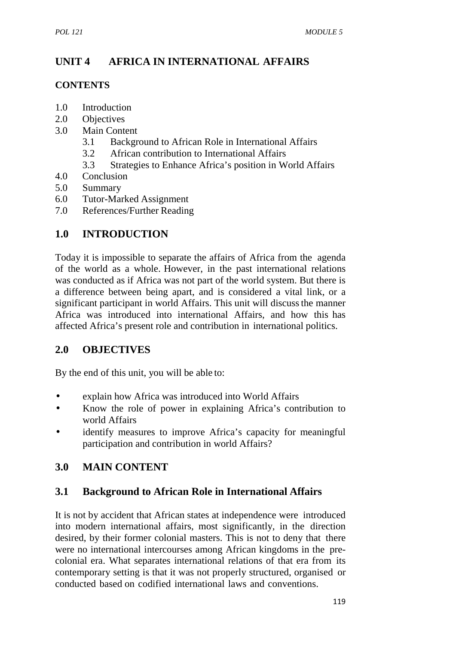# **UNIT 4 AFRICA IN INTERNATIONAL AFFAIRS**

#### **CONTENTS**

- 1.0 Introduction
- 2.0 Objectives
- 3.0 Main Content
	- 3.1 Background to African Role in International Affairs
	- 3.2 African contribution to International Affairs
	- 3.3 Strategies to Enhance Africa's position in World Affairs
- 4.0 Conclusion
- 5.0 Summary
- 6.0 Tutor-Marked Assignment
- 7.0 References/Further Reading

### **1.0 INTRODUCTION**

Today it is impossible to separate the affairs of Africa from the agenda of the world as a whole. However, in the past international relations was conducted as if Africa was not part of the world system. But there is a difference between being apart, and is considered a vital link, or a significant participant in world Affairs. This unit will discussthe manner Africa was introduced into international Affairs, and how this has affected Africa's present role and contribution in international politics.

# **2.0 OBJECTIVES**

By the end of this unit, you will be able to:

- explain how Africa was introduced into World Affairs
- Know the role of power in explaining Africa's contribution to world Affairs
- identify measures to improve Africa's capacity for meaningful participation and contribution in world Affairs?

# **3.0 MAIN CONTENT**

### **3.1 Background to African Role in International Affairs**

It is not by accident that African states at independence were introduced into modern international affairs, most significantly, in the direction desired, by their former colonial masters. This is not to deny that there were no international intercourses among African kingdoms in the pre colonial era. What separates international relations of that era from its contemporary setting is that it was not properly structured, organised or conducted based on codified international laws and conventions.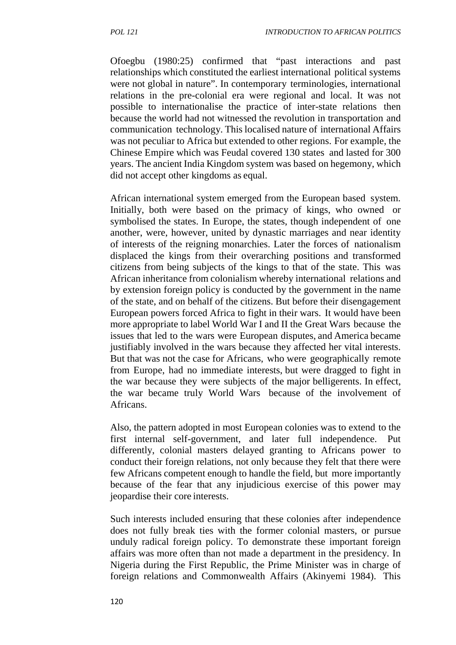Ofoegbu (1980:25) confirmed that "past interactions and past relationships which constituted the earliest international political systems were not global in nature". In contemporary terminologies, international relations in the pre-colonial era were regional and local. It was not possible to internationalise the practice of inter-state relations then because the world had not witnessed the revolution in transportation and communication technology. This localised nature of international Affairs was not peculiar to Africa but extended to other regions. For example, the Chinese Empire which was Feudal covered 130 states and lasted for 300 years. The ancient India Kingdom system was based on hegemony, which did not accept other kingdoms as equal.

African international system emerged from the European based system. Initially, both were based on the primacy of kings, who owned or symbolised the states. In Europe, the states, though independent of one another, were, however, united by dynastic marriages and near identity of interests of the reigning monarchies. Later the forces of nationalism displaced the kings from their overarching positions and transformed citizens from being subjects of the kings to that of the state. This was African inheritance from colonialism whereby international relations and by extension foreign policy is conducted by the government in the name of the state, and on behalf of the citizens. But before their disengagement European powers forced Africa to fight in their wars. It would have been more appropriate to label World War I and II the Great Wars because the issues that led to the wars were European disputes, and America became justifiably involved in the wars because they affected her vital interests. But that was not the case for Africans, who were geographically remote from Europe, had no immediate interests, but were dragged to fight in the war because they were subjects of the major belligerents. In effect, the war became truly World Wars because of the involvement of Africans.

Also, the pattern adopted in most European colonies was to extend to the first internal self-government, and later full independence. Put differently, colonial masters delayed granting to Africans power to conduct their foreign relations, not only because they felt that there were few Africans competent enough to handle the field, but more importantly because of the fear that any injudicious exercise of this power may jeopardise their core interests.

Such interests included ensuring that these colonies after independence does not fully break ties with the former colonial masters, or pursue unduly radical foreign policy. To demonstrate these important foreign affairs was more often than not made a department in the presidency. In Nigeria during the First Republic, the Prime Minister was in charge of foreign relations and Commonwealth Affairs (Akinyemi 1984). This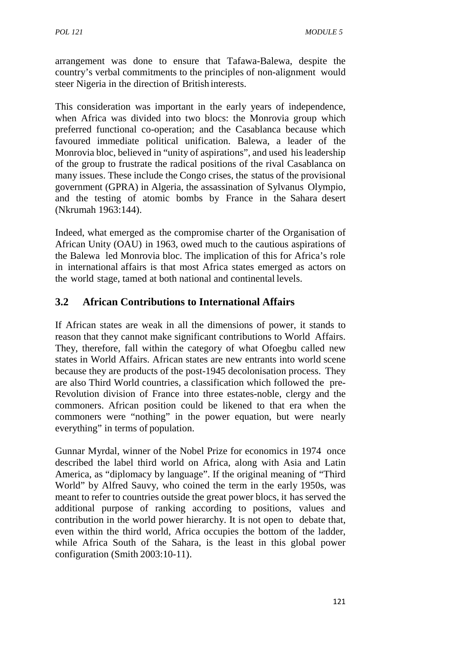arrangement was done to ensure that Tafawa-Balewa, despite the country's verbal commitments to the principles of non-alignment would steer Nigeria in the direction of British interests.

This consideration was important in the early years of independence, when Africa was divided into two blocs: the Monrovia group which preferred functional co-operation; and the Casablanca because which favoured immediate political unification. Balewa, a leader of the Monrovia bloc, believed in "unity of aspirations", and used his leadership of the group to frustrate the radical positions of the rival Casablanca on many issues. These include the Congo crises, the status of the provisional government (GPRA) in Algeria, the assassination of Sylvanus Olympio, and the testing of atomic bombs by France in the Sahara desert (Nkrumah 1963:144).

Indeed, what emerged as the compromise charter of the Organisation of African Unity (OAU) in 1963, owed much to the cautious aspirations of the Balewa led Monrovia bloc. The implication of this for Africa's role in international affairs is that most Africa states emerged as actors on the world stage, tamed at both national and continental levels.

### **3.2 African Contributions to International Affairs**

If African states are weak in all the dimensions of power, it stands to reason that they cannot make significant contributions to World Affairs. They, therefore, fall within the category of what Ofoegbu called new states in World Affairs. African states are new entrants into world scene because they are products of the post-1945 decolonisation process. They are also Third World countries, a classification which followed the pre- Revolution division of France into three estates-noble, clergy and the commoners. African position could be likened to that era when the commoners were "nothing" in the power equation, but were nearly everything" in terms of population.

Gunnar Myrdal, winner of the Nobel Prize for economics in 1974 once described the label third world on Africa, along with Asia and Latin America, as "diplomacy by language". If the original meaning of "Third World" by Alfred Sauvy, who coined the term in the early 1950s, was meant to refer to countries outside the great power blocs, it has served the additional purpose of ranking according to positions, values and contribution in the world power hierarchy. It is not open to debate that, even within the third world, Africa occupies the bottom of the ladder, while Africa South of the Sahara, is the least in this global power configuration (Smith 2003:10-11).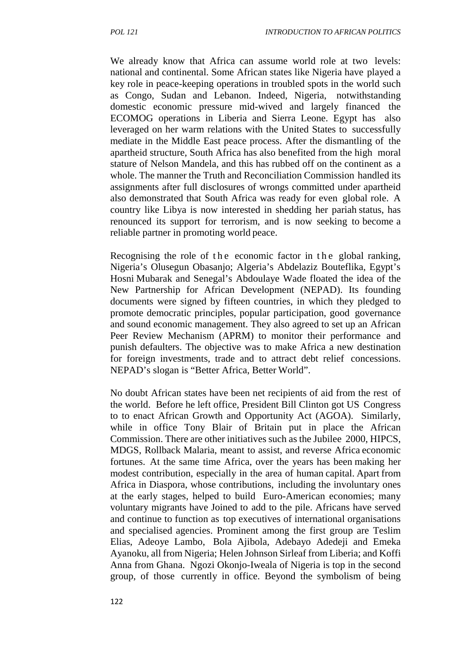We already know that Africa can assume world role at two levels: national and continental. Some African states like Nigeria have played a key role in peace-keeping operations in troubled spots in the world such as Congo, Sudan and Lebanon. Indeed, Nigeria, notwithstanding domestic economic pressure mid-wived and largely financed the ECOMOG operations in Liberia and Sierra Leone. Egypt has also leveraged on her warm relations with the United States to successfully mediate in the Middle East peace process. After the dismantling of the apartheid structure, South Africa has also benefited from the high moral stature of Nelson Mandela, and this has rubbed off on the continent as a whole. The manner the Truth and Reconciliation Commission handled its assignments after full disclosures of wrongs committed under apartheid also demonstrated that South Africa was ready for even global role. A country like Libya is now interested in shedding her pariah status, has renounced its support for terrorism, and is now seeking to become a reliable partner in promoting world peace. also demonstrated that South Africa was ready for even global role. A<br>country like Libya is now interested in shedding her pariah status, has<br>renounced its support for terrorism, and is now seeking to become a<br>reliable par

Hosni Mubarak and Senegal's Abdoulaye Wade floated the idea of the New Partnership for African Development (NEPAD). Its founding documents were signed by fifteen countries, in which they pledged to promote democratic principles, popular participation, good governance and sound economic management. They also agreed to set up an African Peer Review Mechanism (APRM) to monitor their performance and punish defaulters. The objective was to make Africa a new destination for foreign investments, trade and to attract debt relief concessions. NEPAD's slogan is "Better Africa, Better World".

No doubt African states have been net recipients of aid from the rest of the world. Before he left office, President Bill Clinton got US Congress to to enact African Growth and Opportunity Act (AGOA). Similarly, while in office Tony Blair of Britain put in place the African Commission. There are other initiatives such as the Jubilee 2000, HIPCS, MDGS, Rollback Malaria, meant to assist, and reverse Africa economic fortunes. At the same time Africa, over the years has been making her modest contribution, especially in the area of human capital. Apart from Africa in Diaspora, whose contributions, including the involuntary ones at the early stages, helped to build Euro-American economies; many voluntary migrants have Joined to add to the pile. Africans have served and continue to function as top executives of international organisations and specialised agencies. Prominent among the first group are Teslim Elias, Adeoye Lambo, Bola Ajibola, Adebayo Adedeji and Emeka Ayanoku, all from Nigeria; Helen Johnson Sirleaf from Liberia; and Koffi Anna from Ghana. Ngozi Okonjo-Iweala of Nigeria is top in the second group, of those currently in office. Beyond the symbolism of being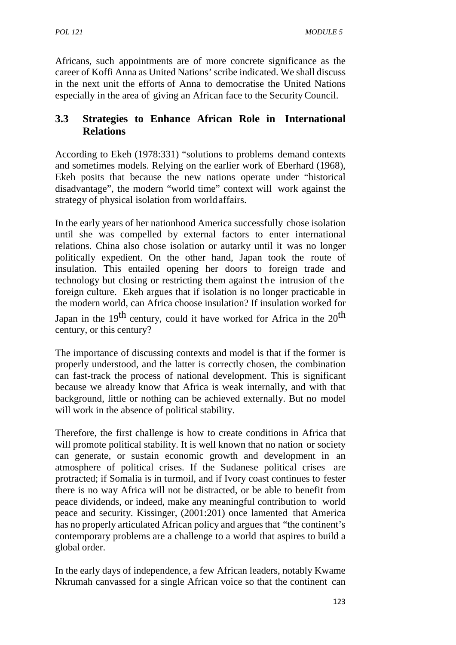Africans, such appointments are of more concrete significance as the career of Koffi Anna as United Nations' scribe indicated. We shall discuss in the next unit the efforts of Anna to democratise the United Nations especially in the area of giving an African face to the SecurityCouncil.

# **3.3 Strategies to Enhance African Role in International Relations**

According to Ekeh (1978:331) "solutions to problems demand contexts and sometimes models. Relying on the earlier work of Eberhard (1968), Ekeh posits that because the new nations operate under "historical disadvantage", the modern "world time" context will work against the strategy of physical isolation from world affairs.

In the early years of her nationhood America successfully chose isolation until she was compelled by external factors to enter international relations. China also chose isolation or autarky until it was no longer politically expedient. On the other hand, Japan took the route of insulation. This entailed opening her doors to foreign trade and In the early years of her nationhood America successfully chose isolation<br>until she was compelled by external factors to enter international<br>relations. China also chose isolation or autarky until it was no longer<br>political foreign culture. Ekeh argues that if isolation is no longer practicable in the modern world, can Africa choose insulation? If insulation worked for Japan in the  $19<sup>th</sup>$  century, could it have worked for Africa in the  $20<sup>th</sup>$ century, or this century?

The importance of discussing contexts and model is that if the former is properly understood, and the latter is correctly chosen, the combination can fast-track the process of national development. This is significant because we already know that Africa is weak internally, and with that background, little or nothing can be achieved externally. But no model will work in the absence of political stability.

Therefore, the first challenge is how to create conditions in Africa that will promote political stability. It is well known that no nation or society can generate, or sustain economic growth and development in an atmosphere of political crises. If the Sudanese political crises are protracted; if Somalia is in turmoil, and if Ivory coast continues to fester there is no way Africa will not be distracted, or be able to benefit from peace dividends, or indeed, make any meaningful contribution to world peace and security. Kissinger, (2001:201) once lamented that America has no properly articulated African policy and argues that "the continent's contemporary problems are a challenge to a world that aspires to build a global order.

In the early days of independence, a few African leaders, notably Kwame Nkrumah canvassed for a single African voice so that the continent can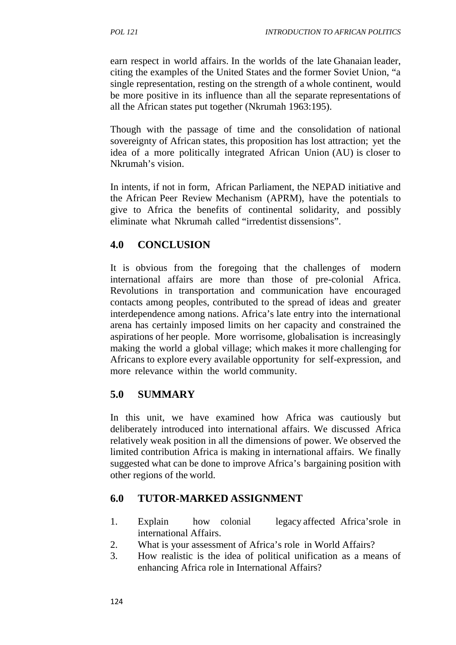earn respect in world affairs. In the worlds of the late Ghanaian leader, citing the examples of the United States and the former Soviet Union, "a single representation, resting on the strength of a whole continent, would be more positive in its influence than all the separate representations of all the African states put together (Nkrumah 1963:195).

Though with the passage of time and the consolidation of national sovereignty of African states, this proposition has lost attraction; yet the idea of a more politically integrated African Union (AU) is closer to Nkrumah's vision.

In intents, if not in form, African Parliament, the NEPAD initiative and the African Peer Review Mechanism (APRM), have the potentials to give to Africa the benefits of continental solidarity, and possibly eliminate what Nkrumah called "irredentist dissensions".

### **4.0 CONCLUSION**

It is obvious from the foregoing that the challenges of modern international affairs are more than those of pre-colonial Africa. Revolutions in transportation and communication have encouraged contacts among peoples, contributed to the spread of ideas and greater interdependence among nations. Africa's late entry into the international arena has certainly imposed limits on her capacity and constrained the aspirations of her people. More worrisome, globalisation is increasingly making the world a global village; which makes it more challenging for Africans to explore every available opportunity for self-expression, and more relevance within the world community.

# **5.0 SUMMARY**

In this unit, we have examined how Africa was cautiously but deliberately introduced into international affairs. We discussed Africa relatively weak position in all the dimensions of power. We observed the limited contribution Africa is making in international affairs. We finally suggested what can be done to improve Africa's bargaining position with other regions of the world.

### **6.0 TUTOR-MARKED ASSIGNMENT**

- 1. Explain how colonial legacy affected Africa'srole in international Affairs.
- 2. What is your assessment of Africa's role in World Affairs?
- 3. How realistic is the idea of political unification as a means of enhancing Africa role in International Affairs?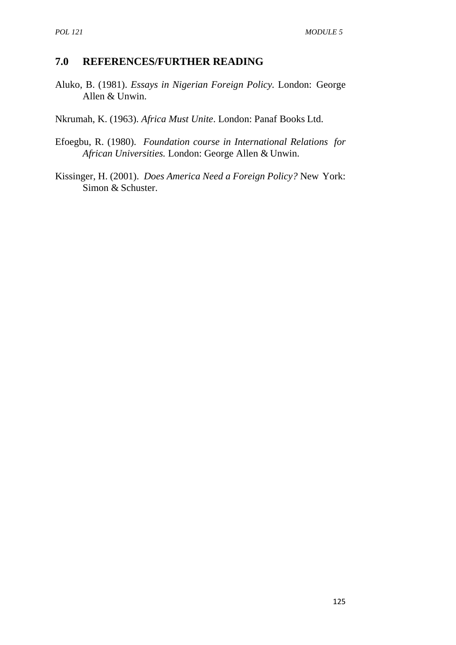#### **7.0 REFERENCES/FURTHER READING**

Aluko, B. (1981). *Essays in Nigerian Foreign Policy.* London: George Allen & Unwin.

Nkrumah, K. (1963). *Africa Must Unite*. London: Panaf Books Ltd.

- Efoegbu, R. (1980). *Foundation course in International Relations for African Universities.* London: George Allen & Unwin.
- Kissinger, H. (2001). *Does America Need a Foreign Policy?* New York: Simon & Schuster.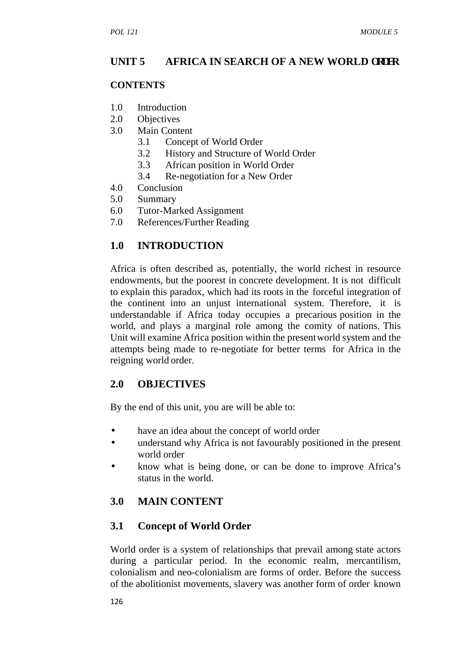### **UNIT 5 AFRICA IN SEARCH OF A NEW WORLD ORDER**

#### **CONTENTS**

- 1.0 Introduction
- 2.0 Objectives
- 3.0 Main Content
	- 3.1 Concept of World Order
	- 3.2 History and Structure of World Order
	- 3.3 African position in World Order
	- 3.4 Re-negotiation for a New Order
- 4.0 Conclusion
- 5.0 Summary
- 6.0 Tutor-Marked Assignment
- 7.0 References/Further Reading

# **1.0 INTRODUCTION**

Africa is often described as, potentially, the world richest in resource endowments, but the poorest in concrete development. It is not difficult to explain this paradox, which had its roots in the forceful integration of the continent into an unjust international system. Therefore, it is understandable if Africa today occupies a precarious position in the world, and plays a marginal role among the comity of nations. This Unit will examine Africa position within the presentworld system and the attempts being made to re-negotiate for better terms for Africa in the reigning world order.

### **2.0 OBJECTIVES**

By the end of this unit, you are will be able to:

- have an idea about the concept of world order
- understand why Africa is not favourably positioned in the present world order
- know what is being done, or can be done to improve Africa's status in the world.

# **3.0 MAIN CONTENT**

# **3.1 Concept of World Order**

World order is a system of relationships that prevail among state actors during a particular period. In the economic realm, mercantilism, colonialism and neo-colonialism are forms of order. Before the success of the abolitionist movements, slavery was another form of order known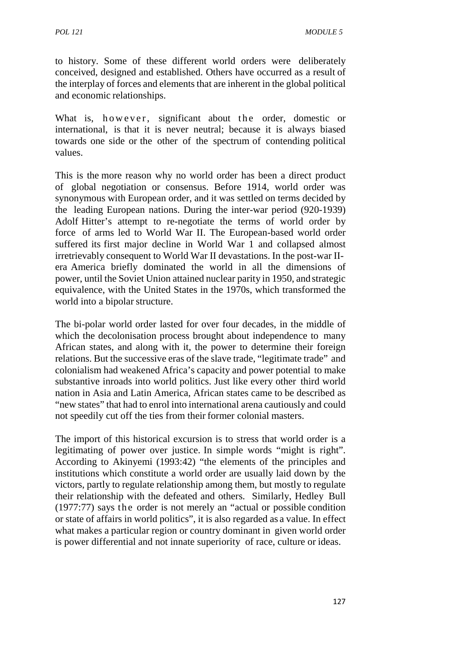to history. Some of these different world orders were deliberately conceived, designed and established. Others have occurred as a result of the interplay of forces and elements that are inherent in the global political and economic relationships. to history. Some of these different world orders were deliberately<br>conceived, designed and established. Others have occurred as a result of<br>the interplay of forces and elements that are inherent in the global political<br>and

towards one side or the other of the spectrum of contending political values.

This is the more reason why no world order has been a direct product of global negotiation or consensus. Before 1914, world order was synonymous with European order, and it was settled on terms decided by the leading European nations. During the inter-war period (920-1939) Adolf Hitter's attempt to re-negotiate the terms of world order by force of arms led to World War II. The European-based world order suffered its first major decline in World War 1 and collapsed almost irretrievably consequent to World War II devastations. In the post-war II era America briefly dominated the world in all the dimensions of power, until the Soviet Union attained nuclear parity in 1950, and strategic equivalence, with the United States in the 1970s, which transformed the world into a bipolar structure.

The bi-polar world order lasted for over four decades, in the middle of which the decolonisation process brought about independence to many African states, and along with it, the power to determine their foreign relations. But the successive eras of the slave trade, "legitimate trade" and colonialism had weakened Africa's capacity and power potential to make substantive inroads into world politics. Just like every other third world nation in Asia and Latin America, African states came to be described as "new states" that had to enrol into international arena cautiously and could not speedily cut off the ties from their former colonial masters.

The import of this historical excursion is to stress that world order is a legitimating of power over justice. In simple words "might is right". According to Akinyemi (1993:42) "the elements of the principles and institutions which constitute a world order are usually laid down by the victors, partly to regulate relationship among them, but mostly to regulate their relationship with the defeated and others. Similarly, Hedley Bull (1977:77) says the order is not merely an "actual or possible condition or state of affairs in world politics", it is also regarded as a value. In effect what makes a particular region or country dominant in given world order is power differential and not innate superiority of race, culture or ideas.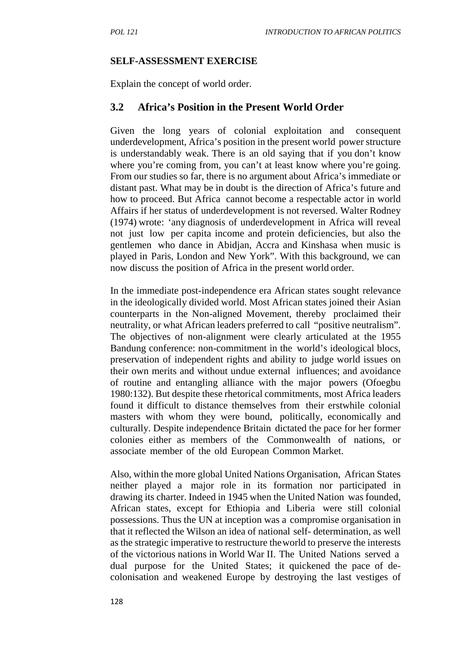#### **SELF-ASSESSMENT EXERCISE**

Explain the concept of world order.

### **3.2 Africa's Position in the Present World Order**

Given the long years of colonial exploitation and consequent underdevelopment, Africa's position in the present world power structure is understandably weak. There is an old saying that if you don't know where you're coming from, you can't at least know where you're going. From our studies so far, there is no argument about Africa's immediate or distant past. What may be in doubt is the direction of Africa's future and how to proceed. But Africa cannot become a respectable actor in world Affairs if her status of underdevelopment is not reversed. Walter Rodney (1974) wrote: 'any diagnosis of underdevelopment in Africa will reveal not just low per capita income and protein deficiencies, but also the gentlemen who dance in Abidjan, Accra and Kinshasa when music is played in Paris, London and New York". With this background, we can now discuss the position of Africa in the present world order.

In the immediate post-independence era African states sought relevance in the ideologically divided world. Most African states joined their Asian counterparts in the Non-aligned Movement, thereby proclaimed their neutrality, or what African leaders preferred to call "positive neutralism". The objectives of non-alignment were clearly articulated at the 1955 Bandung conference: non-commitment in the world's ideological blocs, preservation of independent rights and ability to judge world issues on their own merits and without undue external influences; and avoidance of routine and entangling alliance with the major powers (Ofoegbu 1980:132). But despite these rhetorical commitments, most Africa leaders found it difficult to distance themselves from their erstwhile colonial masters with whom they were bound, politically, economically and culturally. Despite independence Britain dictated the pace for her former colonies either as members of the Commonwealth of nations, or associate member of the old European Common Market.

Also, within the more global United Nations Organisation, African States neither played a major role in its formation nor participated in drawing its charter. Indeed in 1945 when the United Nation was founded, African states, except for Ethiopia and Liberia were still colonial possessions. Thus the UN at inception was a compromise organisation in that it reflected the Wilson an idea of national self- determination, as well as the strategic imperative to restructure theworld to preserve the interests of the victorious nations in World War II. The United Nations served a dual purpose for the United States; it quickened the pace of de colonisation and weakened Europe by destroying the last vestiges of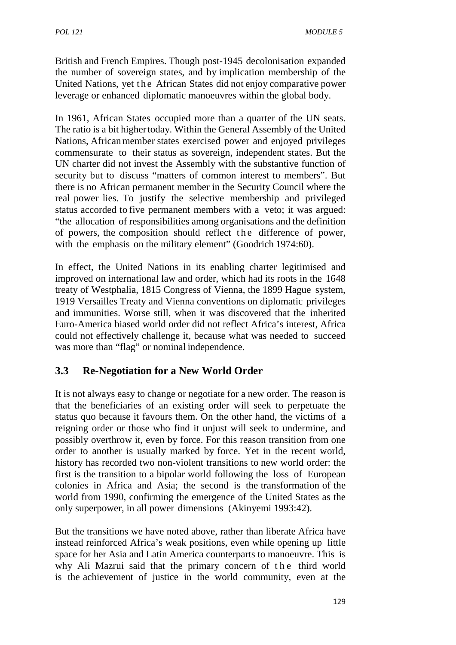British and French Empires. Though post-1945 decolonisation expanded the number of sovereign states, and by implication membership of the MODULE 5<br>
British and French Empires. Though post-1945 decolonisation expanded<br>
the number of sovereign states, and by implication membership of the<br>
United Nations, yet the African States did not enjoy comparative power<br> leverage or enhanced diplomatic manoeuvres within the global body.

In 1961, African States occupied more than a quarter of the UN seats. The ratio is a bit highertoday. Within the General Assembly of the United Nations, Africanmember states exercised power and enjoyed privileges commensurate to their status as sovereign, independent states. But the UN charter did not invest the Assembly with the substantive function of security but to discuss "matters of common interest to members". But there is no African permanent member in the Security Council where the real power lies. To justify the selective membership and privileged status accorded to five permanent members with a veto; it was argued: "the allocation of responsibilities among organisations and the definition of powers, the composition should reflect the difference of power, with the emphasis on the military element" (Goodrich 1974:60).

In effect, the United Nations in its enabling charter legitimised and improved on international law and order, which had its roots in the 1648 treaty of Westphalia, 1815 Congress of Vienna, the 1899 Hague system, 1919 Versailles Treaty and Vienna conventions on diplomatic privileges and immunities. Worse still, when it was discovered that the inherited Euro-America biased world order did not reflect Africa's interest, Africa could not effectively challenge it, because what was needed to succeed was more than "flag" or nominal independence.

# **3.3 Re-Negotiation for a New World Order**

It is not always easy to change or negotiate for a new order. The reason is that the beneficiaries of an existing order will seek to perpetuate the status quo because it favours them. On the other hand, the victims of a reigning order or those who find it unjust will seek to undermine, and possibly overthrow it, even by force. For this reason transition from one order to another is usually marked by force. Yet in the recent world, history has recorded two non-violent transitions to new world order: the first is the transition to a bipolar world following the loss of European colonies in Africa and Asia; the second is the transformation of the world from 1990, confirming the emergence of the United States as the only superpower, in all power dimensions (Akinyemi 1993:42).

But the transitions we have noted above, rather than liberate Africa have instead reinforced Africa's weak positions, even while opening up little space for her Asia and Latin America counterparts to manoeuvre. This is only superpower, in all power dimensions (Akinyemi 1993:42).<br>But the transitions we have noted above, rather than liberate Africa have<br>instead reinforced Africa's weak positions, even while opening up little<br>space for her is the achievement of justice in the world community, even at the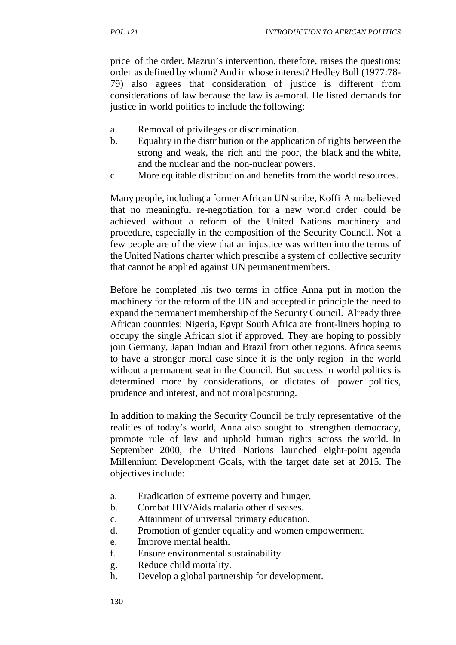price of the order. Mazrui's intervention, therefore, raises the questions: order as defined by whom? And in whose interest? Hedley Bull (1977:78- 79) also agrees that consideration of justice is different from considerations of law because the law is a-moral. He listed demands for justice in world politics to include the following:

- a. Removal of privileges or discrimination.
- b. Equality in the distribution or the application of rights between the strong and weak, the rich and the poor, the black and the white, and the nuclear and the non-nuclear powers.
- c. More equitable distribution and benefits from the world resources.

Many people, including a former African UN scribe, Koffi Anna believed that no meaningful re-negotiation for a new world order could be achieved without a reform of the United Nations machinery and procedure, especially in the composition of the Security Council. Not a few people are of the view that an injustice was written into the terms of the United Nations charter which prescribe a system of collective security that cannot be applied against UN permanent members.

Before he completed his two terms in office Anna put in motion the machinery for the reform of the UN and accepted in principle the need to expand the permanent membership of the Security Council. Already three African countries: Nigeria, Egypt South Africa are front-liners hoping to occupy the single African slot if approved. They are hoping to possibly join Germany, Japan Indian and Brazil from other regions. Africa seems to have a stronger moral case since it is the only region in the world without a permanent seat in the Council. But success in world politics is determined more by considerations, or dictates of power politics, prudence and interest, and not moral posturing.

In addition to making the Security Council be truly representative of the realities of today's world, Anna also sought to strengthen democracy, promote rule of law and uphold human rights across the world. In September 2000, the United Nations launched eight-point agenda Millennium Development Goals, with the target date set at 2015. The objectives include:

- a. Eradication of extreme poverty and hunger.
- b. Combat HIV/Aids malaria other diseases.
- c. Attainment of universal primary education.
- d. Promotion of gender equality and women empowerment.
- e. Improve mental health.
- f. Ensure environmental sustainability.
- g. Reduce child mortality.
- h. Develop a global partnership for development.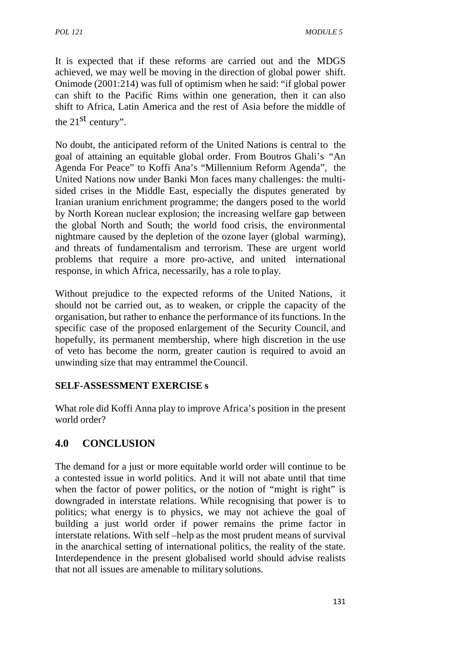It is expected that if these reforms are carried out and the MDGS achieved, we may well be moving in the direction of global power shift. Onimode (2001:214) was full of optimism when he said: "if global power can shift to the Pacific Rims within one generation, then it can also shift to Africa, Latin America and the rest of Asia before the middle of the 21<sup>st</sup> century".

No doubt, the anticipated reform of the United Nations is central to the goal of attaining an equitable global order. From Boutros Ghali's "An Agenda For Peace" to Koffi Ana's "Millennium Reform Agenda", the United Nations now under Banki Mon faces many challenges: the multi sided crises in the Middle East, especially the disputes generated by Iranian uranium enrichment programme; the dangers posed to the world by North Korean nuclear explosion; the increasing welfare gap between the global North and South; the world food crisis, the environmental nightmare caused by the depletion of the ozone layer (global warming), and threats of fundamentalism and terrorism. These are urgent world problems that require a more pro-active, and united international response, in which Africa, necessarily, has a role to play.

Without prejudice to the expected reforms of the United Nations, it should not be carried out, as to weaken, or cripple the capacity of the organisation, but rather to enhance the performance of its functions. In the specific case of the proposed enlargement of the Security Council, and hopefully, its permanent membership, where high discretion in the use of veto has become the norm, greater caution is required to avoid an unwinding size that may entrammel theCouncil.

#### **SELF-ASSESSMENT EXERCISE s**

What role did Koffi Anna play to improve Africa's position in the present world order?

# **4.0 CONCLUSION**

The demand for a just or more equitable world order will continue to be a contested issue in world politics. And it will not abate until that time when the factor of power politics, or the notion of "might is right" is downgraded in interstate relations. While recognising that power is to politics; what energy is to physics, we may not achieve the goal of building a just world order if power remains the prime factor in interstate relations. With self –help as the most prudent means of survival in the anarchical setting of international politics, the reality of the state. Interdependence in the present globalised world should advise realists that not all issues are amenable to military solutions.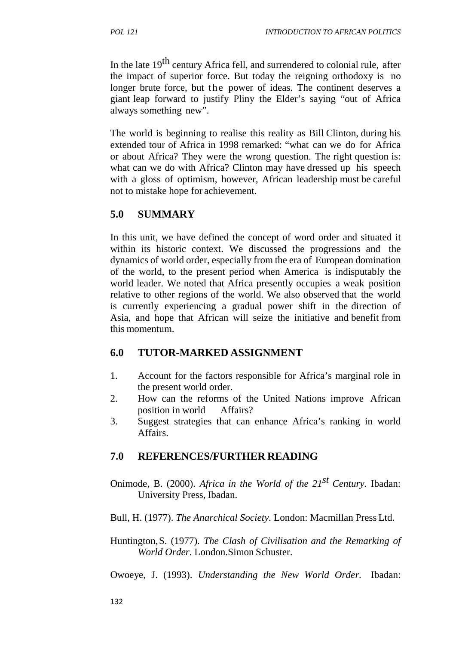In the late 19<sup>th</sup> century Africa fell, and surrendered to colonial rule, after the impact of superior force. But today the reigning orthodoxy is no *INTRODUCTION TO AFRICAN POLITICS*<br>In the late 19<sup>th</sup> century Africa fell, and surrendered to colonial rule, after<br>the impact of superior force. But today the reigning orthodoxy is no<br>longer brute force, but the power of i giant leap forward to justify Pliny the Elder's saying "out of Africa always something new".

The world is beginning to realise this reality as Bill Clinton, during his extended tour of Africa in 1998 remarked: "what can we do for Africa or about Africa? They were the wrong question. The right question is: what can we do with Africa? Clinton may have dressed up his speech with a gloss of optimism, however, African leadership must be careful not to mistake hope for achievement.

## **5.0 SUMMARY**

In this unit, we have defined the concept of word order and situated it within its historic context. We discussed the progressions and the dynamics of world order, especially from the era of European domination of the world, to the present period when America is indisputably the world leader. We noted that Africa presently occupies a weak position relative to other regions of the world. We also observed that the world is currently experiencing a gradual power shift in the direction of Asia, and hope that African will seize the initiative and benefit from this momentum.

## **6.0 TUTOR-MARKED ASSIGNMENT**

- 1. Account for the factors responsible for Africa's marginal role in the present world order.
- 2. How can the reforms of the United Nations improve African position in world Affairs?
- 3. Suggest strategies that can enhance Africa's ranking in world Affairs.

## **7.0 REFERENCES/FURTHER READING**

Onimode, B. (2000). *Africa in the World of the 21st Century.* Ibadan: University Press, Ibadan.

Bull, H. (1977). *The Anarchical Society.* London: Macmillan Press Ltd.

Huntington,S. (1977). *The Clash of Civilisation and the Remarking of World Order*. London.Simon Schuster.

Owoeye, J. (1993). *Understanding the New World Order.* Ibadan: